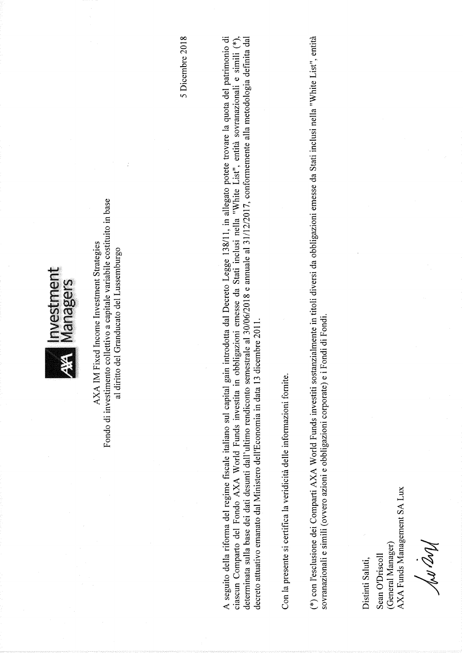

Fondo di investimento collettivo a capitale variabile costituito in base AXA IM Fixed Income Investment Strategies al diritto del Granducato del Lussemburgo 5 Dicembre 2018

A seguito della riforma del regime fiscale italiano sul capital gain introdotta dal Decreto Legge 138/11, in allegato potete trovare la quota del patrimonio di ciascun Comparto del Fondo AXA World Funds investita in obbligazioni emesse da Stati inclusi nella "White List", entità sovranazionali e simili (\*), determinata sulla base dei dati desunti dall'ultimo rendiconto semestrale al 30/06/2018 e annuale al 31/12/2017, conformemente alla metodologia definita dal decreto attuativo emanato dal Ministero dell'Economia in data 13 dicembre 2011.

Con la presente si certifica la veridicità delle informazioni fornite.

(\*) con l'esclusione dei Comparti AXA World Funds investiti sostanzialmente in titoli diversi da obbligazioni emesse da Stati inclusi nella "White List", entità sovranazionali e simili (ovvero azioni e obbligazioni corporate) e i Fondi di Fondi.

Distinti Saluti,

AXA Funds Management SA Lux (General Manager) Sean O'Driscoll

Nov and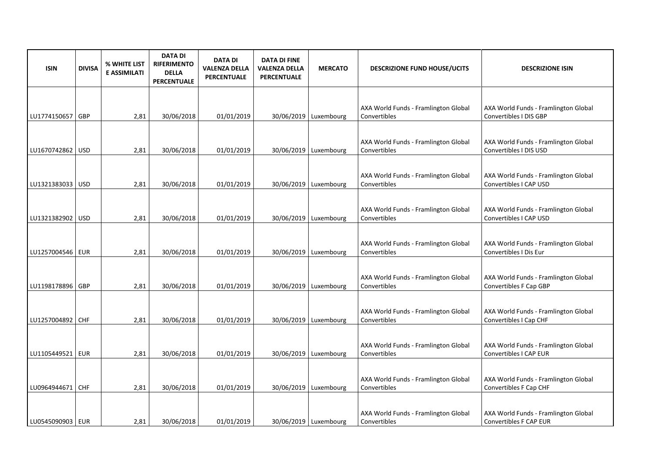| <b>ISIN</b>        | <b>DIVISA</b> | % WHITE LIST<br><b>E ASSIMILATI</b> | <b>DATA DI</b><br><b>RIFERIMENTO</b><br><b>DELLA</b><br><b>PERCENTUALE</b> | <b>DATA DI</b><br><b>VALENZA DELLA</b><br>PERCENTUALE | <b>DATA DI FINE</b><br><b>VALENZA DELLA</b><br><b>PERCENTUALE</b> | <b>MERCATO</b>          | <b>DESCRIZIONE FUND HOUSE/UCITS</b>                  | <b>DESCRIZIONE ISIN</b>                                        |
|--------------------|---------------|-------------------------------------|----------------------------------------------------------------------------|-------------------------------------------------------|-------------------------------------------------------------------|-------------------------|------------------------------------------------------|----------------------------------------------------------------|
|                    |               |                                     |                                                                            |                                                       |                                                                   |                         |                                                      |                                                                |
| LU1774150657   GBP |               | 2,81                                | 30/06/2018                                                                 | 01/01/2019                                            |                                                                   | 30/06/2019   Luxembourg | AXA World Funds - Framlington Global<br>Convertibles | AXA World Funds - Framlington Global<br>Convertibles I DIS GBP |
|                    |               |                                     |                                                                            |                                                       |                                                                   |                         |                                                      |                                                                |
| LU1670742862   USD |               | 2,81                                | 30/06/2018                                                                 | 01/01/2019                                            |                                                                   | 30/06/2019   Luxembourg | AXA World Funds - Framlington Global<br>Convertibles | AXA World Funds - Framlington Global<br>Convertibles I DIS USD |
|                    |               |                                     |                                                                            |                                                       |                                                                   |                         |                                                      |                                                                |
| LU1321383033   USD |               | 2,81                                | 30/06/2018                                                                 | 01/01/2019                                            |                                                                   | 30/06/2019   Luxembourg | AXA World Funds - Framlington Global<br>Convertibles | AXA World Funds - Framlington Global<br>Convertibles I CAP USD |
|                    |               |                                     |                                                                            |                                                       |                                                                   |                         |                                                      |                                                                |
| LU1321382902 USD   |               | 2,81                                | 30/06/2018                                                                 | 01/01/2019                                            |                                                                   | 30/06/2019 Luxembourg   | AXA World Funds - Framlington Global<br>Convertibles | AXA World Funds - Framlington Global<br>Convertibles I CAP USD |
|                    |               |                                     |                                                                            |                                                       |                                                                   |                         |                                                      |                                                                |
| LU1257004546   EUR |               | 2,81                                | 30/06/2018                                                                 | 01/01/2019                                            |                                                                   | 30/06/2019 Luxembourg   | AXA World Funds - Framlington Global<br>Convertibles | AXA World Funds - Framlington Global<br>Convertibles I Dis Eur |
|                    |               |                                     |                                                                            |                                                       |                                                                   |                         |                                                      |                                                                |
| LU1198178896 GBP   |               | 2,81                                | 30/06/2018                                                                 | 01/01/2019                                            |                                                                   | 30/06/2019   Luxembourg | AXA World Funds - Framlington Global<br>Convertibles | AXA World Funds - Framlington Global<br>Convertibles F Cap GBP |
|                    |               |                                     |                                                                            |                                                       |                                                                   |                         |                                                      |                                                                |
| LU1257004892 CHF   |               | 2,81                                | 30/06/2018                                                                 | 01/01/2019                                            |                                                                   | 30/06/2019   Luxembourg | AXA World Funds - Framlington Global<br>Convertibles | AXA World Funds - Framlington Global<br>Convertibles I Cap CHF |
|                    |               |                                     |                                                                            |                                                       |                                                                   |                         |                                                      |                                                                |
|                    |               |                                     |                                                                            |                                                       |                                                                   |                         | AXA World Funds - Framlington Global                 | AXA World Funds - Framlington Global                           |
| LU1105449521   EUR |               | 2,81                                | 30/06/2018                                                                 | 01/01/2019                                            |                                                                   | 30/06/2019 Luxembourg   | Convertibles                                         | Convertibles I CAP EUR                                         |
|                    |               |                                     |                                                                            |                                                       |                                                                   |                         |                                                      |                                                                |
| LU0964944671       | <b>CHF</b>    | 2,81                                | 30/06/2018                                                                 | 01/01/2019                                            |                                                                   | 30/06/2019   Luxembourg | AXA World Funds - Framlington Global<br>Convertibles | AXA World Funds - Framlington Global<br>Convertibles F Cap CHF |
|                    |               |                                     |                                                                            |                                                       |                                                                   |                         |                                                      |                                                                |
| LU0545090903   EUR |               | 2,81                                | 30/06/2018                                                                 | 01/01/2019                                            |                                                                   | 30/06/2019   Luxembourg | AXA World Funds - Framlington Global<br>Convertibles | AXA World Funds - Framlington Global<br>Convertibles F CAP EUR |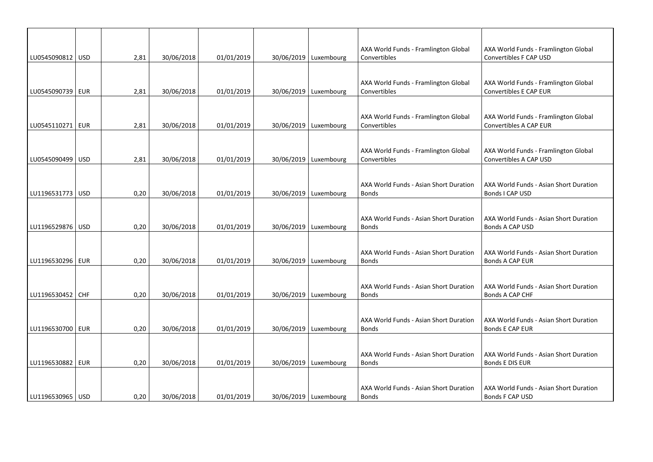| LU0545090812 USD   | 2,81 | 30/06/2018 | 01/01/2019 | 30/06/2019   Luxembourg | AXA World Funds - Framlington Global<br>Convertibles   | AXA World Funds - Framlington Global<br>Convertibles F CAP USD   |
|--------------------|------|------------|------------|-------------------------|--------------------------------------------------------|------------------------------------------------------------------|
|                    |      |            |            |                         |                                                        |                                                                  |
| LU0545090739   EUR |      |            | 01/01/2019 |                         | AXA World Funds - Framlington Global                   | AXA World Funds - Framlington Global<br>Convertibles E CAP EUR   |
|                    | 2,81 | 30/06/2018 |            | 30/06/2019 Luxembourg   | Convertibles                                           |                                                                  |
|                    |      |            |            |                         | AXA World Funds - Framlington Global                   | AXA World Funds - Framlington Global                             |
| LU0545110271   EUR | 2,81 | 30/06/2018 | 01/01/2019 | 30/06/2019   Luxembourg | Convertibles                                           | Convertibles A CAP EUR                                           |
|                    |      |            |            |                         |                                                        |                                                                  |
| LU0545090499   USD | 2,81 | 30/06/2018 | 01/01/2019 | 30/06/2019   Luxembourg | AXA World Funds - Framlington Global<br>Convertibles   | AXA World Funds - Framlington Global<br>Convertibles A CAP USD   |
|                    |      |            |            |                         |                                                        |                                                                  |
|                    |      |            |            |                         | AXA World Funds - Asian Short Duration                 | AXA World Funds - Asian Short Duration                           |
| LU1196531773 USD   | 0,20 | 30/06/2018 | 01/01/2019 | 30/06/2019   Luxembourg | <b>Bonds</b>                                           | Bonds I CAP USD                                                  |
|                    |      |            |            |                         | AXA World Funds - Asian Short Duration                 | AXA World Funds - Asian Short Duration                           |
| LU1196529876 USD   | 0,20 | 30/06/2018 | 01/01/2019 | 30/06/2019   Luxembourg | <b>Bonds</b>                                           | Bonds A CAP USD                                                  |
|                    |      |            |            |                         |                                                        |                                                                  |
|                    |      |            |            |                         | AXA World Funds - Asian Short Duration                 | AXA World Funds - Asian Short Duration                           |
| LU1196530296 EUR   | 0,20 | 30/06/2018 | 01/01/2019 | 30/06/2019   Luxembourg | <b>Bonds</b>                                           | Bonds A CAP EUR                                                  |
|                    |      |            |            |                         | AXA World Funds - Asian Short Duration                 | AXA World Funds - Asian Short Duration                           |
| LU1196530452 CHF   | 0,20 | 30/06/2018 | 01/01/2019 | 30/06/2019   Luxembourg | <b>Bonds</b>                                           | Bonds A CAP CHF                                                  |
|                    |      |            |            |                         |                                                        |                                                                  |
| LU1196530700   EUR | 0,20 | 30/06/2018 | 01/01/2019 | 30/06/2019   Luxembourg | AXA World Funds - Asian Short Duration<br><b>Bonds</b> | AXA World Funds - Asian Short Duration<br><b>Bonds E CAP EUR</b> |
|                    |      |            |            |                         |                                                        |                                                                  |
|                    |      |            |            |                         | AXA World Funds - Asian Short Duration                 | AXA World Funds - Asian Short Duration                           |
| LU1196530882   EUR | 0,20 | 30/06/2018 | 01/01/2019 | 30/06/2019   Luxembourg | <b>Bonds</b>                                           | Bonds E DIS EUR                                                  |
|                    |      |            |            |                         |                                                        |                                                                  |
| LU1196530965   USD | 0,20 | 30/06/2018 | 01/01/2019 | 30/06/2019   Luxembourg | AXA World Funds - Asian Short Duration<br><b>Bonds</b> | AXA World Funds - Asian Short Duration<br>Bonds F CAP USD        |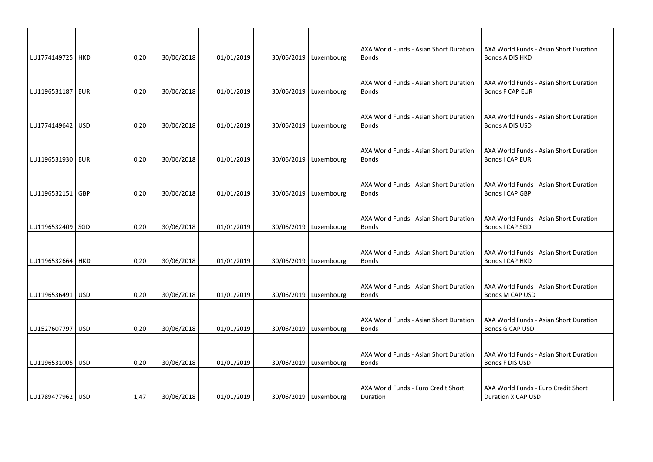| LU1774149725   HKD | 0,20 | 30/06/2018 | 01/01/2019 | 30/06/2019   Luxembourg | AXA World Funds - Asian Short Duration<br><b>Bonds</b> | AXA World Funds - Asian Short Duration<br>Bonds A DIS HKD |
|--------------------|------|------------|------------|-------------------------|--------------------------------------------------------|-----------------------------------------------------------|
|                    |      |            |            |                         |                                                        |                                                           |
|                    |      |            |            |                         | AXA World Funds - Asian Short Duration                 | AXA World Funds - Asian Short Duration                    |
| LU1196531187   EUR | 0,20 | 30/06/2018 | 01/01/2019 | 30/06/2019   Luxembourg | <b>Bonds</b>                                           | Bonds F CAP EUR                                           |
|                    |      |            |            |                         | AXA World Funds - Asian Short Duration                 | AXA World Funds - Asian Short Duration                    |
| LU1774149642   USD | 0,20 | 30/06/2018 | 01/01/2019 | 30/06/2019   Luxembourg | <b>Bonds</b>                                           | Bonds A DIS USD                                           |
|                    |      |            |            |                         |                                                        |                                                           |
| LU1196531930   EUR | 0,20 | 30/06/2018 | 01/01/2019 | 30/06/2019   Luxembourg | AXA World Funds - Asian Short Duration<br><b>Bonds</b> | AXA World Funds - Asian Short Duration<br>Bonds I CAP EUR |
|                    |      |            |            |                         |                                                        |                                                           |
|                    |      |            |            |                         | AXA World Funds - Asian Short Duration                 | AXA World Funds - Asian Short Duration                    |
| LU1196532151 GBP   | 0,20 | 30/06/2018 | 01/01/2019 | 30/06/2019   Luxembourg | <b>Bonds</b>                                           | <b>Bonds I CAP GBP</b>                                    |
|                    |      |            |            |                         | AXA World Funds - Asian Short Duration                 | AXA World Funds - Asian Short Duration                    |
| LU1196532409   SGD | 0,20 | 30/06/2018 | 01/01/2019 | 30/06/2019   Luxembourg | <b>Bonds</b>                                           | Bonds I CAP SGD                                           |
|                    |      |            |            |                         |                                                        |                                                           |
| LU1196532664   HKD | 0,20 | 30/06/2018 | 01/01/2019 | 30/06/2019   Luxembourg | AXA World Funds - Asian Short Duration<br><b>Bonds</b> | AXA World Funds - Asian Short Duration<br>Bonds I CAP HKD |
|                    |      |            |            |                         |                                                        |                                                           |
|                    |      |            |            |                         | AXA World Funds - Asian Short Duration                 | AXA World Funds - Asian Short Duration                    |
| LU1196536491   USD | 0,20 | 30/06/2018 | 01/01/2019 | 30/06/2019   Luxembourg | <b>Bonds</b>                                           | Bonds M CAP USD                                           |
|                    |      |            |            |                         |                                                        |                                                           |
| LU1527607797 USD   | 0,20 | 30/06/2018 | 01/01/2019 | 30/06/2019   Luxembourg | AXA World Funds - Asian Short Duration<br><b>Bonds</b> | AXA World Funds - Asian Short Duration<br>Bonds G CAP USD |
|                    |      |            |            |                         |                                                        |                                                           |
|                    |      |            |            |                         | AXA World Funds - Asian Short Duration                 | AXA World Funds - Asian Short Duration                    |
| LU1196531005   USD | 0,20 | 30/06/2018 | 01/01/2019 | 30/06/2019   Luxembourg | <b>Bonds</b>                                           | Bonds F DIS USD                                           |
|                    |      |            |            |                         |                                                        |                                                           |
| LU1789477962   USD | 1,47 | 30/06/2018 | 01/01/2019 | 30/06/2019 Luxembourg   | AXA World Funds - Euro Credit Short<br>Duration        | AXA World Funds - Euro Credit Short<br>Duration X CAP USD |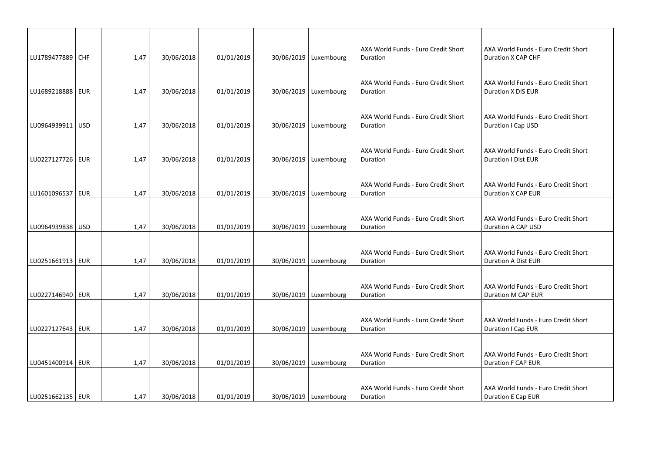|                    |      |            |            |                         | AXA World Funds - Euro Credit Short | AXA World Funds - Euro Credit Short |
|--------------------|------|------------|------------|-------------------------|-------------------------------------|-------------------------------------|
| LU1789477889 CHF   | 1,47 | 30/06/2018 | 01/01/2019 | 30/06/2019   Luxembourg | Duration                            | Duration X CAP CHF                  |
|                    |      |            |            |                         |                                     |                                     |
|                    |      |            |            |                         | AXA World Funds - Euro Credit Short | AXA World Funds - Euro Credit Short |
| LU1689218888   EUR | 1,47 | 30/06/2018 | 01/01/2019 | 30/06/2019   Luxembourg | Duration                            | Duration X DIS EUR                  |
|                    |      |            |            |                         |                                     |                                     |
|                    |      |            |            |                         | AXA World Funds - Euro Credit Short | AXA World Funds - Euro Credit Short |
| LU0964939911   USD | 1,47 | 30/06/2018 | 01/01/2019 | 30/06/2019   Luxembourg | Duration                            | Duration I Cap USD                  |
|                    |      |            |            |                         |                                     |                                     |
|                    |      |            |            |                         | AXA World Funds - Euro Credit Short | AXA World Funds - Euro Credit Short |
| LU0227127726 EUR   | 1,47 | 30/06/2018 | 01/01/2019 | 30/06/2019   Luxembourg | Duration                            | <b>Duration I Dist EUR</b>          |
|                    |      |            |            |                         |                                     |                                     |
|                    |      |            |            |                         | AXA World Funds - Euro Credit Short | AXA World Funds - Euro Credit Short |
| LU1601096537   EUR | 1,47 | 30/06/2018 | 01/01/2019 | 30/06/2019   Luxembourg | Duration                            | Duration X CAP EUR                  |
|                    |      |            |            |                         |                                     |                                     |
|                    |      |            |            |                         | AXA World Funds - Euro Credit Short | AXA World Funds - Euro Credit Short |
| LU0964939838 USD   | 1,47 | 30/06/2018 | 01/01/2019 | 30/06/2019   Luxembourg | Duration                            | Duration A CAP USD                  |
|                    |      |            |            |                         |                                     |                                     |
|                    |      |            |            |                         | AXA World Funds - Euro Credit Short | AXA World Funds - Euro Credit Short |
| LU0251661913   EUR | 1,47 | 30/06/2018 | 01/01/2019 | 30/06/2019   Luxembourg | Duration                            | <b>Duration A Dist EUR</b>          |
|                    |      |            |            |                         |                                     |                                     |
|                    |      |            |            |                         | AXA World Funds - Euro Credit Short | AXA World Funds - Euro Credit Short |
| LU0227146940   EUR | 1,47 | 30/06/2018 | 01/01/2019 | 30/06/2019   Luxembourg | Duration                            | Duration M CAP EUR                  |
|                    |      |            |            |                         |                                     |                                     |
|                    |      |            |            |                         | AXA World Funds - Euro Credit Short | AXA World Funds - Euro Credit Short |
| LU0227127643   EUR | 1,47 | 30/06/2018 | 01/01/2019 | 30/06/2019   Luxembourg | Duration                            | Duration I Cap EUR                  |
|                    |      |            |            |                         |                                     |                                     |
|                    |      |            |            |                         | AXA World Funds - Euro Credit Short | AXA World Funds - Euro Credit Short |
| LU0451400914   EUR | 1,47 | 30/06/2018 | 01/01/2019 | 30/06/2019 Luxembourg   | Duration                            | Duration F CAP EUR                  |
|                    |      |            |            |                         |                                     |                                     |
|                    |      |            |            |                         | AXA World Funds - Euro Credit Short | AXA World Funds - Euro Credit Short |
| LU0251662135   EUR | 1.47 | 30/06/2018 | 01/01/2019 | 30/06/2019   Luxembourg | Duration                            | Duration E Cap EUR                  |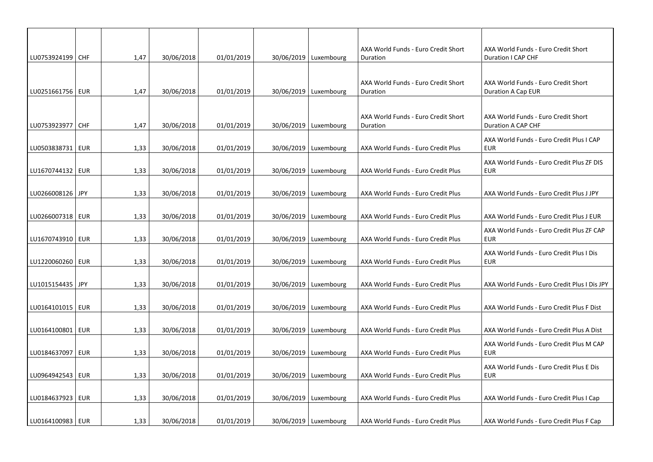| LU0753924199 CHF   | 1,47 | 30/06/2018 | 01/01/2019 | 30/06/2019   Luxembourg | AXA World Funds - Euro Credit Short<br>Duration | AXA World Funds - Euro Credit Short<br>Duration I CAP CHF |
|--------------------|------|------------|------------|-------------------------|-------------------------------------------------|-----------------------------------------------------------|
|                    |      |            |            |                         |                                                 |                                                           |
| LU0251661756   EUR | 1,47 | 30/06/2018 | 01/01/2019 | 30/06/2019   Luxembourg | AXA World Funds - Euro Credit Short<br>Duration | AXA World Funds - Euro Credit Short<br>Duration A Cap EUR |
|                    |      |            |            |                         |                                                 |                                                           |
| LU0753923977   CHF | 1,47 | 30/06/2018 | 01/01/2019 | 30/06/2019   Luxembourg | AXA World Funds - Euro Credit Short<br>Duration | AXA World Funds - Euro Credit Short<br>Duration A CAP CHF |
| LU0503838731   EUR | 1,33 | 30/06/2018 | 01/01/2019 | 30/06/2019   Luxembourg | AXA World Funds - Euro Credit Plus              | AXA World Funds - Euro Credit Plus I CAP<br><b>EUR</b>    |
|                    |      | 30/06/2018 | 01/01/2019 | 30/06/2019   Luxembourg |                                                 | AXA World Funds - Euro Credit Plus ZF DIS                 |
| LU1670744132   EUR | 1,33 |            |            |                         | AXA World Funds - Euro Credit Plus              | <b>EUR</b>                                                |
| LU0266008126 JPY   | 1,33 | 30/06/2018 | 01/01/2019 | 30/06/2019   Luxembourg | AXA World Funds - Euro Credit Plus              | AXA World Funds - Euro Credit Plus J JPY                  |
| LU0266007318   EUR | 1,33 | 30/06/2018 | 01/01/2019 | 30/06/2019   Luxembourg | AXA World Funds - Euro Credit Plus              | AXA World Funds - Euro Credit Plus J EUR                  |
|                    |      |            |            |                         |                                                 | AXA World Funds - Euro Credit Plus ZF CAP                 |
| LU1670743910   EUR | 1,33 | 30/06/2018 | 01/01/2019 | 30/06/2019   Luxembourg | AXA World Funds - Euro Credit Plus              | EUR                                                       |
| LU1220060260   EUR | 1,33 | 30/06/2018 | 01/01/2019 | 30/06/2019   Luxembourg | AXA World Funds - Euro Credit Plus              | AXA World Funds - Euro Credit Plus I Dis<br><b>EUR</b>    |
|                    |      |            |            |                         |                                                 |                                                           |
| LU1015154435   JPY | 1,33 | 30/06/2018 | 01/01/2019 | 30/06/2019   Luxembourg | AXA World Funds - Euro Credit Plus              | AXA World Funds - Euro Credit Plus I Dis JPY              |
| LU0164101015   EUR | 1,33 | 30/06/2018 | 01/01/2019 | 30/06/2019   Luxembourg | AXA World Funds - Euro Credit Plus              | AXA World Funds - Euro Credit Plus F Dist                 |
| LU0164100801   EUR | 1,33 | 30/06/2018 | 01/01/2019 | 30/06/2019   Luxembourg | AXA World Funds - Euro Credit Plus              | AXA World Funds - Euro Credit Plus A Dist                 |
|                    |      |            |            |                         |                                                 | AXA World Funds - Euro Credit Plus M CAP                  |
| LU0184637097   EUR | 1,33 | 30/06/2018 | 01/01/2019 | 30/06/2019   Luxembourg | AXA World Funds - Euro Credit Plus              | <b>EUR</b>                                                |
| LU0964942543   EUR | 1,33 | 30/06/2018 | 01/01/2019 | 30/06/2019   Luxembourg | AXA World Funds - Euro Credit Plus              | AXA World Funds - Euro Credit Plus E Dis<br><b>EUR</b>    |
| LU0184637923   EUR | 1,33 | 30/06/2018 | 01/01/2019 | 30/06/2019   Luxembourg | AXA World Funds - Euro Credit Plus              | AXA World Funds - Euro Credit Plus I Cap                  |
|                    |      |            |            |                         |                                                 |                                                           |
| LU0164100983   EUR | 1,33 | 30/06/2018 | 01/01/2019 | 30/06/2019   Luxembourg | AXA World Funds - Euro Credit Plus              | AXA World Funds - Euro Credit Plus F Cap                  |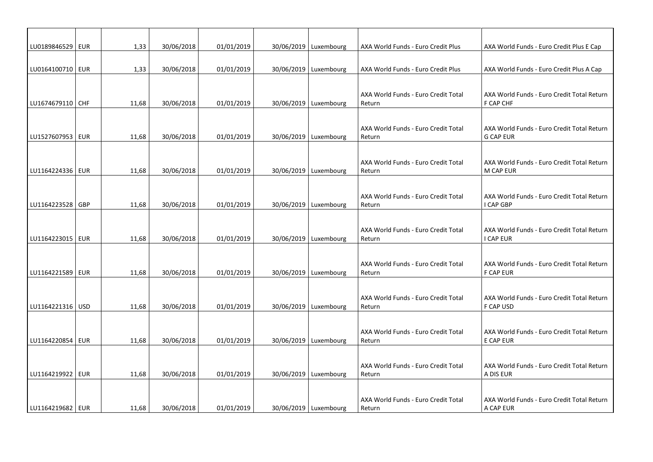| LU0189846529   EUR | 1,33  | 30/06/2018 | 01/01/2019 | 30/06/2019   Luxembourg | AXA World Funds - Euro Credit Plus            | AXA World Funds - Euro Credit Plus E Cap                       |
|--------------------|-------|------------|------------|-------------------------|-----------------------------------------------|----------------------------------------------------------------|
| LU0164100710 EUR   | 1,33  | 30/06/2018 | 01/01/2019 | 30/06/2019   Luxembourg | AXA World Funds - Euro Credit Plus            | AXA World Funds - Euro Credit Plus A Cap                       |
|                    |       |            |            |                         |                                               |                                                                |
| LU1674679110 CHF   | 11,68 | 30/06/2018 | 01/01/2019 | 30/06/2019 Luxembourg   | AXA World Funds - Euro Credit Total<br>Return | AXA World Funds - Euro Credit Total Return<br>F CAP CHF        |
|                    |       |            |            |                         |                                               |                                                                |
| LU1527607953   EUR | 11,68 | 30/06/2018 | 01/01/2019 | 30/06/2019   Luxembourg | AXA World Funds - Euro Credit Total<br>Return | AXA World Funds - Euro Credit Total Return<br><b>G CAP EUR</b> |
|                    |       |            |            |                         |                                               |                                                                |
| LU1164224336   EUR | 11,68 | 30/06/2018 | 01/01/2019 | 30/06/2019   Luxembourg | AXA World Funds - Euro Credit Total<br>Return | AXA World Funds - Euro Credit Total Return<br>M CAP EUR        |
|                    |       |            |            |                         |                                               |                                                                |
| LU1164223528 GBP   | 11,68 | 30/06/2018 | 01/01/2019 | 30/06/2019   Luxembourg | AXA World Funds - Euro Credit Total<br>Return | AXA World Funds - Euro Credit Total Return<br>I CAP GBP        |
|                    |       |            |            |                         |                                               |                                                                |
| LU1164223015   EUR | 11,68 | 30/06/2018 | 01/01/2019 | 30/06/2019   Luxembourg | AXA World Funds - Euro Credit Total<br>Return | AXA World Funds - Euro Credit Total Return<br>I CAP EUR        |
|                    |       |            |            |                         |                                               |                                                                |
| LU1164221589   EUR | 11,68 | 30/06/2018 | 01/01/2019 | 30/06/2019   Luxembourg | AXA World Funds - Euro Credit Total<br>Return | AXA World Funds - Euro Credit Total Return<br><b>F CAP EUR</b> |
|                    |       |            |            |                         |                                               |                                                                |
| LU1164221316   USD | 11,68 | 30/06/2018 | 01/01/2019 | 30/06/2019   Luxembourg | AXA World Funds - Euro Credit Total<br>Return | AXA World Funds - Euro Credit Total Return<br>F CAP USD        |
|                    |       |            |            |                         |                                               |                                                                |
| LU1164220854   EUR | 11,68 | 30/06/2018 | 01/01/2019 | 30/06/2019   Luxembourg | AXA World Funds - Euro Credit Total<br>Return | AXA World Funds - Euro Credit Total Return<br>E CAP EUR        |
|                    |       |            |            |                         |                                               |                                                                |
| LU1164219922   EUR | 11,68 | 30/06/2018 | 01/01/2019 | 30/06/2019   Luxembourg | AXA World Funds - Euro Credit Total<br>Return | AXA World Funds - Euro Credit Total Return<br>A DIS EUR        |
|                    |       |            |            |                         |                                               |                                                                |
| LU1164219682 EUR   | 11,68 | 30/06/2018 | 01/01/2019 | 30/06/2019   Luxembourg | AXA World Funds - Euro Credit Total<br>Return | AXA World Funds - Euro Credit Total Return<br>A CAP EUR        |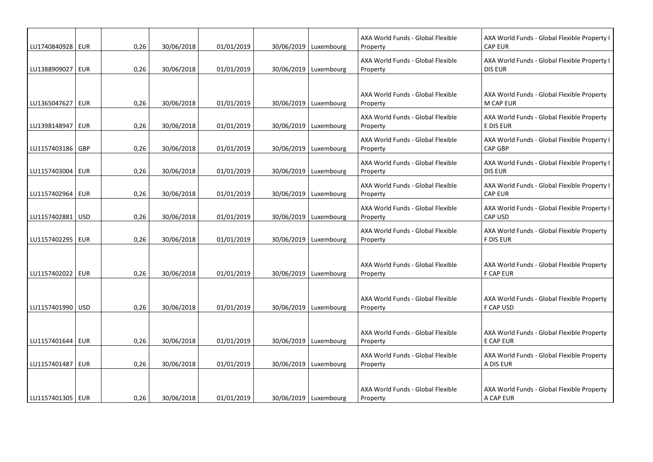| LU1740840928   EUR | 0,26 | 30/06/2018 | 01/01/2019 | 30/06/2019   Luxembourg | AXA World Funds - Global Flexible<br>Property | AXA World Funds - Global Flexible Property I<br><b>CAP EUR</b> |
|--------------------|------|------------|------------|-------------------------|-----------------------------------------------|----------------------------------------------------------------|
| LU1388909027   EUR | 0,26 | 30/06/2018 | 01/01/2019 | 30/06/2019   Luxembourg | AXA World Funds - Global Flexible<br>Property | AXA World Funds - Global Flexible Property I<br><b>DIS EUR</b> |
| LU1365047627   EUR | 0,26 | 30/06/2018 | 01/01/2019 | 30/06/2019   Luxembourg | AXA World Funds - Global Flexible<br>Property | AXA World Funds - Global Flexible Property<br>M CAP EUR        |
| LU1398148947   EUR | 0,26 | 30/06/2018 | 01/01/2019 | 30/06/2019   Luxembourg | AXA World Funds - Global Flexible<br>Property | AXA World Funds - Global Flexible Property<br>E DIS EUR        |
| LU1157403186   GBP | 0,26 | 30/06/2018 | 01/01/2019 | 30/06/2019   Luxembourg | AXA World Funds - Global Flexible<br>Property | AXA World Funds - Global Flexible Property I<br><b>CAP GBP</b> |
| LU1157403004   EUR | 0,26 | 30/06/2018 | 01/01/2019 | 30/06/2019   Luxembourg | AXA World Funds - Global Flexible<br>Property | AXA World Funds - Global Flexible Property I<br><b>DIS EUR</b> |
| LU1157402964   EUR | 0,26 | 30/06/2018 | 01/01/2019 | 30/06/2019   Luxembourg | AXA World Funds - Global Flexible<br>Property | AXA World Funds - Global Flexible Property I<br><b>CAP EUR</b> |
| LU1157402881   USD | 0,26 | 30/06/2018 | 01/01/2019 | 30/06/2019   Luxembourg | AXA World Funds - Global Flexible<br>Property | AXA World Funds - Global Flexible Property I<br><b>CAP USD</b> |
| LU1157402295   EUR | 0,26 | 30/06/2018 | 01/01/2019 | 30/06/2019   Luxembourg | AXA World Funds - Global Flexible<br>Property | AXA World Funds - Global Flexible Property<br><b>F DIS EUR</b> |
| LU1157402022   EUR | 0,26 | 30/06/2018 | 01/01/2019 | 30/06/2019   Luxembourg | AXA World Funds - Global Flexible<br>Property | AXA World Funds - Global Flexible Property<br><b>F CAP EUR</b> |
| LU1157401990   USD | 0,26 | 30/06/2018 | 01/01/2019 | 30/06/2019   Luxembourg | AXA World Funds - Global Flexible<br>Property | AXA World Funds - Global Flexible Property<br>F CAP USD        |
| LU1157401644   EUR | 0,26 | 30/06/2018 | 01/01/2019 | 30/06/2019   Luxembourg | AXA World Funds - Global Flexible<br>Property | AXA World Funds - Global Flexible Property<br>E CAP EUR        |
| LU1157401487   EUR | 0,26 | 30/06/2018 | 01/01/2019 | 30/06/2019   Luxembourg | AXA World Funds - Global Flexible<br>Property | AXA World Funds - Global Flexible Property<br>A DIS EUR        |
| LU1157401305   EUR | 0,26 | 30/06/2018 | 01/01/2019 | 30/06/2019   Luxembourg | AXA World Funds - Global Flexible<br>Property | AXA World Funds - Global Flexible Property<br>A CAP EUR        |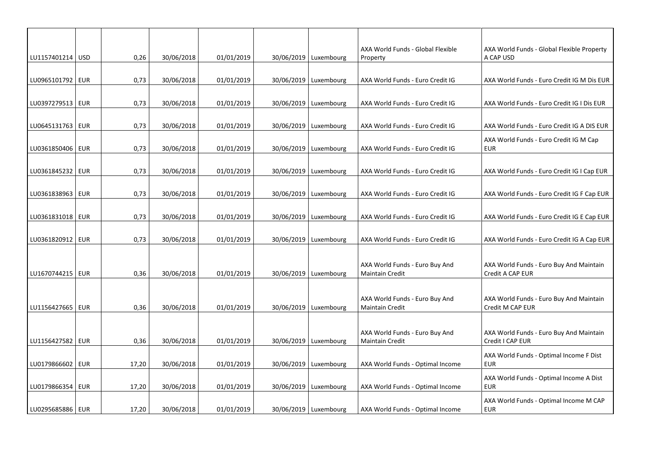| LU1157401214 USD   |     | 0,26  | 30/06/2018 | 01/01/2019 | 30/06/2019   Luxembourg | AXA World Funds - Global Flexible<br>Property     | AXA World Funds - Global Flexible Property<br>A CAP USD     |
|--------------------|-----|-------|------------|------------|-------------------------|---------------------------------------------------|-------------------------------------------------------------|
|                    |     |       |            |            |                         |                                                   |                                                             |
| LU0965101792   EUR |     | 0,73  | 30/06/2018 | 01/01/2019 | 30/06/2019   Luxembourg | AXA World Funds - Euro Credit IG                  | AXA World Funds - Euro Credit IG M Dis EUR                  |
|                    |     |       |            |            |                         |                                                   |                                                             |
| LU0397279513   EUR |     | 0,73  | 30/06/2018 | 01/01/2019 | 30/06/2019   Luxembourg | AXA World Funds - Euro Credit IG                  | AXA World Funds - Euro Credit IG I Dis EUR                  |
|                    |     |       |            |            |                         |                                                   |                                                             |
| LU0645131763   EUR |     | 0,73  | 30/06/2018 | 01/01/2019 | 30/06/2019   Luxembourg | AXA World Funds - Euro Credit IG                  | AXA World Funds - Euro Credit IG A DIS EUR                  |
| LU0361850406   EUR |     | 0,73  | 30/06/2018 | 01/01/2019 | 30/06/2019 Luxembourg   | AXA World Funds - Euro Credit IG                  | AXA World Funds - Euro Credit IG M Cap<br><b>EUR</b>        |
|                    |     |       |            |            |                         |                                                   |                                                             |
| LU0361845232   EUR |     | 0,73  | 30/06/2018 | 01/01/2019 | 30/06/2019   Luxembourg | AXA World Funds - Euro Credit IG                  | AXA World Funds - Euro Credit IG I Cap EUR                  |
|                    |     |       |            |            |                         |                                                   |                                                             |
| LU0361838963   EUR |     | 0,73  | 30/06/2018 | 01/01/2019 | 30/06/2019   Luxembourg | AXA World Funds - Euro Credit IG                  | AXA World Funds - Euro Credit IG F Cap EUR                  |
|                    |     |       |            |            |                         |                                                   |                                                             |
| LU0361831018   EUR |     | 0,73  | 30/06/2018 | 01/01/2019 | 30/06/2019   Luxembourg | AXA World Funds - Euro Credit IG                  | AXA World Funds - Euro Credit IG E Cap EUR                  |
| LU0361820912   EUR |     | 0,73  | 30/06/2018 | 01/01/2019 | 30/06/2019   Luxembourg | AXA World Funds - Euro Credit IG                  | AXA World Funds - Euro Credit IG A Cap EUR                  |
|                    |     |       |            |            |                         |                                                   |                                                             |
|                    |     |       |            |            |                         | AXA World Funds - Euro Buy And                    | AXA World Funds - Euro Buy And Maintain                     |
| LU1670744215   EUR |     | 0,36  | 30/06/2018 | 01/01/2019 | 30/06/2019   Luxembourg | <b>Maintain Credit</b>                            | Credit A CAP EUR                                            |
|                    |     |       |            |            |                         |                                                   |                                                             |
| LU1156427665   EUR |     | 0,36  | 30/06/2018 | 01/01/2019 | 30/06/2019 Luxembourg   | AXA World Funds - Euro Buy And<br>Maintain Credit | AXA World Funds - Euro Buy And Maintain<br>Credit M CAP EUR |
|                    |     |       |            |            |                         |                                                   |                                                             |
|                    |     |       |            |            |                         | AXA World Funds - Euro Buy And                    | AXA World Funds - Euro Buy And Maintain                     |
| LU1156427582   EUR |     | 0,36  | 30/06/2018 | 01/01/2019 | 30/06/2019   Luxembourg | <b>Maintain Credit</b>                            | Credit I CAP EUR                                            |
|                    |     |       |            |            |                         |                                                   | AXA World Funds - Optimal Income F Dist                     |
| LU0179866602       | EUR | 17,20 | 30/06/2018 | 01/01/2019 | 30/06/2019   Luxembourg | AXA World Funds - Optimal Income                  | <b>EUR</b>                                                  |
|                    |     |       |            |            |                         |                                                   | AXA World Funds - Optimal Income A Dist                     |
| LU0179866354   EUR |     | 17,20 | 30/06/2018 | 01/01/2019 | 30/06/2019   Luxembourg | AXA World Funds - Optimal Income                  | <b>EUR</b>                                                  |
| LU0295685886   EUR |     | 17,20 | 30/06/2018 | 01/01/2019 | 30/06/2019   Luxembourg |                                                   | AXA World Funds - Optimal Income M CAP<br><b>EUR</b>        |
|                    |     |       |            |            |                         | AXA World Funds - Optimal Income                  |                                                             |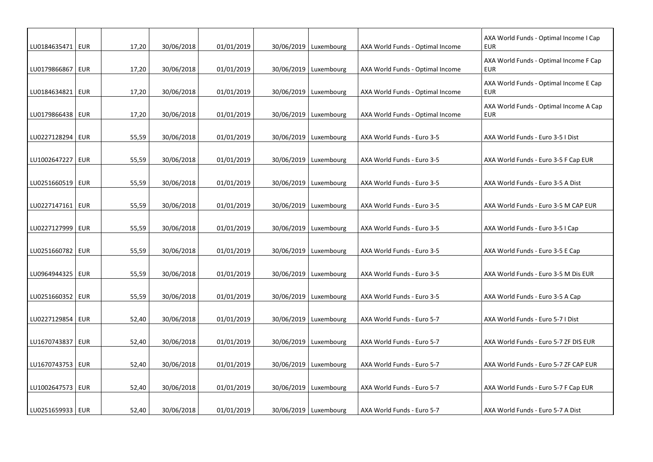| LU0184635471   EUR | 17,20 | 30/06/2018 | 01/01/2019 | 30/06/2019   Luxembourg | AXA World Funds - Optimal Income | AXA World Funds - Optimal Income I Cap<br><b>EUR</b> |
|--------------------|-------|------------|------------|-------------------------|----------------------------------|------------------------------------------------------|
| LU0179866867   EUR | 17,20 | 30/06/2018 | 01/01/2019 | 30/06/2019   Luxembourg | AXA World Funds - Optimal Income | AXA World Funds - Optimal Income F Cap<br>EUR        |
| LU0184634821   EUR | 17,20 | 30/06/2018 | 01/01/2019 | 30/06/2019   Luxembourg | AXA World Funds - Optimal Income | AXA World Funds - Optimal Income E Cap<br><b>EUR</b> |
| LU0179866438   EUR | 17,20 | 30/06/2018 | 01/01/2019 | 30/06/2019   Luxembourg | AXA World Funds - Optimal Income | AXA World Funds - Optimal Income A Cap<br><b>EUR</b> |
| LU0227128294 EUR   | 55,59 | 30/06/2018 | 01/01/2019 | 30/06/2019 Luxembourg   | AXA World Funds - Euro 3-5       | AXA World Funds - Euro 3-5 I Dist                    |
| LU1002647227   EUR | 55,59 | 30/06/2018 | 01/01/2019 | 30/06/2019   Luxembourg | AXA World Funds - Euro 3-5       | AXA World Funds - Euro 3-5 F Cap EUR                 |
| LU0251660519   EUR | 55,59 | 30/06/2018 | 01/01/2019 | 30/06/2019   Luxembourg | AXA World Funds - Euro 3-5       | AXA World Funds - Euro 3-5 A Dist                    |
| LU0227147161   EUR | 55,59 | 30/06/2018 | 01/01/2019 | 30/06/2019   Luxembourg | AXA World Funds - Euro 3-5       | AXA World Funds - Euro 3-5 M CAP EUR                 |
| LU0227127999   EUR | 55,59 | 30/06/2018 | 01/01/2019 | 30/06/2019   Luxembourg | AXA World Funds - Euro 3-5       | AXA World Funds - Euro 3-5 I Cap                     |
| LU0251660782   EUR | 55,59 | 30/06/2018 | 01/01/2019 | 30/06/2019   Luxembourg | AXA World Funds - Euro 3-5       | AXA World Funds - Euro 3-5 E Cap                     |
| LU0964944325   EUR | 55,59 | 30/06/2018 | 01/01/2019 | 30/06/2019   Luxembourg | AXA World Funds - Euro 3-5       | AXA World Funds - Euro 3-5 M Dis EUR                 |
| LU0251660352   EUR | 55,59 | 30/06/2018 | 01/01/2019 | 30/06/2019   Luxembourg | AXA World Funds - Euro 3-5       | AXA World Funds - Euro 3-5 A Cap                     |
| LU0227129854   EUR | 52,40 | 30/06/2018 | 01/01/2019 | 30/06/2019 Luxembourg   | AXA World Funds - Euro 5-7       | AXA World Funds - Euro 5-7 I Dist                    |
| LU1670743837   EUR | 52,40 | 30/06/2018 | 01/01/2019 | 30/06/2019   Luxembourg | AXA World Funds - Euro 5-7       | AXA World Funds - Euro 5-7 ZF DIS EUR                |
| LU1670743753   EUR | 52,40 | 30/06/2018 | 01/01/2019 | 30/06/2019 Luxembourg   | AXA World Funds - Euro 5-7       | AXA World Funds - Euro 5-7 ZF CAP EUR                |
| LU1002647573   EUR | 52,40 | 30/06/2018 | 01/01/2019 | 30/06/2019   Luxembourg | AXA World Funds - Euro 5-7       | AXA World Funds - Euro 5-7 F Cap EUR                 |
| LU0251659933   EUR | 52,40 | 30/06/2018 | 01/01/2019 | 30/06/2019   Luxembourg | AXA World Funds - Euro 5-7       | AXA World Funds - Euro 5-7 A Dist                    |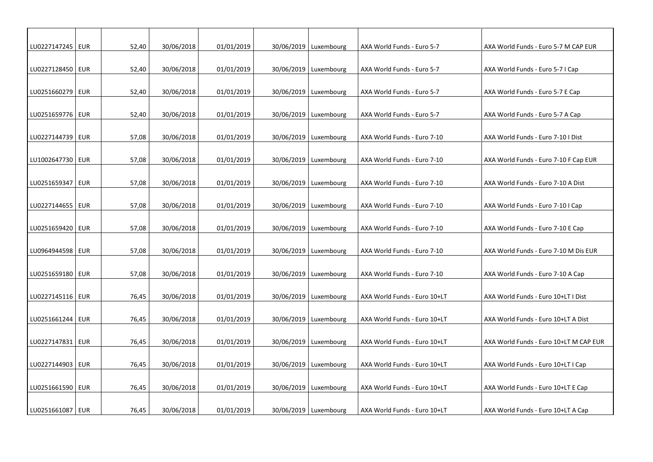| LU0227147245   EUR |            | 52,40 | 30/06/2018 | 01/01/2019 | 30/06/2019   Luxembourg | AXA World Funds - Euro 5-7   | AXA World Funds - Euro 5-7 M CAP EUR   |
|--------------------|------------|-------|------------|------------|-------------------------|------------------------------|----------------------------------------|
| LU0227128450 EUR   |            | 52,40 | 30/06/2018 | 01/01/2019 | 30/06/2019   Luxembourg | AXA World Funds - Euro 5-7   | AXA World Funds - Euro 5-7 I Cap       |
| LU0251660279 EUR   |            | 52,40 | 30/06/2018 | 01/01/2019 | 30/06/2019   Luxembourg | AXA World Funds - Euro 5-7   | AXA World Funds - Euro 5-7 E Cap       |
| LU0251659776   EUR |            | 52,40 | 30/06/2018 | 01/01/2019 | 30/06/2019   Luxembourg | AXA World Funds - Euro 5-7   | AXA World Funds - Euro 5-7 A Cap       |
| LU0227144739   EUR |            | 57,08 | 30/06/2018 | 01/01/2019 | 30/06/2019   Luxembourg | AXA World Funds - Euro 7-10  | AXA World Funds - Euro 7-10 I Dist     |
| LU1002647730   EUR |            | 57,08 | 30/06/2018 | 01/01/2019 | 30/06/2019   Luxembourg | AXA World Funds - Euro 7-10  | AXA World Funds - Euro 7-10 F Cap EUR  |
| LU0251659347   EUR |            | 57,08 | 30/06/2018 | 01/01/2019 | 30/06/2019   Luxembourg | AXA World Funds - Euro 7-10  | AXA World Funds - Euro 7-10 A Dist     |
| LU0227144655   EUR |            | 57,08 | 30/06/2018 | 01/01/2019 | 30/06/2019   Luxembourg | AXA World Funds - Euro 7-10  | AXA World Funds - Euro 7-10 I Cap      |
| LU0251659420   EUR |            | 57,08 | 30/06/2018 | 01/01/2019 | 30/06/2019   Luxembourg | AXA World Funds - Euro 7-10  | AXA World Funds - Euro 7-10 E Cap      |
| LU0964944598       | <b>EUR</b> | 57,08 | 30/06/2018 | 01/01/2019 | 30/06/2019   Luxembourg | AXA World Funds - Euro 7-10  | AXA World Funds - Euro 7-10 M Dis EUR  |
| LU0251659180   EUR |            | 57,08 | 30/06/2018 | 01/01/2019 | 30/06/2019   Luxembourg | AXA World Funds - Euro 7-10  | AXA World Funds - Euro 7-10 A Cap      |
| LU0227145116   EUR |            | 76,45 | 30/06/2018 | 01/01/2019 | 30/06/2019   Luxembourg | AXA World Funds - Euro 10+LT | AXA World Funds - Euro 10+LT I Dist    |
| LU0251661244   EUR |            | 76,45 | 30/06/2018 | 01/01/2019 | 30/06/2019   Luxembourg | AXA World Funds - Euro 10+LT | AXA World Funds - Euro 10+LT A Dist    |
| LU0227147831   EUR |            | 76,45 | 30/06/2018 | 01/01/2019 | 30/06/2019   Luxembourg | AXA World Funds - Euro 10+LT | AXA World Funds - Euro 10+LT M CAP EUR |
| LU0227144903   EUR |            | 76,45 | 30/06/2018 | 01/01/2019 | 30/06/2019   Luxembourg | AXA World Funds - Euro 10+LT | AXA World Funds - Euro 10+LT I Cap     |
| LU0251661590   EUR |            | 76,45 | 30/06/2018 | 01/01/2019 | 30/06/2019   Luxembourg | AXA World Funds - Euro 10+LT | AXA World Funds - Euro 10+LT E Cap     |
| LU0251661087   EUR |            | 76,45 | 30/06/2018 | 01/01/2019 | 30/06/2019   Luxembourg | AXA World Funds - Euro 10+LT | AXA World Funds - Euro 10+LT A Cap     |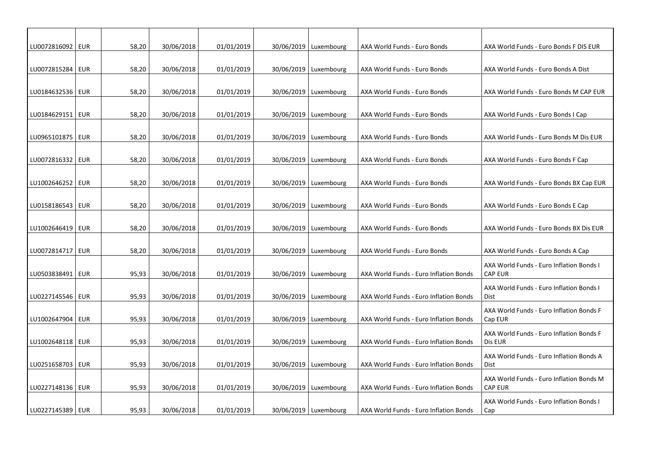| LU0072816092   EUR |            | 58,20 | 30/06/2018 | 01/01/2019 | 30/06/2019   Luxembourg | AXA World Funds - Euro Bonds           | AXA World Funds - Euro Bonds F DIS EUR                                         |
|--------------------|------------|-------|------------|------------|-------------------------|----------------------------------------|--------------------------------------------------------------------------------|
| LU0072815284   EUR |            | 58,20 | 30/06/2018 | 01/01/2019 | 30/06/2019   Luxembourg | AXA World Funds - Euro Bonds           | AXA World Funds - Euro Bonds A Dist                                            |
| LU0184632536   EUR |            | 58,20 | 30/06/2018 | 01/01/2019 | 30/06/2019   Luxembourg | AXA World Funds - Euro Bonds           | AXA World Funds - Euro Bonds M CAP EUR                                         |
| LU0184629151       | <b>EUR</b> | 58,20 | 30/06/2018 | 01/01/2019 | 30/06/2019   Luxembourg | AXA World Funds - Euro Bonds           | AXA World Funds - Euro Bonds I Cap                                             |
| LU0965101875   EUR |            | 58,20 | 30/06/2018 | 01/01/2019 | 30/06/2019   Luxembourg | AXA World Funds - Euro Bonds           | AXA World Funds - Euro Bonds M Dis EUR                                         |
| LU0072816332   EUR |            | 58,20 | 30/06/2018 | 01/01/2019 | 30/06/2019   Luxembourg | AXA World Funds - Euro Bonds           | AXA World Funds - Euro Bonds F Cap                                             |
|                    |            |       |            | 01/01/2019 | 30/06/2019 Luxembourg   |                                        |                                                                                |
| LU1002646252   EUR |            | 58,20 | 30/06/2018 |            |                         | AXA World Funds - Euro Bonds           | AXA World Funds - Euro Bonds BX Cap EUR                                        |
| LU0158186543   EUR |            | 58,20 | 30/06/2018 | 01/01/2019 | 30/06/2019   Luxembourg | AXA World Funds - Euro Bonds           | AXA World Funds - Euro Bonds E Cap                                             |
| LU1002646419   EUR |            | 58,20 | 30/06/2018 | 01/01/2019 | 30/06/2019   Luxembourg | AXA World Funds - Euro Bonds           | AXA World Funds - Euro Bonds BX Dis EUR                                        |
| LU0072814717       | <b>EUR</b> | 58,20 | 30/06/2018 | 01/01/2019 | 30/06/2019   Luxembourg | AXA World Funds - Euro Bonds           | AXA World Funds - Euro Bonds A Cap<br>AXA World Funds - Euro Inflation Bonds I |
| LU0503838491       | EUR        | 95,93 | 30/06/2018 | 01/01/2019 | 30/06/2019   Luxembourg | AXA World Funds - Euro Inflation Bonds | <b>CAP EUR</b><br>AXA World Funds - Euro Inflation Bonds I                     |
| LU0227145546   EUR |            | 95,93 | 30/06/2018 | 01/01/2019 | 30/06/2019   Luxembourg | AXA World Funds - Euro Inflation Bonds | Dist<br>AXA World Funds - Euro Inflation Bonds F                               |
| LU1002647904   EUR |            | 95,93 | 30/06/2018 | 01/01/2019 | 30/06/2019   Luxembourg | AXA World Funds - Euro Inflation Bonds | Cap EUR<br>AXA World Funds - Euro Inflation Bonds F                            |
| LU1002648118   EUR |            | 95,93 | 30/06/2018 | 01/01/2019 | 30/06/2019   Luxembourg | AXA World Funds - Euro Inflation Bonds | Dis EUR<br>AXA World Funds - Euro Inflation Bonds A                            |
| LU0251658703   EUR |            | 95,93 | 30/06/2018 | 01/01/2019 | 30/06/2019   Luxembourg | AXA World Funds - Euro Inflation Bonds | Dist<br>AXA World Funds - Euro Inflation Bonds M                               |
| LU0227148136   EUR |            | 95,93 | 30/06/2018 | 01/01/2019 | 30/06/2019   Luxembourg | AXA World Funds - Euro Inflation Bonds | <b>CAP EUR</b><br>AXA World Funds - Euro Inflation Bonds I                     |
| LU0227145389   EUR |            | 95,93 | 30/06/2018 | 01/01/2019 | 30/06/2019   Luxembourg | AXA World Funds - Euro Inflation Bonds | Cap                                                                            |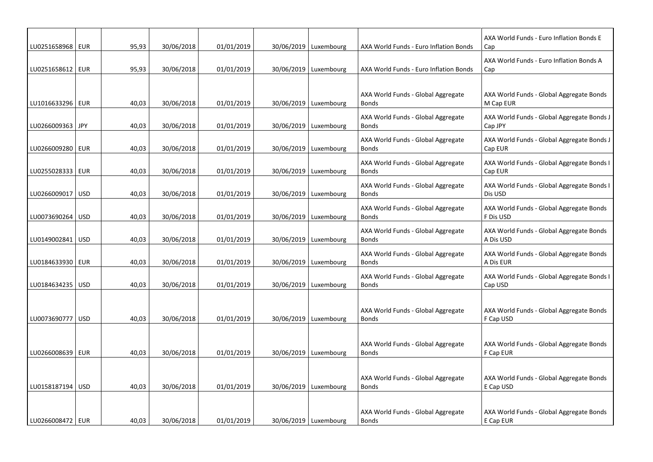| LU0251658968   EUR |            | 95,93 | 30/06/2018 | 01/01/2019 | 30/06/2019   Luxembourg | AXA World Funds - Euro Inflation Bonds             | AXA World Funds - Euro Inflation Bonds E<br>Cap       |
|--------------------|------------|-------|------------|------------|-------------------------|----------------------------------------------------|-------------------------------------------------------|
| LU0251658612   EUR |            | 95,93 | 30/06/2018 | 01/01/2019 | 30/06/2019   Luxembourg | AXA World Funds - Euro Inflation Bonds             | AXA World Funds - Euro Inflation Bonds A<br>Cap       |
|                    |            |       |            |            |                         |                                                    |                                                       |
| LU1016633296   EUR |            | 40,03 | 30/06/2018 | 01/01/2019 | 30/06/2019   Luxembourg | AXA World Funds - Global Aggregate<br><b>Bonds</b> | AXA World Funds - Global Aggregate Bonds<br>M Cap EUR |
| LU0266009363       | JPY        | 40,03 | 30/06/2018 | 01/01/2019 | 30/06/2019   Luxembourg | AXA World Funds - Global Aggregate<br><b>Bonds</b> | AXA World Funds - Global Aggregate Bonds J<br>Cap JPY |
| LU0266009280 EUR   |            | 40,03 | 30/06/2018 | 01/01/2019 | 30/06/2019   Luxembourg | AXA World Funds - Global Aggregate<br><b>Bonds</b> | AXA World Funds - Global Aggregate Bonds J<br>Cap EUR |
| LU0255028333   EUR |            | 40,03 | 30/06/2018 | 01/01/2019 | 30/06/2019   Luxembourg | AXA World Funds - Global Aggregate<br><b>Bonds</b> | AXA World Funds - Global Aggregate Bonds I<br>Cap EUR |
| LU0266009017   USD |            | 40,03 | 30/06/2018 | 01/01/2019 | 30/06/2019   Luxembourg | AXA World Funds - Global Aggregate<br><b>Bonds</b> | AXA World Funds - Global Aggregate Bonds I<br>Dis USD |
| LU0073690264   USD |            | 40,03 | 30/06/2018 | 01/01/2019 | 30/06/2019   Luxembourg | AXA World Funds - Global Aggregate<br><b>Bonds</b> | AXA World Funds - Global Aggregate Bonds<br>F Dis USD |
| LU0149002841       | <b>USD</b> | 40,03 | 30/06/2018 | 01/01/2019 | 30/06/2019   Luxembourg | AXA World Funds - Global Aggregate<br><b>Bonds</b> | AXA World Funds - Global Aggregate Bonds<br>A Dis USD |
| LU0184633930   EUR |            | 40,03 | 30/06/2018 | 01/01/2019 | 30/06/2019   Luxembourg | AXA World Funds - Global Aggregate<br><b>Bonds</b> | AXA World Funds - Global Aggregate Bonds<br>A Dis EUR |
| LU0184634235 USD   |            | 40,03 | 30/06/2018 | 01/01/2019 | 30/06/2019   Luxembourg | AXA World Funds - Global Aggregate<br><b>Bonds</b> | AXA World Funds - Global Aggregate Bonds I<br>Cap USD |
|                    |            |       |            |            |                         |                                                    |                                                       |
| LU0073690777       | <b>USD</b> | 40,03 | 30/06/2018 | 01/01/2019 | 30/06/2019   Luxembourg | AXA World Funds - Global Aggregate<br><b>Bonds</b> | AXA World Funds - Global Aggregate Bonds<br>F Cap USD |
|                    |            |       |            |            |                         | AXA World Funds - Global Aggregate                 | AXA World Funds - Global Aggregate Bonds              |
| LU0266008639   EUR |            | 40,03 | 30/06/2018 | 01/01/2019 | 30/06/2019   Luxembourg | <b>Bonds</b>                                       | F Cap EUR                                             |
|                    |            |       |            |            |                         |                                                    |                                                       |
| LU0158187194   USD |            | 40,03 | 30/06/2018 | 01/01/2019 | 30/06/2019   Luxembourg | AXA World Funds - Global Aggregate<br><b>Bonds</b> | AXA World Funds - Global Aggregate Bonds<br>E Cap USD |
|                    |            |       |            |            |                         |                                                    |                                                       |
| LU0266008472   EUR |            | 40,03 | 30/06/2018 | 01/01/2019 | 30/06/2019   Luxembourg | AXA World Funds - Global Aggregate<br><b>Bonds</b> | AXA World Funds - Global Aggregate Bonds<br>E Cap EUR |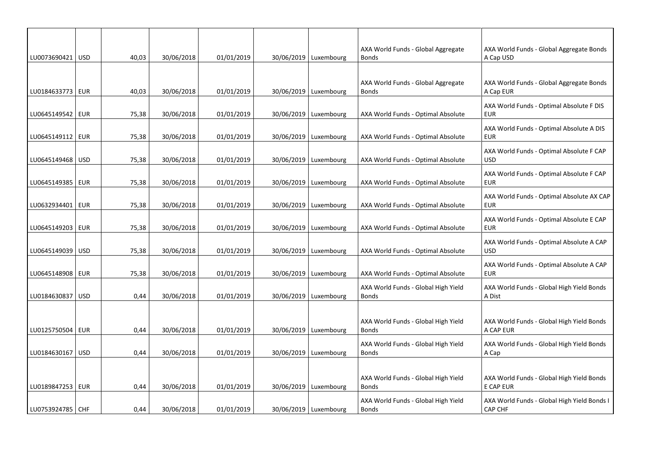|                    |            |       |            |            |                         | AXA World Funds - Global Aggregate                  | AXA World Funds - Global Aggregate Bonds                |
|--------------------|------------|-------|------------|------------|-------------------------|-----------------------------------------------------|---------------------------------------------------------|
| LU0073690421   USD |            | 40,03 | 30/06/2018 | 01/01/2019 | 30/06/2019   Luxembourg | <b>Bonds</b>                                        | A Cap USD                                               |
|                    |            |       |            |            |                         |                                                     |                                                         |
| LU0184633773 EUR   |            | 40,03 | 30/06/2018 | 01/01/2019 | 30/06/2019   Luxembourg | AXA World Funds - Global Aggregate<br><b>Bonds</b>  | AXA World Funds - Global Aggregate Bonds<br>A Cap EUR   |
| LU0645149542   EUR |            | 75,38 | 30/06/2018 | 01/01/2019 | 30/06/2019   Luxembourg | AXA World Funds - Optimal Absolute                  | AXA World Funds - Optimal Absolute F DIS<br><b>EUR</b>  |
| LU0645149112   EUR |            | 75,38 | 30/06/2018 | 01/01/2019 | 30/06/2019   Luxembourg | AXA World Funds - Optimal Absolute                  | AXA World Funds - Optimal Absolute A DIS<br>EUR         |
|                    |            |       |            |            |                         |                                                     |                                                         |
| LU0645149468 USD   |            | 75,38 | 30/06/2018 | 01/01/2019 | 30/06/2019   Luxembourg | AXA World Funds - Optimal Absolute                  | AXA World Funds - Optimal Absolute F CAP<br><b>USD</b>  |
| LU0645149385       | EUR        | 75,38 | 30/06/2018 | 01/01/2019 | 30/06/2019   Luxembourg | AXA World Funds - Optimal Absolute                  | AXA World Funds - Optimal Absolute F CAP<br><b>EUR</b>  |
| LU0632934401   EUR |            | 75,38 | 30/06/2018 | 01/01/2019 | 30/06/2019   Luxembourg | AXA World Funds - Optimal Absolute                  | AXA World Funds - Optimal Absolute AX CAP<br><b>EUR</b> |
| LU0645149203   EUR |            | 75,38 | 30/06/2018 | 01/01/2019 | 30/06/2019   Luxembourg | AXA World Funds - Optimal Absolute                  | AXA World Funds - Optimal Absolute E CAP<br><b>EUR</b>  |
| LU0645149039   USD |            | 75,38 | 30/06/2018 | 01/01/2019 | 30/06/2019 Luxembourg   | AXA World Funds - Optimal Absolute                  | AXA World Funds - Optimal Absolute A CAP<br><b>USD</b>  |
| LU0645148908   EUR |            | 75,38 | 30/06/2018 | 01/01/2019 | 30/06/2019   Luxembourg | AXA World Funds - Optimal Absolute                  | AXA World Funds - Optimal Absolute A CAP<br><b>EUR</b>  |
| LU0184630837       | <b>USD</b> | 0,44  | 30/06/2018 | 01/01/2019 | 30/06/2019   Luxembourg | AXA World Funds - Global High Yield<br><b>Bonds</b> | AXA World Funds - Global High Yield Bonds<br>A Dist     |
|                    |            |       |            |            |                         |                                                     |                                                         |
| LU0125750504   EUR |            | 0,44  | 30/06/2018 | 01/01/2019 | 30/06/2019 Luxembourg   | AXA World Funds - Global High Yield<br><b>Bonds</b> | AXA World Funds - Global High Yield Bonds<br>A CAP EUR  |
| LU0184630167       | <b>USD</b> | 0,44  | 30/06/2018 | 01/01/2019 | 30/06/2019   Luxembourg | AXA World Funds - Global High Yield<br><b>Bonds</b> | AXA World Funds - Global High Yield Bonds<br>A Cap      |
|                    |            |       |            |            |                         |                                                     |                                                         |
| LU0189847253   EUR |            | 0,44  | 30/06/2018 | 01/01/2019 | 30/06/2019   Luxembourg | AXA World Funds - Global High Yield<br><b>Bonds</b> | AXA World Funds - Global High Yield Bonds<br>E CAP EUR  |
| LU0753924785   CHF |            | 0,44  | 30/06/2018 | 01/01/2019 | 30/06/2019   Luxembourg | AXA World Funds - Global High Yield<br><b>Bonds</b> | AXA World Funds - Global High Yield Bonds I<br>CAP CHF  |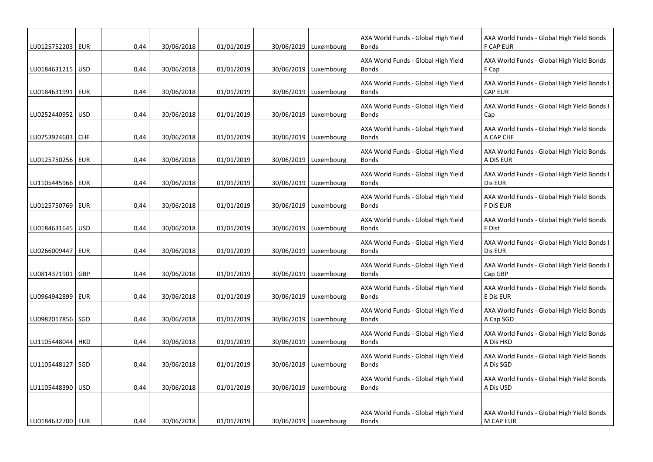| LU0125752203   EUR |            | 0,44 | 30/06/2018 | 01/01/2019 | 30/06/2019   Luxembourg | AXA World Funds - Global High Yield<br><b>Bonds</b> | AXA World Funds - Global High Yield Bonds<br><b>F CAP EUR</b> |
|--------------------|------------|------|------------|------------|-------------------------|-----------------------------------------------------|---------------------------------------------------------------|
| LU0184631215   USD |            | 0,44 | 30/06/2018 | 01/01/2019 | 30/06/2019   Luxembourg | AXA World Funds - Global High Yield<br><b>Bonds</b> | AXA World Funds - Global High Yield Bonds<br>F Cap            |
| LU0184631991       | <b>EUR</b> | 0,44 | 30/06/2018 | 01/01/2019 | 30/06/2019   Luxembourg | AXA World Funds - Global High Yield<br><b>Bonds</b> | AXA World Funds - Global High Yield Bonds I<br><b>CAP EUR</b> |
| LU0252440952       | <b>USD</b> | 0,44 | 30/06/2018 | 01/01/2019 | 30/06/2019   Luxembourg | AXA World Funds - Global High Yield<br><b>Bonds</b> | AXA World Funds - Global High Yield Bonds I<br>Cap            |
| LU0753924603       | <b>CHF</b> | 0,44 | 30/06/2018 | 01/01/2019 | 30/06/2019   Luxembourg | AXA World Funds - Global High Yield<br><b>Bonds</b> | AXA World Funds - Global High Yield Bonds<br>A CAP CHF        |
| LU0125750256   EUR |            | 0,44 | 30/06/2018 | 01/01/2019 | 30/06/2019   Luxembourg | AXA World Funds - Global High Yield<br><b>Bonds</b> | AXA World Funds - Global High Yield Bonds<br>A DIS EUR        |
| LU1105445966   EUR |            | 0,44 | 30/06/2018 | 01/01/2019 | 30/06/2019   Luxembourg | AXA World Funds - Global High Yield<br><b>Bonds</b> | AXA World Funds - Global High Yield Bonds I<br>Dis EUR        |
| LU0125750769   EUR |            | 0,44 | 30/06/2018 | 01/01/2019 | 30/06/2019 Luxembourg   | AXA World Funds - Global High Yield<br><b>Bonds</b> | AXA World Funds - Global High Yield Bonds<br><b>F DIS EUR</b> |
| LU0184631645   USD |            | 0,44 | 30/06/2018 | 01/01/2019 | 30/06/2019   Luxembourg | AXA World Funds - Global High Yield<br><b>Bonds</b> | AXA World Funds - Global High Yield Bonds<br>F Dist           |
| LU0266009447       | <b>EUR</b> | 0,44 | 30/06/2018 | 01/01/2019 | 30/06/2019   Luxembourg | AXA World Funds - Global High Yield<br><b>Bonds</b> | AXA World Funds - Global High Yield Bonds I<br>Dis EUR        |
| LU0814371901       | <b>GBP</b> | 0,44 | 30/06/2018 | 01/01/2019 | 30/06/2019   Luxembourg | AXA World Funds - Global High Yield<br><b>Bonds</b> | AXA World Funds - Global High Yield Bonds I<br>Cap GBP        |
| LU0964942899       | <b>EUR</b> | 0,44 | 30/06/2018 | 01/01/2019 | 30/06/2019   Luxembourg | AXA World Funds - Global High Yield<br><b>Bonds</b> | AXA World Funds - Global High Yield Bonds<br>E Dis EUR        |
| LU0982017856   SGD |            | 0,44 | 30/06/2018 | 01/01/2019 | 30/06/2019   Luxembourg | AXA World Funds - Global High Yield<br><b>Bonds</b> | AXA World Funds - Global High Yield Bonds<br>A Cap SGD        |
| LU1105448044   HKD |            | 0,44 | 30/06/2018 | 01/01/2019 | 30/06/2019   Luxembourg | AXA World Funds - Global High Yield<br><b>Bonds</b> | AXA World Funds - Global High Yield Bonds<br>A Dis HKD        |
| LU1105448127       | SGD        | 0,44 | 30/06/2018 | 01/01/2019 | 30/06/2019   Luxembourg | AXA World Funds - Global High Yield<br><b>Bonds</b> | AXA World Funds - Global High Yield Bonds<br>A Dis SGD        |
| LU1105448390   USD |            | 0,44 | 30/06/2018 | 01/01/2019 | 30/06/2019   Luxembourg | AXA World Funds - Global High Yield<br><b>Bonds</b> | AXA World Funds - Global High Yield Bonds<br>A Dis USD        |
|                    |            |      |            |            |                         |                                                     |                                                               |
| LU0184632700   EUR |            | 0,44 | 30/06/2018 | 01/01/2019 | 30/06/2019   Luxembourg | AXA World Funds - Global High Yield<br><b>Bonds</b> | AXA World Funds - Global High Yield Bonds<br>M CAP EUR        |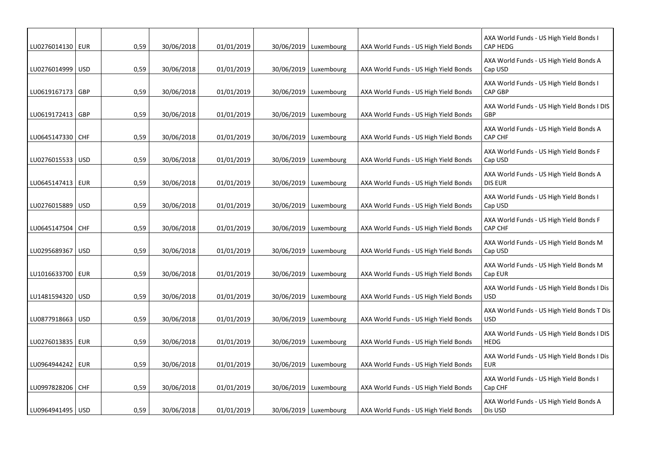| LU0276014130   EUR |            | 0,59 | 30/06/2018 | 01/01/2019 | 30/06/2019   Luxembourg | AXA World Funds - US High Yield Bonds | AXA World Funds - US High Yield Bonds I<br><b>CAP HEDG</b> |
|--------------------|------------|------|------------|------------|-------------------------|---------------------------------------|------------------------------------------------------------|
| LU0276014999 USD   |            | 0,59 | 30/06/2018 | 01/01/2019 | 30/06/2019   Luxembourg | AXA World Funds - US High Yield Bonds | AXA World Funds - US High Yield Bonds A<br>Cap USD         |
| LU0619167173   GBP |            | 0,59 | 30/06/2018 | 01/01/2019 | 30/06/2019   Luxembourg | AXA World Funds - US High Yield Bonds | AXA World Funds - US High Yield Bonds I<br><b>CAP GBP</b>  |
| LU0619172413   GBP |            | 0,59 | 30/06/2018 | 01/01/2019 | 30/06/2019   Luxembourg | AXA World Funds - US High Yield Bonds | AXA World Funds - US High Yield Bonds I DIS<br>GBP         |
| LU0645147330 CHF   |            | 0,59 | 30/06/2018 | 01/01/2019 | 30/06/2019   Luxembourg | AXA World Funds - US High Yield Bonds | AXA World Funds - US High Yield Bonds A<br><b>CAP CHF</b>  |
| LU0276015533 USD   |            | 0,59 | 30/06/2018 | 01/01/2019 | 30/06/2019 Luxembourg   | AXA World Funds - US High Yield Bonds | AXA World Funds - US High Yield Bonds F<br>Cap USD         |
| LU0645147413   EUR |            | 0,59 | 30/06/2018 | 01/01/2019 | 30/06/2019   Luxembourg | AXA World Funds - US High Yield Bonds | AXA World Funds - US High Yield Bonds A<br>DIS EUR         |
| LU0276015889       | USD        | 0,59 | 30/06/2018 | 01/01/2019 | 30/06/2019   Luxembourg | AXA World Funds - US High Yield Bonds | AXA World Funds - US High Yield Bonds I<br>Cap USD         |
| LU0645147504   CHF |            | 0,59 | 30/06/2018 | 01/01/2019 | 30/06/2019   Luxembourg | AXA World Funds - US High Yield Bonds | AXA World Funds - US High Yield Bonds F<br><b>CAP CHF</b>  |
| LU0295689367       | <b>USD</b> | 0,59 | 30/06/2018 | 01/01/2019 | 30/06/2019   Luxembourg | AXA World Funds - US High Yield Bonds | AXA World Funds - US High Yield Bonds M<br>Cap USD         |
| LU1016633700   EUR |            | 0,59 | 30/06/2018 | 01/01/2019 | 30/06/2019   Luxembourg | AXA World Funds - US High Yield Bonds | AXA World Funds - US High Yield Bonds M<br>Cap EUR         |
| LU1481594320 USD   |            | 0,59 | 30/06/2018 | 01/01/2019 | 30/06/2019   Luxembourg | AXA World Funds - US High Yield Bonds | AXA World Funds - US High Yield Bonds I Dis<br><b>USD</b>  |
| LU0877918663       | <b>USD</b> | 0,59 | 30/06/2018 | 01/01/2019 | 30/06/2019   Luxembourg | AXA World Funds - US High Yield Bonds | AXA World Funds - US High Yield Bonds T Dis<br><b>USD</b>  |
| LU0276013835   EUR |            | 0,59 | 30/06/2018 | 01/01/2019 | 30/06/2019   Luxembourg | AXA World Funds - US High Yield Bonds | AXA World Funds - US High Yield Bonds I DIS<br><b>HEDG</b> |
| LU0964944242       | EUR        | 0,59 | 30/06/2018 | 01/01/2019 | 30/06/2019   Luxembourg | AXA World Funds - US High Yield Bonds | AXA World Funds - US High Yield Bonds I Dis<br><b>EUR</b>  |
| LU0997828206 CHF   |            | 0,59 | 30/06/2018 | 01/01/2019 | 30/06/2019   Luxembourg | AXA World Funds - US High Yield Bonds | AXA World Funds - US High Yield Bonds I<br>Cap CHF         |
| LU0964941495   USD |            | 0,59 | 30/06/2018 | 01/01/2019 | 30/06/2019   Luxembourg | AXA World Funds - US High Yield Bonds | AXA World Funds - US High Yield Bonds A<br>Dis USD         |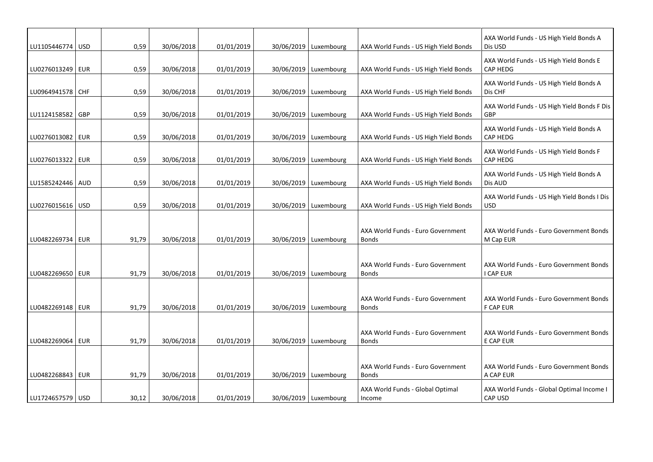| LU1105446774   USD | 0,59  | 30/06/2018 | 01/01/2019 | 30/06/2019   Luxembourg | AXA World Funds - US High Yield Bonds             | AXA World Funds - US High Yield Bonds A<br>Dis USD          |
|--------------------|-------|------------|------------|-------------------------|---------------------------------------------------|-------------------------------------------------------------|
| LU0276013249   EUR | 0,59  | 30/06/2018 | 01/01/2019 | 30/06/2019   Luxembourg | AXA World Funds - US High Yield Bonds             | AXA World Funds - US High Yield Bonds E<br>CAP HEDG         |
| LU0964941578 CHF   | 0,59  | 30/06/2018 | 01/01/2019 | 30/06/2019   Luxembourg | AXA World Funds - US High Yield Bonds             | AXA World Funds - US High Yield Bonds A<br>Dis CHF          |
| LU1124158582   GBP | 0,59  | 30/06/2018 | 01/01/2019 | 30/06/2019   Luxembourg | AXA World Funds - US High Yield Bonds             | AXA World Funds - US High Yield Bonds F Dis<br>GBP          |
| LU0276013082   EUR | 0,59  | 30/06/2018 | 01/01/2019 | 30/06/2019   Luxembourg | AXA World Funds - US High Yield Bonds             | AXA World Funds - US High Yield Bonds A<br><b>CAP HEDG</b>  |
| LU0276013322   EUR | 0,59  | 30/06/2018 | 01/01/2019 | 30/06/2019   Luxembourg | AXA World Funds - US High Yield Bonds             | AXA World Funds - US High Yield Bonds F<br><b>CAP HEDG</b>  |
| LU1585242446 AUD   | 0,59  | 30/06/2018 | 01/01/2019 | 30/06/2019   Luxembourg | AXA World Funds - US High Yield Bonds             | AXA World Funds - US High Yield Bonds A<br>Dis AUD          |
| LU0276015616   USD | 0,59  | 30/06/2018 | 01/01/2019 | 30/06/2019   Luxembourg | AXA World Funds - US High Yield Bonds             | AXA World Funds - US High Yield Bonds I Dis<br><b>USD</b>   |
|                    |       |            |            |                         | AXA World Funds - Euro Government                 | AXA World Funds - Euro Government Bonds                     |
| LU0482269734   EUR | 91,79 | 30/06/2018 | 01/01/2019 | 30/06/2019   Luxembourg | <b>Bonds</b>                                      | M Cap EUR                                                   |
| LU0482269650   EUR | 91,79 | 30/06/2018 | 01/01/2019 | 30/06/2019   Luxembourg | AXA World Funds - Euro Government<br><b>Bonds</b> | AXA World Funds - Euro Government Bonds<br>I CAP EUR        |
| LU0482269148   EUR | 91,79 | 30/06/2018 | 01/01/2019 | 30/06/2019   Luxembourg | AXA World Funds - Euro Government<br><b>Bonds</b> | AXA World Funds - Euro Government Bonds<br><b>F CAP EUR</b> |
|                    |       |            |            |                         |                                                   |                                                             |
| LU0482269064 EUR   | 91,79 | 30/06/2018 | 01/01/2019 | 30/06/2019   Luxembourg | AXA World Funds - Euro Government<br><b>Bonds</b> | AXA World Funds - Euro Government Bonds<br>E CAP EUR        |
| LU0482268843   EUR | 91,79 | 30/06/2018 | 01/01/2019 | 30/06/2019   Luxembourg | AXA World Funds - Euro Government<br><b>Bonds</b> | AXA World Funds - Euro Government Bonds<br>A CAP EUR        |
| LU1724657579   USD | 30,12 | 30/06/2018 | 01/01/2019 | 30/06/2019   Luxembourg | AXA World Funds - Global Optimal<br>Income        | AXA World Funds - Global Optimal Income I<br>CAP USD        |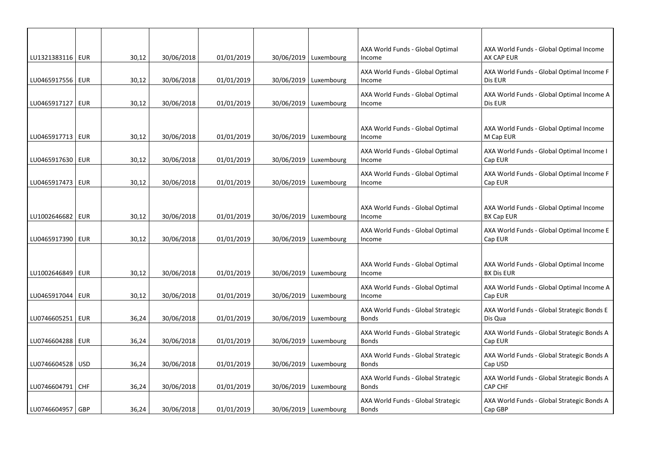| LU1321383116   EUR |            | 30,12 | 30/06/2018 | 01/01/2019 | 30/06/2019   Luxembourg | AXA World Funds - Global Optimal<br>Income         | AXA World Funds - Global Optimal Income<br>AX CAP EUR        |
|--------------------|------------|-------|------------|------------|-------------------------|----------------------------------------------------|--------------------------------------------------------------|
| LU0465917556   EUR |            | 30,12 | 30/06/2018 | 01/01/2019 | 30/06/2019   Luxembourg | AXA World Funds - Global Optimal<br>Income         | AXA World Funds - Global Optimal Income F<br>Dis EUR         |
| LU0465917127   EUR |            | 30,12 | 30/06/2018 | 01/01/2019 | 30/06/2019   Luxembourg | AXA World Funds - Global Optimal<br>Income         | AXA World Funds - Global Optimal Income A<br>Dis EUR         |
|                    |            |       |            |            |                         |                                                    |                                                              |
| LU0465917713   EUR |            | 30,12 | 30/06/2018 | 01/01/2019 | 30/06/2019   Luxembourg | AXA World Funds - Global Optimal<br>Income         | AXA World Funds - Global Optimal Income<br>M Cap EUR         |
| LU0465917630 EUR   |            | 30,12 | 30/06/2018 | 01/01/2019 | 30/06/2019   Luxembourg | AXA World Funds - Global Optimal<br>Income         | AXA World Funds - Global Optimal Income I<br>Cap EUR         |
| LU0465917473   EUR |            | 30,12 | 30/06/2018 | 01/01/2019 | 30/06/2019   Luxembourg | AXA World Funds - Global Optimal<br>Income         | AXA World Funds - Global Optimal Income F<br>Cap EUR         |
|                    |            |       |            |            |                         |                                                    |                                                              |
| LU1002646682   EUR |            | 30,12 | 30/06/2018 | 01/01/2019 | 30/06/2019   Luxembourg | AXA World Funds - Global Optimal<br>Income         | AXA World Funds - Global Optimal Income<br><b>BX Cap EUR</b> |
| LU0465917390   EUR |            | 30,12 | 30/06/2018 | 01/01/2019 | 30/06/2019   Luxembourg | AXA World Funds - Global Optimal<br>Income         | AXA World Funds - Global Optimal Income E<br>Cap EUR         |
|                    |            |       |            |            |                         |                                                    |                                                              |
| LU1002646849   EUR |            | 30,12 | 30/06/2018 | 01/01/2019 | 30/06/2019   Luxembourg | AXA World Funds - Global Optimal<br>Income         | AXA World Funds - Global Optimal Income<br><b>BX Dis EUR</b> |
| LU0465917044   EUR |            | 30,12 | 30/06/2018 | 01/01/2019 | 30/06/2019   Luxembourg | AXA World Funds - Global Optimal<br>Income         | AXA World Funds - Global Optimal Income A<br>Cap EUR         |
| LU0746605251   EUR |            | 36,24 | 30/06/2018 | 01/01/2019 | 30/06/2019   Luxembourg | AXA World Funds - Global Strategic<br><b>Bonds</b> | AXA World Funds - Global Strategic Bonds E<br>Dis Qua        |
| LU0746604288   EUR |            | 36,24 | 30/06/2018 | 01/01/2019 | 30/06/2019   Luxembourg | AXA World Funds - Global Strategic<br><b>Bonds</b> | AXA World Funds - Global Strategic Bonds A<br>Cap EUR        |
| LU0746604528   USD |            | 36,24 | 30/06/2018 | 01/01/2019 | 30/06/2019   Luxembourg | AXA World Funds - Global Strategic<br><b>Bonds</b> | AXA World Funds - Global Strategic Bonds A<br>Cap USD        |
| LU0746604791       | <b>CHF</b> | 36,24 | 30/06/2018 | 01/01/2019 | 30/06/2019   Luxembourg | AXA World Funds - Global Strategic<br><b>Bonds</b> | AXA World Funds - Global Strategic Bonds A<br>CAP CHF        |
| LU0746604957   GBP |            | 36,24 | 30/06/2018 | 01/01/2019 | 30/06/2019   Luxembourg | AXA World Funds - Global Strategic<br><b>Bonds</b> | AXA World Funds - Global Strategic Bonds A<br>Cap GBP        |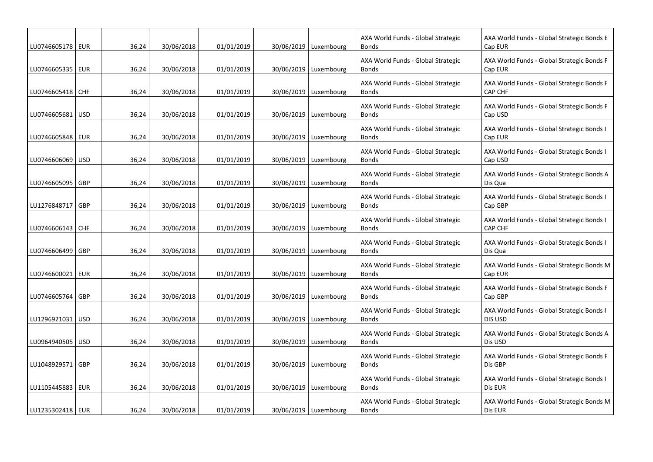| LU0746605178   EUR |            | 36,24 | 30/06/2018 | 01/01/2019 | 30/06/2019   Luxembourg | AXA World Funds - Global Strategic<br><b>Bonds</b> | AXA World Funds - Global Strategic Bonds E<br>Cap EUR        |
|--------------------|------------|-------|------------|------------|-------------------------|----------------------------------------------------|--------------------------------------------------------------|
| LU0746605335   EUR |            | 36,24 | 30/06/2018 | 01/01/2019 | 30/06/2019   Luxembourg | AXA World Funds - Global Strategic<br><b>Bonds</b> | AXA World Funds - Global Strategic Bonds F<br>Cap EUR        |
| LU0746605418 CHF   |            | 36,24 | 30/06/2018 | 01/01/2019 | 30/06/2019   Luxembourg | AXA World Funds - Global Strategic<br><b>Bonds</b> | AXA World Funds - Global Strategic Bonds F<br><b>CAP CHF</b> |
| LU0746605681       | USD        | 36,24 | 30/06/2018 | 01/01/2019 | 30/06/2019   Luxembourg | AXA World Funds - Global Strategic<br><b>Bonds</b> | AXA World Funds - Global Strategic Bonds F<br>Cap USD        |
| LU0746605848   EUR |            | 36,24 | 30/06/2018 | 01/01/2019 | 30/06/2019   Luxembourg | AXA World Funds - Global Strategic<br><b>Bonds</b> | AXA World Funds - Global Strategic Bonds I<br>Cap EUR        |
| LU0746606069   USD |            | 36,24 | 30/06/2018 | 01/01/2019 | 30/06/2019 Luxembourg   | AXA World Funds - Global Strategic<br><b>Bonds</b> | AXA World Funds - Global Strategic Bonds I<br>Cap USD        |
| LU0746605095       | GBP        | 36,24 | 30/06/2018 | 01/01/2019 | 30/06/2019   Luxembourg | AXA World Funds - Global Strategic<br><b>Bonds</b> | AXA World Funds - Global Strategic Bonds A<br>Dis Qua        |
| LU1276848717       | GBP        | 36,24 | 30/06/2018 | 01/01/2019 | 30/06/2019   Luxembourg | AXA World Funds - Global Strategic<br><b>Bonds</b> | AXA World Funds - Global Strategic Bonds I<br>Cap GBP        |
| LU0746606143   CHF |            | 36,24 | 30/06/2018 | 01/01/2019 | 30/06/2019   Luxembourg | AXA World Funds - Global Strategic<br><b>Bonds</b> | AXA World Funds - Global Strategic Bonds I<br><b>CAP CHF</b> |
| LU0746606499       | GBP        | 36,24 | 30/06/2018 | 01/01/2019 | 30/06/2019   Luxembourg | AXA World Funds - Global Strategic<br><b>Bonds</b> | AXA World Funds - Global Strategic Bonds I<br>Dis Qua        |
| LU0746600021       | <b>EUR</b> | 36,24 | 30/06/2018 | 01/01/2019 | 30/06/2019   Luxembourg | AXA World Funds - Global Strategic<br><b>Bonds</b> | AXA World Funds - Global Strategic Bonds M<br>Cap EUR        |
| LU0746605764       | <b>GBP</b> | 36,24 | 30/06/2018 | 01/01/2019 | 30/06/2019   Luxembourg | AXA World Funds - Global Strategic<br><b>Bonds</b> | AXA World Funds - Global Strategic Bonds F<br>Cap GBP        |
| LU1296921031       | <b>USD</b> | 36,24 | 30/06/2018 | 01/01/2019 | 30/06/2019   Luxembourg | AXA World Funds - Global Strategic<br><b>Bonds</b> | AXA World Funds - Global Strategic Bonds I<br><b>DIS USD</b> |
| LU0964940505   USD |            | 36,24 | 30/06/2018 | 01/01/2019 | 30/06/2019   Luxembourg | AXA World Funds - Global Strategic<br><b>Bonds</b> | AXA World Funds - Global Strategic Bonds A<br>Dis USD        |
| LU1048929571       | GBP        | 36,24 | 30/06/2018 | 01/01/2019 | 30/06/2019   Luxembourg | AXA World Funds - Global Strategic<br><b>Bonds</b> | AXA World Funds - Global Strategic Bonds F<br>Dis GBP        |
| LU1105445883   EUR |            | 36,24 | 30/06/2018 | 01/01/2019 | 30/06/2019   Luxembourg | AXA World Funds - Global Strategic<br><b>Bonds</b> | AXA World Funds - Global Strategic Bonds I<br>Dis EUR        |
| LU1235302418   EUR |            | 36,24 | 30/06/2018 | 01/01/2019 | 30/06/2019   Luxembourg | AXA World Funds - Global Strategic<br><b>Bonds</b> | AXA World Funds - Global Strategic Bonds M<br>Dis EUR        |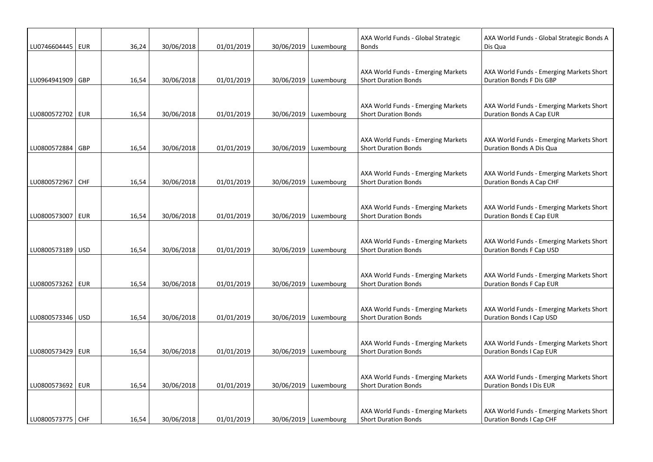| LU0746604445   EUR |            | 36,24 | 30/06/2018 | 01/01/2019 | 30/06/2019   Luxembourg | AXA World Funds - Global Strategic<br><b>Bonds</b>                | AXA World Funds - Global Strategic Bonds A<br>Dis Qua                       |
|--------------------|------------|-------|------------|------------|-------------------------|-------------------------------------------------------------------|-----------------------------------------------------------------------------|
|                    |            |       |            |            |                         | AXA World Funds - Emerging Markets                                | AXA World Funds - Emerging Markets Short                                    |
| LU0964941909 GBP   |            | 16,54 | 30/06/2018 | 01/01/2019 | 30/06/2019   Luxembourg | <b>Short Duration Bonds</b>                                       | Duration Bonds F Dis GBP                                                    |
| LU0800572702 EUR   |            | 16,54 | 30/06/2018 | 01/01/2019 | 30/06/2019 Luxembourg   | AXA World Funds - Emerging Markets<br><b>Short Duration Bonds</b> | AXA World Funds - Emerging Markets Short<br>Duration Bonds A Cap EUR        |
| LU0800572884       | GBP        | 16,54 | 30/06/2018 | 01/01/2019 | 30/06/2019   Luxembourg | AXA World Funds - Emerging Markets<br><b>Short Duration Bonds</b> | AXA World Funds - Emerging Markets Short<br>Duration Bonds A Dis Qua        |
| LU0800572967       | <b>CHF</b> | 16,54 | 30/06/2018 | 01/01/2019 | 30/06/2019 Luxembourg   | AXA World Funds - Emerging Markets<br><b>Short Duration Bonds</b> | AXA World Funds - Emerging Markets Short<br>Duration Bonds A Cap CHF        |
| LU0800573007   EUR |            | 16,54 | 30/06/2018 | 01/01/2019 | 30/06/2019   Luxembourg | AXA World Funds - Emerging Markets<br><b>Short Duration Bonds</b> | AXA World Funds - Emerging Markets Short<br>Duration Bonds E Cap EUR        |
| LU0800573189   USD |            | 16,54 | 30/06/2018 | 01/01/2019 | 30/06/2019   Luxembourg | AXA World Funds - Emerging Markets<br><b>Short Duration Bonds</b> | AXA World Funds - Emerging Markets Short<br>Duration Bonds F Cap USD        |
| LU0800573262 EUR   |            | 16,54 | 30/06/2018 | 01/01/2019 | 30/06/2019   Luxembourg | AXA World Funds - Emerging Markets<br><b>Short Duration Bonds</b> | AXA World Funds - Emerging Markets Short<br>Duration Bonds F Cap EUR        |
| LU0800573346   USD |            | 16,54 | 30/06/2018 | 01/01/2019 | 30/06/2019   Luxembourg | AXA World Funds - Emerging Markets<br><b>Short Duration Bonds</b> | AXA World Funds - Emerging Markets Short<br>Duration Bonds I Cap USD        |
| LU0800573429 EUR   |            | 16,54 | 30/06/2018 | 01/01/2019 | 30/06/2019   Luxembourg | AXA World Funds - Emerging Markets<br><b>Short Duration Bonds</b> | AXA World Funds - Emerging Markets Short<br>Duration Bonds I Cap EUR        |
| LU0800573692   EUR |            | 16,54 | 30/06/2018 | 01/01/2019 | 30/06/2019   Luxembourg | AXA World Funds - Emerging Markets<br><b>Short Duration Bonds</b> | AXA World Funds - Emerging Markets Short<br><b>Duration Bonds I Dis EUR</b> |
| LU0800573775 CHF   |            | 16,54 | 30/06/2018 | 01/01/2019 | 30/06/2019   Luxembourg | AXA World Funds - Emerging Markets<br><b>Short Duration Bonds</b> | AXA World Funds - Emerging Markets Short<br>Duration Bonds I Cap CHF        |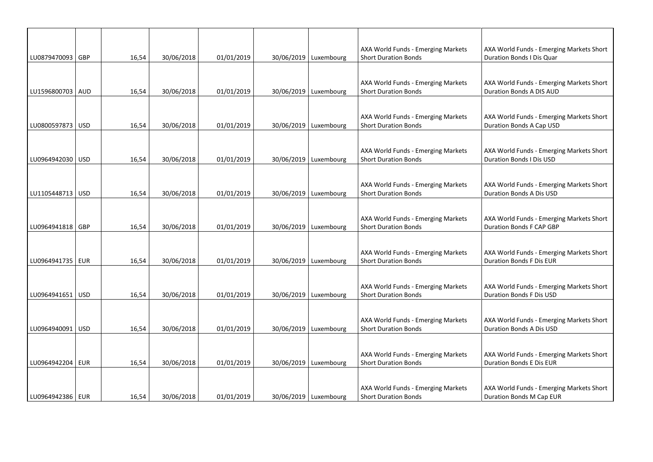|                    |     |       |            |            |                         | AXA World Funds - Emerging Markets                                | AXA World Funds - Emerging Markets Short                             |
|--------------------|-----|-------|------------|------------|-------------------------|-------------------------------------------------------------------|----------------------------------------------------------------------|
| LU0879470093 GBP   |     | 16,54 | 30/06/2018 | 01/01/2019 | 30/06/2019   Luxembourg | <b>Short Duration Bonds</b>                                       | Duration Bonds I Dis Quar                                            |
| LU1596800703 AUD   |     | 16,54 | 30/06/2018 | 01/01/2019 | 30/06/2019   Luxembourg | AXA World Funds - Emerging Markets<br><b>Short Duration Bonds</b> | AXA World Funds - Emerging Markets Short<br>Duration Bonds A DIS AUD |
|                    |     |       |            |            |                         |                                                                   |                                                                      |
| LU0800597873 USD   |     | 16,54 | 30/06/2018 | 01/01/2019 | 30/06/2019   Luxembourg | AXA World Funds - Emerging Markets<br><b>Short Duration Bonds</b> | AXA World Funds - Emerging Markets Short<br>Duration Bonds A Cap USD |
| LU0964942030 USD   |     | 16,54 | 30/06/2018 | 01/01/2019 | 30/06/2019   Luxembourg | AXA World Funds - Emerging Markets<br><b>Short Duration Bonds</b> | AXA World Funds - Emerging Markets Short<br>Duration Bonds I Dis USD |
| LU1105448713   USD |     | 16,54 | 30/06/2018 | 01/01/2019 | 30/06/2019   Luxembourg | AXA World Funds - Emerging Markets<br><b>Short Duration Bonds</b> | AXA World Funds - Emerging Markets Short<br>Duration Bonds A Dis USD |
| LU0964941818   GBP |     | 16,54 | 30/06/2018 | 01/01/2019 | 30/06/2019   Luxembourg | AXA World Funds - Emerging Markets<br><b>Short Duration Bonds</b> | AXA World Funds - Emerging Markets Short<br>Duration Bonds F CAP GBP |
| LU0964941735   EUR |     | 16,54 | 30/06/2018 | 01/01/2019 | 30/06/2019   Luxembourg | AXA World Funds - Emerging Markets<br><b>Short Duration Bonds</b> | AXA World Funds - Emerging Markets Short<br>Duration Bonds F Dis EUR |
| LU0964941651   USD |     | 16,54 | 30/06/2018 | 01/01/2019 | 30/06/2019   Luxembourg | AXA World Funds - Emerging Markets<br><b>Short Duration Bonds</b> | AXA World Funds - Emerging Markets Short<br>Duration Bonds F Dis USD |
| LU0964940091       | USD | 16,54 | 30/06/2018 | 01/01/2019 | 30/06/2019   Luxembourg | AXA World Funds - Emerging Markets<br><b>Short Duration Bonds</b> | AXA World Funds - Emerging Markets Short<br>Duration Bonds A Dis USD |
| LU0964942204   EUR |     | 16,54 | 30/06/2018 | 01/01/2019 | 30/06/2019 Luxembourg   | AXA World Funds - Emerging Markets<br><b>Short Duration Bonds</b> | AXA World Funds - Emerging Markets Short<br>Duration Bonds E Dis EUR |
| LU0964942386   EUR |     | 16,54 | 30/06/2018 | 01/01/2019 | 30/06/2019   Luxembourg | AXA World Funds - Emerging Markets<br><b>Short Duration Bonds</b> | AXA World Funds - Emerging Markets Short<br>Duration Bonds M Cap EUR |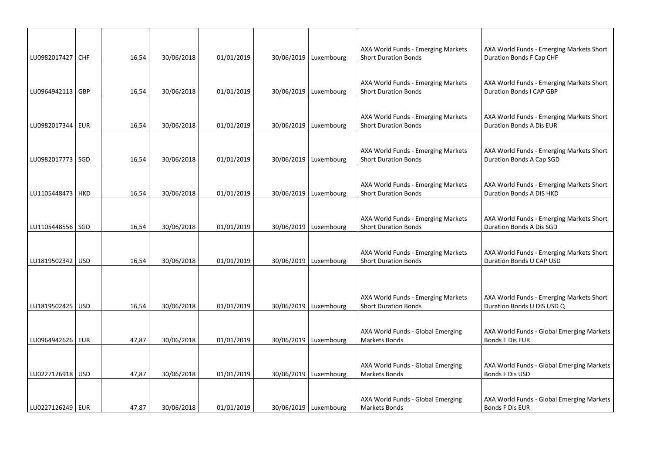| LU0982017427 CHF                         | 16,54          | 30/06/2018               | 01/01/2019               | 30/06/2019   Luxembourg                            | AXA World Funds - Emerging Markets<br><b>Short Duration Bonds</b>                 | AXA World Funds - Emerging Markets Short<br>Duration Bonds F Cap CHF                              |
|------------------------------------------|----------------|--------------------------|--------------------------|----------------------------------------------------|-----------------------------------------------------------------------------------|---------------------------------------------------------------------------------------------------|
| LU0964942113   GBP                       | 16,54          | 30/06/2018               | 01/01/2019               | 30/06/2019   Luxembourg                            | AXA World Funds - Emerging Markets<br><b>Short Duration Bonds</b>                 | AXA World Funds - Emerging Markets Short<br>Duration Bonds I CAP GBP                              |
| LU0982017344   EUR                       | 16,54          | 30/06/2018               | 01/01/2019               | 30/06/2019   Luxembourg                            | AXA World Funds - Emerging Markets<br><b>Short Duration Bonds</b>                 | AXA World Funds - Emerging Markets Short<br>Duration Bonds A Dis EUR                              |
| LU0982017773   SGD                       | 16,54          | 30/06/2018               | 01/01/2019               | 30/06/2019 Luxembourg                              | AXA World Funds - Emerging Markets<br><b>Short Duration Bonds</b>                 | AXA World Funds - Emerging Markets Short<br>Duration Bonds A Cap SGD                              |
| LU1105448473   HKD                       | 16,54          | 30/06/2018               | 01/01/2019               | 30/06/2019   Luxembourg                            | AXA World Funds - Emerging Markets<br><b>Short Duration Bonds</b>                 | AXA World Funds - Emerging Markets Short<br>Duration Bonds A DIS HKD                              |
| LU1105448556 SGD                         | 16,54          | 30/06/2018               | 01/01/2019               | 30/06/2019   Luxembourg                            | AXA World Funds - Emerging Markets<br><b>Short Duration Bonds</b>                 | AXA World Funds - Emerging Markets Short<br>Duration Bonds A Dis SGD                              |
| LU1819502342   USD                       | 16,54          | 30/06/2018               | 01/01/2019               | 30/06/2019   Luxembourg                            | AXA World Funds - Emerging Markets<br><b>Short Duration Bonds</b>                 | AXA World Funds - Emerging Markets Short<br>Duration Bonds U CAP USD                              |
|                                          |                |                          |                          |                                                    | AXA World Funds - Emerging Markets                                                | AXA World Funds - Emerging Markets Short                                                          |
| LU1819502425   USD<br>LU0964942626   EUR | 16,54<br>47,87 | 30/06/2018<br>30/06/2018 | 01/01/2019<br>01/01/2019 | 30/06/2019   Luxembourg<br>30/06/2019   Luxembourg | <b>Short Duration Bonds</b><br>AXA World Funds - Global Emerging<br>Markets Bonds | Duration Bonds U DIS USD Q<br>AXA World Funds - Global Emerging Markets<br><b>Bonds E Dis EUR</b> |
| LU0227126918   USD                       | 47,87          | 30/06/2018               | 01/01/2019               | 30/06/2019   Luxembourg                            | AXA World Funds - Global Emerging<br><b>Markets Bonds</b>                         | AXA World Funds - Global Emerging Markets<br>Bonds F Dis USD                                      |
| LU0227126249   EUR                       | 47,87          | 30/06/2018               | 01/01/2019               | 30/06/2019   Luxembourg                            | AXA World Funds - Global Emerging<br><b>Markets Bonds</b>                         | AXA World Funds - Global Emerging Markets<br>Bonds F Dis EUR                                      |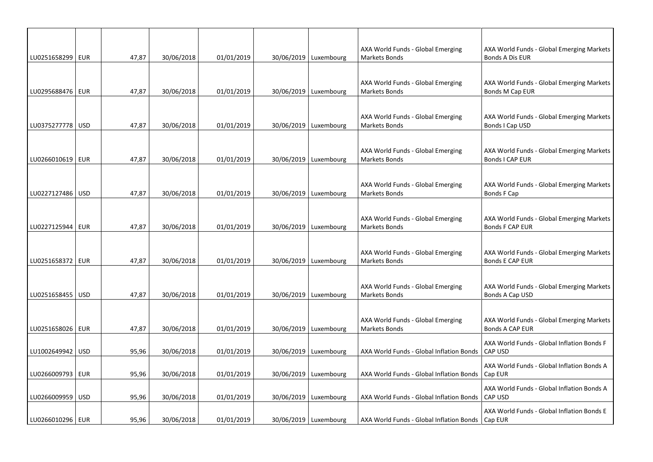| LU0251658299   EUR |            | 47,87 | 30/06/2018 | 01/01/2019 | 30/06/2019 Luxembourg   | AXA World Funds - Global Emerging<br>Markets Bonds        | AXA World Funds - Global Emerging Markets<br>Bonds A Dis EUR        |
|--------------------|------------|-------|------------|------------|-------------------------|-----------------------------------------------------------|---------------------------------------------------------------------|
|                    |            |       |            |            |                         |                                                           |                                                                     |
| LU0295688476   EUR |            | 47,87 | 30/06/2018 | 01/01/2019 | 30/06/2019   Luxembourg | AXA World Funds - Global Emerging<br>Markets Bonds        | AXA World Funds - Global Emerging Markets<br>Bonds M Cap EUR        |
|                    |            |       |            |            |                         |                                                           |                                                                     |
| LU0375277778   USD |            | 47,87 | 30/06/2018 | 01/01/2019 | 30/06/2019   Luxembourg | AXA World Funds - Global Emerging<br><b>Markets Bonds</b> | AXA World Funds - Global Emerging Markets<br>Bonds I Cap USD        |
|                    |            |       |            |            |                         |                                                           |                                                                     |
| LU0266010619   EUR |            | 47,87 | 30/06/2018 | 01/01/2019 | 30/06/2019   Luxembourg | AXA World Funds - Global Emerging<br><b>Markets Bonds</b> | AXA World Funds - Global Emerging Markets<br>Bonds I CAP EUR        |
|                    |            |       |            |            |                         |                                                           |                                                                     |
| LU0227127486   USD |            | 47,87 | 30/06/2018 | 01/01/2019 | 30/06/2019   Luxembourg | AXA World Funds - Global Emerging<br>Markets Bonds        | AXA World Funds - Global Emerging Markets<br>Bonds F Cap            |
|                    |            |       |            |            |                         |                                                           |                                                                     |
| LU0227125944   EUR |            | 47,87 | 30/06/2018 | 01/01/2019 | 30/06/2019   Luxembourg | AXA World Funds - Global Emerging<br>Markets Bonds        | AXA World Funds - Global Emerging Markets<br>Bonds F CAP EUR        |
|                    |            |       |            |            |                         |                                                           |                                                                     |
| LU0251658372       | EUR        | 47,87 | 30/06/2018 | 01/01/2019 | 30/06/2019   Luxembourg | AXA World Funds - Global Emerging<br>Markets Bonds        | AXA World Funds - Global Emerging Markets<br>Bonds E CAP EUR        |
|                    |            |       |            |            |                         |                                                           |                                                                     |
| LU0251658455       | <b>USD</b> | 47,87 | 30/06/2018 | 01/01/2019 | 30/06/2019   Luxembourg | AXA World Funds - Global Emerging<br>Markets Bonds        | AXA World Funds - Global Emerging Markets<br>Bonds A Cap USD        |
|                    |            |       |            |            |                         |                                                           |                                                                     |
| LU0251658026   EUR |            | 47,87 | 30/06/2018 | 01/01/2019 | 30/06/2019   Luxembourg | AXA World Funds - Global Emerging<br>Markets Bonds        | AXA World Funds - Global Emerging Markets<br><b>Bonds A CAP EUR</b> |
|                    |            |       |            |            |                         |                                                           | AXA World Funds - Global Inflation Bonds F                          |
| LU1002649942   USD |            | 95,96 | 30/06/2018 | 01/01/2019 | 30/06/2019   Luxembourg | AXA World Funds - Global Inflation Bonds                  | CAP USD                                                             |
| LU0266009793   EUR |            | 95,96 | 30/06/2018 | 01/01/2019 | 30/06/2019   Luxembourg | AXA World Funds - Global Inflation Bonds                  | AXA World Funds - Global Inflation Bonds A<br>Cap EUR               |
| LU0266009959   USD |            | 95,96 | 30/06/2018 | 01/01/2019 | 30/06/2019   Luxembourg | AXA World Funds - Global Inflation Bonds                  | AXA World Funds - Global Inflation Bonds A<br><b>CAP USD</b>        |
|                    |            |       |            |            |                         |                                                           | AXA World Funds - Global Inflation Bonds E                          |
| LU0266010296   EUR |            | 95,96 | 30/06/2018 | 01/01/2019 | 30/06/2019   Luxembourg | AXA World Funds - Global Inflation Bonds   Cap EUR        |                                                                     |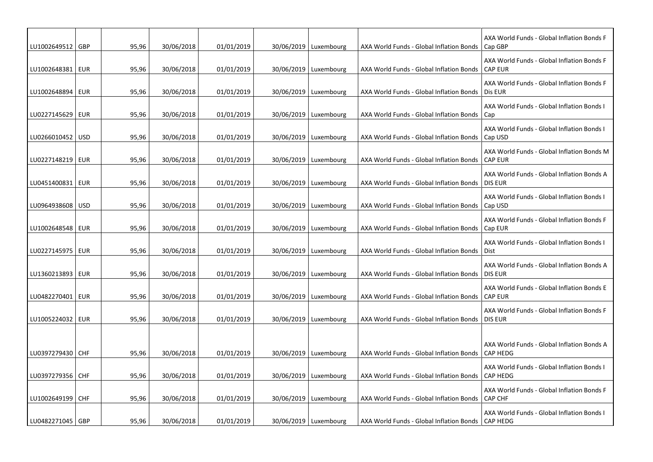| LU1002649512   GBP |            | 95,96 | 30/06/2018 | 01/01/2019 | 30/06/2019   Luxembourg | AXA World Funds - Global Inflation Bonds | AXA World Funds - Global Inflation Bonds F<br>Cap GBP         |
|--------------------|------------|-------|------------|------------|-------------------------|------------------------------------------|---------------------------------------------------------------|
| LU1002648381       | <b>EUR</b> | 95,96 | 30/06/2018 | 01/01/2019 | 30/06/2019   Luxembourg | AXA World Funds - Global Inflation Bonds | AXA World Funds - Global Inflation Bonds F<br><b>CAP EUR</b>  |
| LU1002648894       | EUR        | 95,96 | 30/06/2018 | 01/01/2019 | 30/06/2019   Luxembourg | AXA World Funds - Global Inflation Bonds | AXA World Funds - Global Inflation Bonds F<br>Dis EUR         |
| LU0227145629       | EUR        | 95,96 | 30/06/2018 | 01/01/2019 | 30/06/2019   Luxembourg | AXA World Funds - Global Inflation Bonds | AXA World Funds - Global Inflation Bonds I<br>Cap             |
| LU0266010452       | <b>USD</b> | 95,96 | 30/06/2018 | 01/01/2019 | 30/06/2019   Luxembourg | AXA World Funds - Global Inflation Bonds | AXA World Funds - Global Inflation Bonds I<br>Cap USD         |
| LU0227148219       | EUR        | 95,96 | 30/06/2018 | 01/01/2019 | 30/06/2019   Luxembourg | AXA World Funds - Global Inflation Bonds | AXA World Funds - Global Inflation Bonds M<br><b>CAP EUR</b>  |
| LU0451400831       | EUR        | 95,96 | 30/06/2018 | 01/01/2019 | 30/06/2019   Luxembourg | AXA World Funds - Global Inflation Bonds | AXA World Funds - Global Inflation Bonds A<br><b>DIS EUR</b>  |
| LU0964938608       | <b>USD</b> | 95,96 | 30/06/2018 | 01/01/2019 | 30/06/2019   Luxembourg | AXA World Funds - Global Inflation Bonds | AXA World Funds - Global Inflation Bonds I<br>Cap USD         |
| LU1002648548       | <b>EUR</b> | 95,96 | 30/06/2018 | 01/01/2019 | 30/06/2019   Luxembourg | AXA World Funds - Global Inflation Bonds | AXA World Funds - Global Inflation Bonds F<br>Cap EUR         |
| LU0227145975       | <b>EUR</b> | 95,96 | 30/06/2018 | 01/01/2019 | 30/06/2019   Luxembourg | AXA World Funds - Global Inflation Bonds | AXA World Funds - Global Inflation Bonds I<br>Dist            |
| LU1360213893       | EUR        | 95,96 | 30/06/2018 | 01/01/2019 | 30/06/2019   Luxembourg | AXA World Funds - Global Inflation Bonds | AXA World Funds - Global Inflation Bonds A<br><b>DIS EUR</b>  |
| LU0482270401       | EUR        | 95,96 | 30/06/2018 | 01/01/2019 | 30/06/2019   Luxembourg | AXA World Funds - Global Inflation Bonds | AXA World Funds - Global Inflation Bonds E<br><b>CAP EUR</b>  |
| LU1005224032       | EUR        | 95,96 | 30/06/2018 | 01/01/2019 | 30/06/2019   Luxembourg | AXA World Funds - Global Inflation Bonds | AXA World Funds - Global Inflation Bonds F<br><b>DIS EUR</b>  |
|                    |            |       |            |            |                         |                                          |                                                               |
| LU0397279430   CHF |            | 95,96 | 30/06/2018 | 01/01/2019 | 30/06/2019   Luxembourg | AXA World Funds - Global Inflation Bonds | AXA World Funds - Global Inflation Bonds A<br><b>CAP HEDG</b> |
| LU0397279356   CHF |            | 95,96 | 30/06/2018 | 01/01/2019 | 30/06/2019   Luxembourg | AXA World Funds - Global Inflation Bonds | AXA World Funds - Global Inflation Bonds I<br><b>CAP HEDG</b> |
| LU1002649199 CHF   |            | 95,96 | 30/06/2018 | 01/01/2019 | 30/06/2019   Luxembourg | AXA World Funds - Global Inflation Bonds | AXA World Funds - Global Inflation Bonds F<br><b>CAP CHF</b>  |
| LU0482271045   GBP |            | 95,96 | 30/06/2018 | 01/01/2019 | 30/06/2019   Luxembourg | AXA World Funds - Global Inflation Bonds | AXA World Funds - Global Inflation Bonds I<br><b>CAP HEDG</b> |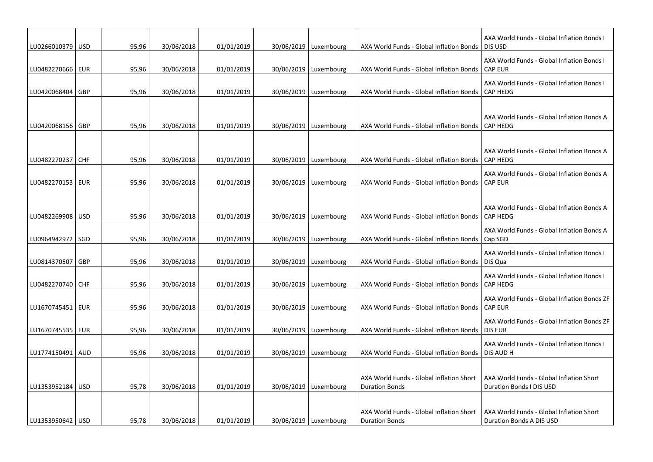| LU0266010379   USD |     | 95,96 | 30/06/2018 | 01/01/2019 | 30/06/2019   Luxembourg | AXA World Funds - Global Inflation Bonds                          | AXA World Funds - Global Inflation Bonds I<br>DIS USD                |
|--------------------|-----|-------|------------|------------|-------------------------|-------------------------------------------------------------------|----------------------------------------------------------------------|
| LU0482270666   EUR |     | 95,96 | 30/06/2018 | 01/01/2019 | 30/06/2019 Luxembourg   | AXA World Funds - Global Inflation Bonds                          | AXA World Funds - Global Inflation Bonds I<br><b>CAP EUR</b>         |
| LU0420068404       | GBP | 95,96 | 30/06/2018 | 01/01/2019 | 30/06/2019   Luxembourg | AXA World Funds - Global Inflation Bonds                          | AXA World Funds - Global Inflation Bonds I<br><b>CAP HEDG</b>        |
| LU0420068156 GBP   |     | 95,96 | 30/06/2018 | 01/01/2019 | 30/06/2019   Luxembourg | AXA World Funds - Global Inflation Bonds                          | AXA World Funds - Global Inflation Bonds A<br><b>CAP HEDG</b>        |
| LU0482270237 CHF   |     | 95,96 | 30/06/2018 | 01/01/2019 | 30/06/2019 Luxembourg   | AXA World Funds - Global Inflation Bonds                          | AXA World Funds - Global Inflation Bonds A<br>CAP HEDG               |
| LU0482270153   EUR |     | 95,96 | 30/06/2018 | 01/01/2019 | 30/06/2019   Luxembourg | AXA World Funds - Global Inflation Bonds                          | AXA World Funds - Global Inflation Bonds A<br><b>CAP EUR</b>         |
| LU0482269908   USD |     | 95,96 | 30/06/2018 | 01/01/2019 | 30/06/2019   Luxembourg | AXA World Funds - Global Inflation Bonds                          | AXA World Funds - Global Inflation Bonds A<br>CAP HEDG               |
| LU0964942972       | SGD | 95,96 | 30/06/2018 | 01/01/2019 | 30/06/2019   Luxembourg | AXA World Funds - Global Inflation Bonds                          | AXA World Funds - Global Inflation Bonds A<br>Cap SGD                |
| LU0814370507       | GBP | 95,96 | 30/06/2018 | 01/01/2019 | 30/06/2019   Luxembourg | AXA World Funds - Global Inflation Bonds                          | AXA World Funds - Global Inflation Bonds I<br>DIS Qua                |
| LU0482270740 CHF   |     | 95,96 | 30/06/2018 | 01/01/2019 | 30/06/2019   Luxembourg | AXA World Funds - Global Inflation Bonds                          | AXA World Funds - Global Inflation Bonds I<br><b>CAP HEDG</b>        |
| LU1670745451   EUR |     | 95,96 | 30/06/2018 | 01/01/2019 | 30/06/2019   Luxembourg | AXA World Funds - Global Inflation Bonds                          | AXA World Funds - Global Inflation Bonds ZF<br><b>CAP EUR</b>        |
| LU1670745535   EUR |     | 95,96 | 30/06/2018 | 01/01/2019 | 30/06/2019   Luxembourg | AXA World Funds - Global Inflation Bonds                          | AXA World Funds - Global Inflation Bonds ZF<br><b>DIS EUR</b>        |
| LU1774150491       | AUD | 95,96 | 30/06/2018 | 01/01/2019 | 30/06/2019   Luxembourg | AXA World Funds - Global Inflation Bonds                          | AXA World Funds - Global Inflation Bonds I<br>DIS AUD H              |
| LU1353952184   USD |     | 95,78 | 30/06/2018 | 01/01/2019 | 30/06/2019   Luxembourg | AXA World Funds - Global Inflation Short<br><b>Duration Bonds</b> | AXA World Funds - Global Inflation Short<br>Duration Bonds I DIS USD |
| LU1353950642   USD |     | 95,78 | 30/06/2018 | 01/01/2019 | 30/06/2019   Luxembourg | AXA World Funds - Global Inflation Short<br><b>Duration Bonds</b> | AXA World Funds - Global Inflation Short<br>Duration Bonds A DIS USD |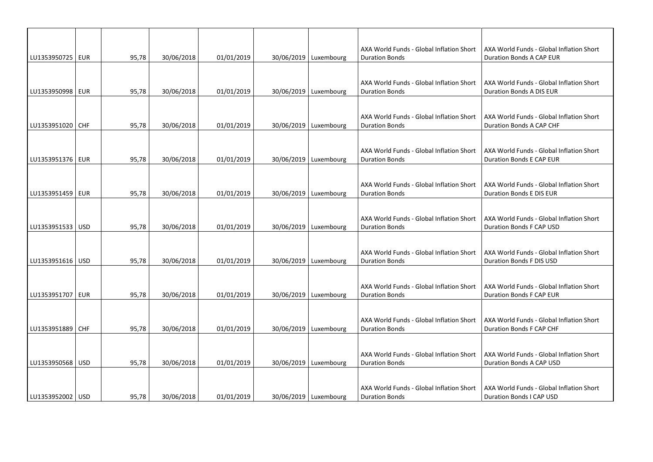|                    |       |            |            |                         | AXA World Funds - Global Inflation Short | AXA World Funds - Global Inflation Short                             |
|--------------------|-------|------------|------------|-------------------------|------------------------------------------|----------------------------------------------------------------------|
| LU1353950725   EUR | 95,78 | 30/06/2018 | 01/01/2019 | 30/06/2019   Luxembourg | <b>Duration Bonds</b>                    | Duration Bonds A CAP EUR                                             |
|                    |       |            |            |                         |                                          |                                                                      |
|                    |       |            |            |                         | AXA World Funds - Global Inflation Short | AXA World Funds - Global Inflation Short                             |
| LU1353950998   EUR | 95,78 | 30/06/2018 | 01/01/2019 | 30/06/2019   Luxembourg | <b>Duration Bonds</b>                    | Duration Bonds A DIS EUR                                             |
|                    |       |            |            |                         |                                          |                                                                      |
|                    |       |            |            |                         | AXA World Funds - Global Inflation Short | AXA World Funds - Global Inflation Short                             |
| LU1353951020   CHF | 95,78 | 30/06/2018 | 01/01/2019 | 30/06/2019   Luxembourg | <b>Duration Bonds</b>                    | Duration Bonds A CAP CHF                                             |
|                    |       |            |            |                         |                                          |                                                                      |
|                    |       |            |            |                         |                                          |                                                                      |
|                    | 95,78 |            |            |                         | AXA World Funds - Global Inflation Short | AXA World Funds - Global Inflation Short<br>Duration Bonds E CAP EUR |
| LU1353951376   EUR |       | 30/06/2018 | 01/01/2019 | 30/06/2019   Luxembourg | <b>Duration Bonds</b>                    |                                                                      |
|                    |       |            |            |                         |                                          |                                                                      |
|                    |       |            |            |                         | AXA World Funds - Global Inflation Short | AXA World Funds - Global Inflation Short                             |
| LU1353951459   EUR | 95,78 | 30/06/2018 | 01/01/2019 | 30/06/2019   Luxembourg | <b>Duration Bonds</b>                    | Duration Bonds E DIS EUR                                             |
|                    |       |            |            |                         |                                          |                                                                      |
|                    |       |            |            |                         | AXA World Funds - Global Inflation Short | AXA World Funds - Global Inflation Short                             |
| LU1353951533 USD   | 95,78 | 30/06/2018 | 01/01/2019 | 30/06/2019   Luxembourg | <b>Duration Bonds</b>                    | Duration Bonds F CAP USD                                             |
|                    |       |            |            |                         |                                          |                                                                      |
|                    |       |            |            |                         |                                          |                                                                      |
|                    |       |            |            |                         | AXA World Funds - Global Inflation Short | AXA World Funds - Global Inflation Short                             |
| LU1353951616   USD | 95,78 | 30/06/2018 | 01/01/2019 | 30/06/2019   Luxembourg | <b>Duration Bonds</b>                    | Duration Bonds F DIS USD                                             |
|                    |       |            |            |                         |                                          |                                                                      |
|                    |       |            |            |                         | AXA World Funds - Global Inflation Short | AXA World Funds - Global Inflation Short                             |
| LU1353951707   EUR | 95,78 | 30/06/2018 | 01/01/2019 | 30/06/2019   Luxembourg | <b>Duration Bonds</b>                    | Duration Bonds F CAP EUR                                             |
|                    |       |            |            |                         |                                          |                                                                      |
|                    |       |            |            |                         | AXA World Funds - Global Inflation Short | AXA World Funds - Global Inflation Short                             |
| LU1353951889 CHF   | 95,78 | 30/06/2018 | 01/01/2019 | 30/06/2019   Luxembourg | <b>Duration Bonds</b>                    | Duration Bonds F CAP CHF                                             |
|                    |       |            |            |                         |                                          |                                                                      |
|                    |       |            |            |                         |                                          |                                                                      |
|                    |       |            |            |                         | AXA World Funds - Global Inflation Short | AXA World Funds - Global Inflation Short                             |
| LU1353950568   USD | 95,78 | 30/06/2018 | 01/01/2019 | 30/06/2019 Luxembourg   | <b>Duration Bonds</b>                    | Duration Bonds A CAP USD                                             |
|                    |       |            |            |                         |                                          |                                                                      |
|                    |       |            |            |                         | AXA World Funds - Global Inflation Short | AXA World Funds - Global Inflation Short                             |
| LU1353952002   USD | 95,78 | 30/06/2018 | 01/01/2019 | 30/06/2019   Luxembourg | <b>Duration Bonds</b>                    | Duration Bonds I CAP USD                                             |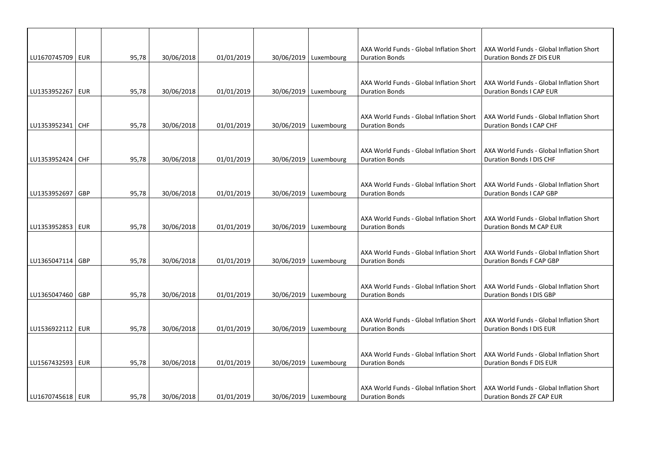|                    |            |       |            |            |                         | AXA World Funds - Global Inflation Short                          | AXA World Funds - Global Inflation Short                             |
|--------------------|------------|-------|------------|------------|-------------------------|-------------------------------------------------------------------|----------------------------------------------------------------------|
| LU1670745709 EUR   |            | 95,78 | 30/06/2018 | 01/01/2019 | 30/06/2019   Luxembourg | <b>Duration Bonds</b>                                             | Duration Bonds ZF DIS EUR                                            |
|                    |            |       |            |            |                         |                                                                   |                                                                      |
|                    |            |       |            |            |                         | AXA World Funds - Global Inflation Short                          | AXA World Funds - Global Inflation Short                             |
| LU1353952267 EUR   |            | 95,78 | 30/06/2018 | 01/01/2019 | 30/06/2019 Luxembourg   | <b>Duration Bonds</b>                                             | <b>Duration Bonds I CAP EUR</b>                                      |
|                    |            |       |            |            |                         |                                                                   |                                                                      |
|                    |            |       |            |            |                         | AXA World Funds - Global Inflation Short                          | AXA World Funds - Global Inflation Short                             |
| LU1353952341   CHF |            | 95,78 | 30/06/2018 | 01/01/2019 | 30/06/2019   Luxembourg | <b>Duration Bonds</b>                                             | Duration Bonds I CAP CHF                                             |
|                    |            |       |            |            |                         |                                                                   |                                                                      |
|                    |            |       |            |            |                         | AXA World Funds - Global Inflation Short                          | AXA World Funds - Global Inflation Short                             |
| LU1353952424 CHF   |            | 95,78 | 30/06/2018 | 01/01/2019 | 30/06/2019   Luxembourg | <b>Duration Bonds</b>                                             | Duration Bonds I DIS CHF                                             |
|                    |            |       |            |            |                         |                                                                   |                                                                      |
|                    |            |       |            |            |                         | AXA World Funds - Global Inflation Short                          | AXA World Funds - Global Inflation Short                             |
| LU1353952697       | <b>GBP</b> | 95,78 | 30/06/2018 | 01/01/2019 | 30/06/2019 Luxembourg   | <b>Duration Bonds</b>                                             | Duration Bonds I CAP GBP                                             |
|                    |            |       |            |            |                         |                                                                   |                                                                      |
|                    |            |       |            |            |                         |                                                                   |                                                                      |
| LU1353952853 EUR   |            | 95,78 | 30/06/2018 | 01/01/2019 | 30/06/2019   Luxembourg | AXA World Funds - Global Inflation Short<br><b>Duration Bonds</b> | AXA World Funds - Global Inflation Short<br>Duration Bonds M CAP EUR |
|                    |            |       |            |            |                         |                                                                   |                                                                      |
|                    |            |       |            |            |                         |                                                                   |                                                                      |
| LU1365047114   GBP |            | 95,78 | 30/06/2018 | 01/01/2019 | 30/06/2019   Luxembourg | AXA World Funds - Global Inflation Short<br><b>Duration Bonds</b> | AXA World Funds - Global Inflation Short<br>Duration Bonds F CAP GBP |
|                    |            |       |            |            |                         |                                                                   |                                                                      |
|                    |            |       |            |            |                         |                                                                   |                                                                      |
|                    |            |       |            |            |                         | AXA World Funds - Global Inflation Short                          | AXA World Funds - Global Inflation Short                             |
| LU1365047460 GBP   |            | 95,78 | 30/06/2018 | 01/01/2019 | 30/06/2019   Luxembourg | <b>Duration Bonds</b>                                             | Duration Bonds I DIS GBP                                             |
|                    |            |       |            |            |                         |                                                                   |                                                                      |
|                    |            |       |            |            |                         | AXA World Funds - Global Inflation Short                          | AXA World Funds - Global Inflation Short                             |
| LU1536922112   EUR |            | 95,78 | 30/06/2018 | 01/01/2019 | 30/06/2019   Luxembourg | <b>Duration Bonds</b>                                             | Duration Bonds I DIS EUR                                             |
|                    |            |       |            |            |                         |                                                                   |                                                                      |
|                    |            |       |            |            |                         | AXA World Funds - Global Inflation Short                          | AXA World Funds - Global Inflation Short                             |
| LU1567432593   EUR |            | 95,78 | 30/06/2018 | 01/01/2019 | 30/06/2019 Luxembourg   | <b>Duration Bonds</b>                                             | Duration Bonds F DIS EUR                                             |
|                    |            |       |            |            |                         |                                                                   |                                                                      |
|                    |            |       |            |            |                         | AXA World Funds - Global Inflation Short                          | AXA World Funds - Global Inflation Short                             |
| LU1670745618   EUR |            | 95,78 | 30/06/2018 | 01/01/2019 | 30/06/2019   Luxembourg | <b>Duration Bonds</b>                                             | Duration Bonds ZF CAP EUR                                            |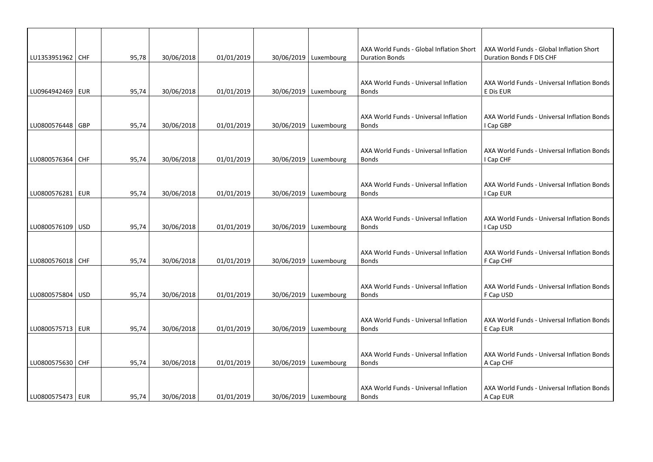| LU1353951962   CHF |            | 95,78 | 30/06/2018 | 01/01/2019 | 30/06/2019   Luxembourg | AXA World Funds - Global Inflation Short<br><b>Duration Bonds</b> | AXA World Funds - Global Inflation Short<br>Duration Bonds F DIS CHF |
|--------------------|------------|-------|------------|------------|-------------------------|-------------------------------------------------------------------|----------------------------------------------------------------------|
|                    |            |       |            |            |                         |                                                                   |                                                                      |
| LU0964942469 EUR   |            | 95,74 | 30/06/2018 | 01/01/2019 | 30/06/2019   Luxembourg | AXA World Funds - Universal Inflation<br><b>Bonds</b>             | AXA World Funds - Universal Inflation Bonds<br>E Dis EUR             |
|                    |            |       |            |            |                         |                                                                   |                                                                      |
|                    |            |       |            |            |                         | AXA World Funds - Universal Inflation                             | AXA World Funds - Universal Inflation Bonds                          |
| LU0800576448 GBP   |            | 95,74 | 30/06/2018 | 01/01/2019 | 30/06/2019   Luxembourg | <b>Bonds</b>                                                      | I Cap GBP                                                            |
| LU0800576364 CHF   |            | 95,74 | 30/06/2018 | 01/01/2019 | 30/06/2019   Luxembourg | AXA World Funds - Universal Inflation<br><b>Bonds</b>             | AXA World Funds - Universal Inflation Bonds<br>I Cap CHF             |
|                    |            |       |            |            |                         |                                                                   |                                                                      |
| LU0800576281       | <b>EUR</b> | 95,74 | 30/06/2018 | 01/01/2019 | 30/06/2019   Luxembourg | AXA World Funds - Universal Inflation<br><b>Bonds</b>             | AXA World Funds - Universal Inflation Bonds<br>I Cap EUR             |
|                    |            |       |            |            |                         |                                                                   |                                                                      |
| LU0800576109 USD   |            | 95,74 | 30/06/2018 | 01/01/2019 | 30/06/2019   Luxembourg | AXA World Funds - Universal Inflation<br><b>Bonds</b>             | AXA World Funds - Universal Inflation Bonds<br>I Cap USD             |
|                    |            |       |            |            |                         |                                                                   |                                                                      |
| LU0800576018 CHF   |            | 95,74 | 30/06/2018 | 01/01/2019 | 30/06/2019   Luxembourg | AXA World Funds - Universal Inflation<br><b>Bonds</b>             | AXA World Funds - Universal Inflation Bonds<br>F Cap CHF             |
|                    |            |       |            |            |                         |                                                                   |                                                                      |
| LU0800575804   USD |            | 95,74 | 30/06/2018 | 01/01/2019 | 30/06/2019   Luxembourg | AXA World Funds - Universal Inflation<br><b>Bonds</b>             | AXA World Funds - Universal Inflation Bonds<br>F Cap USD             |
|                    |            |       |            |            |                         |                                                                   |                                                                      |
| LU0800575713   EUR |            | 95,74 | 30/06/2018 | 01/01/2019 | 30/06/2019   Luxembourg | AXA World Funds - Universal Inflation<br><b>Bonds</b>             | AXA World Funds - Universal Inflation Bonds<br>E Cap EUR             |
|                    |            |       |            |            |                         |                                                                   |                                                                      |
| LU0800575630 CHF   |            | 95,74 | 30/06/2018 | 01/01/2019 | 30/06/2019   Luxembourg | AXA World Funds - Universal Inflation<br><b>Bonds</b>             | AXA World Funds - Universal Inflation Bonds<br>A Cap CHF             |
|                    |            |       |            |            |                         |                                                                   |                                                                      |
| LU0800575473   EUR |            | 95,74 | 30/06/2018 | 01/01/2019 | 30/06/2019 Luxembourg   | AXA World Funds - Universal Inflation<br><b>Bonds</b>             | AXA World Funds - Universal Inflation Bonds<br>A Cap EUR             |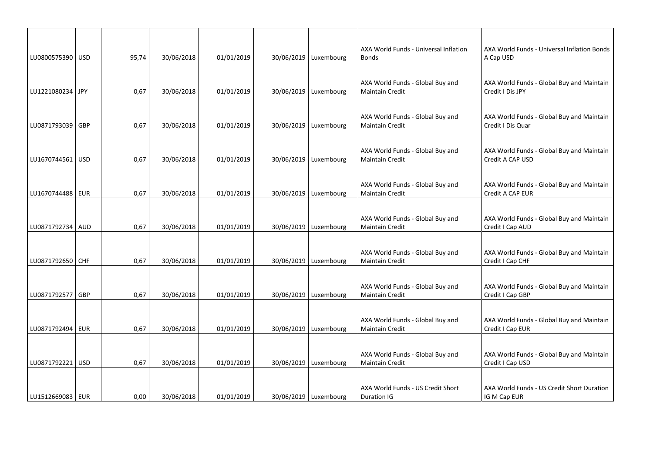| LU0800575390 USD   |            | 95,74 | 30/06/2018 | 01/01/2019 | 30/06/2019   Luxembourg | AXA World Funds - Universal Inflation<br><b>Bonds</b>      | AXA World Funds - Universal Inflation Bonds<br>A Cap USD       |
|--------------------|------------|-------|------------|------------|-------------------------|------------------------------------------------------------|----------------------------------------------------------------|
| LU1221080234 JPY   |            | 0,67  | 30/06/2018 | 01/01/2019 | 30/06/2019   Luxembourg | AXA World Funds - Global Buy and<br><b>Maintain Credit</b> | AXA World Funds - Global Buy and Maintain<br>Credit I Dis JPY  |
| LU0871793039 GBP   |            | 0,67  | 30/06/2018 | 01/01/2019 | 30/06/2019   Luxembourg | AXA World Funds - Global Buy and<br><b>Maintain Credit</b> | AXA World Funds - Global Buy and Maintain<br>Credit I Dis Quar |
| LU1670744561 USD   |            | 0,67  | 30/06/2018 | 01/01/2019 | 30/06/2019   Luxembourg | AXA World Funds - Global Buy and<br><b>Maintain Credit</b> | AXA World Funds - Global Buy and Maintain<br>Credit A CAP USD  |
| LU1670744488       | <b>EUR</b> | 0,67  | 30/06/2018 | 01/01/2019 | 30/06/2019   Luxembourg | AXA World Funds - Global Buy and<br><b>Maintain Credit</b> | AXA World Funds - Global Buy and Maintain<br>Credit A CAP EUR  |
| LU0871792734   AUD |            | 0,67  | 30/06/2018 | 01/01/2019 | 30/06/2019   Luxembourg | AXA World Funds - Global Buy and<br>Maintain Credit        | AXA World Funds - Global Buy and Maintain<br>Credit I Cap AUD  |
| LU0871792650 CHF   |            | 0,67  | 30/06/2018 | 01/01/2019 | 30/06/2019   Luxembourg | AXA World Funds - Global Buy and<br><b>Maintain Credit</b> | AXA World Funds - Global Buy and Maintain<br>Credit I Cap CHF  |
| LU0871792577   GBP |            | 0,67  | 30/06/2018 | 01/01/2019 | 30/06/2019   Luxembourg | AXA World Funds - Global Buy and<br><b>Maintain Credit</b> | AXA World Funds - Global Buy and Maintain<br>Credit I Cap GBP  |
| LU0871792494   EUR |            | 0,67  | 30/06/2018 | 01/01/2019 | 30/06/2019   Luxembourg | AXA World Funds - Global Buy and<br><b>Maintain Credit</b> | AXA World Funds - Global Buy and Maintain<br>Credit I Cap EUR  |
| LU0871792221   USD |            | 0,67  | 30/06/2018 | 01/01/2019 | 30/06/2019 Luxembourg   | AXA World Funds - Global Buy and<br><b>Maintain Credit</b> | AXA World Funds - Global Buy and Maintain<br>Credit I Cap USD  |
| LU1512669083   EUR |            | 0,00  | 30/06/2018 | 01/01/2019 | 30/06/2019   Luxembourg | AXA World Funds - US Credit Short<br>Duration IG           | AXA World Funds - US Credit Short Duration<br>IG M Cap EUR     |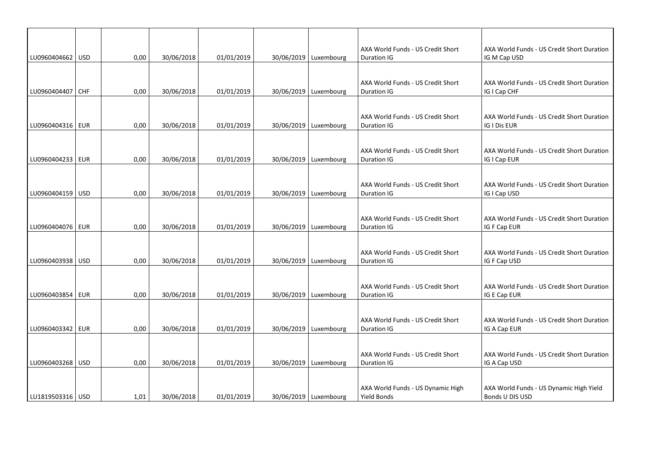| LU0960404662 USD   |            | 0,00 | 30/06/2018 | 01/01/2019 | 30/06/2019   Luxembourg | AXA World Funds - US Credit Short<br>Duration IG        | AXA World Funds - US Credit Short Duration<br>IG M Cap USD |
|--------------------|------------|------|------------|------------|-------------------------|---------------------------------------------------------|------------------------------------------------------------|
|                    |            |      |            |            |                         |                                                         |                                                            |
| LU0960404407       | <b>CHF</b> | 0,00 | 30/06/2018 | 01/01/2019 | 30/06/2019   Luxembourg | AXA World Funds - US Credit Short<br>Duration IG        | AXA World Funds - US Credit Short Duration<br>IG I Cap CHF |
|                    |            |      |            |            |                         |                                                         |                                                            |
| LU0960404316   EUR |            | 0,00 | 30/06/2018 | 01/01/2019 | 30/06/2019   Luxembourg | AXA World Funds - US Credit Short<br>Duration IG        | AXA World Funds - US Credit Short Duration<br>IG I Dis EUR |
| LU0960404233   EUR |            | 0,00 | 30/06/2018 | 01/01/2019 | 30/06/2019   Luxembourg | AXA World Funds - US Credit Short<br>Duration IG        | AXA World Funds - US Credit Short Duration<br>IG I Cap EUR |
|                    |            |      |            |            |                         |                                                         |                                                            |
| LU0960404159 USD   |            | 0,00 | 30/06/2018 | 01/01/2019 | 30/06/2019   Luxembourg | AXA World Funds - US Credit Short<br><b>Duration IG</b> | AXA World Funds - US Credit Short Duration<br>IG I Cap USD |
|                    |            |      |            |            |                         |                                                         |                                                            |
| LU0960404076 EUR   |            | 0,00 | 30/06/2018 | 01/01/2019 | 30/06/2019   Luxembourg | AXA World Funds - US Credit Short<br>Duration IG        | AXA World Funds - US Credit Short Duration<br>IG F Cap EUR |
| LU0960403938 USD   |            | 0,00 | 30/06/2018 | 01/01/2019 | 30/06/2019   Luxembourg | AXA World Funds - US Credit Short<br>Duration IG        | AXA World Funds - US Credit Short Duration<br>IG F Cap USD |
|                    |            |      |            |            |                         |                                                         |                                                            |
| LU0960403854   EUR |            | 0,00 | 30/06/2018 | 01/01/2019 | 30/06/2019   Luxembourg | AXA World Funds - US Credit Short<br>Duration IG        | AXA World Funds - US Credit Short Duration<br>IG E Cap EUR |
|                    |            |      |            |            |                         |                                                         |                                                            |
| LU0960403342   EUR |            | 0,00 | 30/06/2018 | 01/01/2019 | 30/06/2019   Luxembourg | AXA World Funds - US Credit Short<br>Duration IG        | AXA World Funds - US Credit Short Duration<br>IG A Cap EUR |
|                    |            |      |            |            |                         |                                                         |                                                            |
| LU0960403268   USD |            | 0,00 | 30/06/2018 | 01/01/2019 | 30/06/2019   Luxembourg | AXA World Funds - US Credit Short<br><b>Duration IG</b> | AXA World Funds - US Credit Short Duration<br>IG A Cap USD |
|                    |            |      |            |            |                         |                                                         |                                                            |
| LU1819503316   USD |            | 1.01 | 30/06/2018 | 01/01/2019 | 30/06/2019   Luxembourg | AXA World Funds - US Dynamic High<br>Yield Bonds        | AXA World Funds - US Dynamic High Yield<br>Bonds U DIS USD |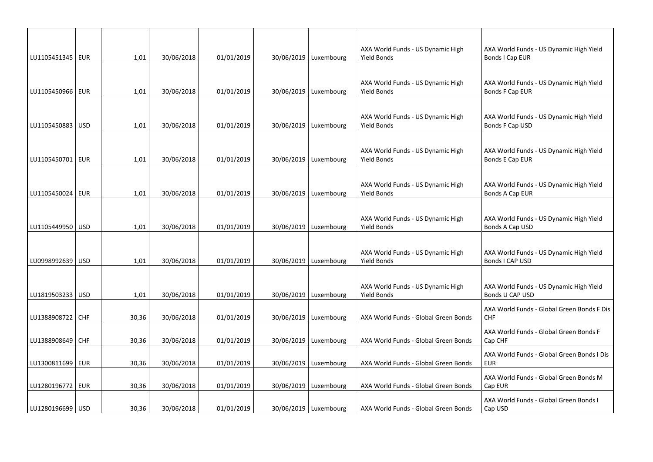|                    |       |            |            |                         | AXA World Funds - US Dynamic High                       | AXA World Funds - US Dynamic High Yield                    |
|--------------------|-------|------------|------------|-------------------------|---------------------------------------------------------|------------------------------------------------------------|
| LU1105451345   EUR | 1,01  | 30/06/2018 | 01/01/2019 | 30/06/2019   Luxembourg | Yield Bonds                                             | Bonds I Cap EUR                                            |
| LU1105450966   EUR | 1,01  | 30/06/2018 | 01/01/2019 | 30/06/2019   Luxembourg | AXA World Funds - US Dynamic High<br>Yield Bonds        | AXA World Funds - US Dynamic High Yield<br>Bonds F Cap EUR |
| LU1105450883   USD | 1,01  | 30/06/2018 | 01/01/2019 | 30/06/2019   Luxembourg | AXA World Funds - US Dynamic High<br>Yield Bonds        | AXA World Funds - US Dynamic High Yield<br>Bonds F Cap USD |
| LU1105450701   EUR | 1,01  | 30/06/2018 | 01/01/2019 | 30/06/2019   Luxembourg | AXA World Funds - US Dynamic High<br>Yield Bonds        | AXA World Funds - US Dynamic High Yield<br>Bonds E Cap EUR |
| LU1105450024   EUR | 1,01  | 30/06/2018 | 01/01/2019 | 30/06/2019   Luxembourg | AXA World Funds - US Dynamic High<br><b>Yield Bonds</b> | AXA World Funds - US Dynamic High Yield<br>Bonds A Cap EUR |
| LU1105449950   USD | 1,01  | 30/06/2018 | 01/01/2019 | 30/06/2019   Luxembourg | AXA World Funds - US Dynamic High<br><b>Yield Bonds</b> | AXA World Funds - US Dynamic High Yield<br>Bonds A Cap USD |
| LU0998992639   USD | 1,01  | 30/06/2018 | 01/01/2019 | 30/06/2019   Luxembourg | AXA World Funds - US Dynamic High<br>Yield Bonds        | AXA World Funds - US Dynamic High Yield<br>Bonds I CAP USD |
| LU1819503233 USD   | 1,01  | 30/06/2018 | 01/01/2019 | 30/06/2019   Luxembourg | AXA World Funds - US Dynamic High<br>Yield Bonds        | AXA World Funds - US Dynamic High Yield<br>Bonds U CAP USD |
| LU1388908722 CHF   | 30,36 | 30/06/2018 | 01/01/2019 | 30/06/2019   Luxembourg | AXA World Funds - Global Green Bonds                    | AXA World Funds - Global Green Bonds F Dis<br><b>CHF</b>   |
| LU1388908649   CHF | 30,36 | 30/06/2018 | 01/01/2019 | 30/06/2019   Luxembourg | AXA World Funds - Global Green Bonds                    | AXA World Funds - Global Green Bonds F<br>Cap CHF          |
| LU1300811699   EUR | 30,36 | 30/06/2018 | 01/01/2019 | 30/06/2019   Luxembourg | AXA World Funds - Global Green Bonds                    | AXA World Funds - Global Green Bonds I Dis<br><b>EUR</b>   |
| LU1280196772   EUR | 30,36 | 30/06/2018 | 01/01/2019 | 30/06/2019   Luxembourg | AXA World Funds - Global Green Bonds                    | AXA World Funds - Global Green Bonds M<br>Cap EUR          |
| LU1280196699 USD   | 30,36 | 30/06/2018 | 01/01/2019 | 30/06/2019   Luxembourg | AXA World Funds - Global Green Bonds                    | AXA World Funds - Global Green Bonds I<br>Cap USD          |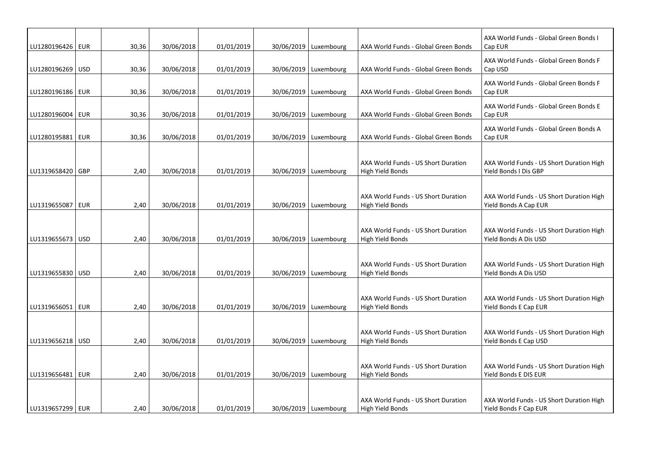| LU1280196426   EUR | 30,36 | 30/06/2018 | 01/01/2019 | 30/06/2019   Luxembourg | AXA World Funds - Global Green Bonds                           | AXA World Funds - Global Green Bonds I<br>Cap EUR                 |
|--------------------|-------|------------|------------|-------------------------|----------------------------------------------------------------|-------------------------------------------------------------------|
| LU1280196269   USD | 30,36 | 30/06/2018 | 01/01/2019 | 30/06/2019   Luxembourg | AXA World Funds - Global Green Bonds                           | AXA World Funds - Global Green Bonds F<br>Cap USD                 |
| LU1280196186   EUR | 30,36 | 30/06/2018 | 01/01/2019 | 30/06/2019   Luxembourg | AXA World Funds - Global Green Bonds                           | AXA World Funds - Global Green Bonds F<br>Cap EUR                 |
| LU1280196004 EUR   | 30,36 | 30/06/2018 | 01/01/2019 | 30/06/2019   Luxembourg | AXA World Funds - Global Green Bonds                           | AXA World Funds - Global Green Bonds E<br>Cap EUR                 |
| LU1280195881   EUR | 30,36 | 30/06/2018 | 01/01/2019 | 30/06/2019   Luxembourg | AXA World Funds - Global Green Bonds                           | AXA World Funds - Global Green Bonds A<br>Cap EUR                 |
| LU1319658420   GBP | 2,40  | 30/06/2018 | 01/01/2019 | 30/06/2019   Luxembourg | AXA World Funds - US Short Duration<br>High Yield Bonds        | AXA World Funds - US Short Duration High<br>Yield Bonds I Dis GBP |
| LU1319655087   EUR | 2,40  | 30/06/2018 | 01/01/2019 | 30/06/2019   Luxembourg | AXA World Funds - US Short Duration<br>High Yield Bonds        | AXA World Funds - US Short Duration High<br>Yield Bonds A Cap EUR |
| LU1319655673   USD | 2,40  | 30/06/2018 | 01/01/2019 | 30/06/2019   Luxembourg | AXA World Funds - US Short Duration<br>High Yield Bonds        | AXA World Funds - US Short Duration High<br>Yield Bonds A Dis USD |
| LU1319655830   USD | 2,40  | 30/06/2018 | 01/01/2019 | 30/06/2019   Luxembourg | AXA World Funds - US Short Duration<br><b>High Yield Bonds</b> | AXA World Funds - US Short Duration High<br>Yield Bonds A Dis USD |
| LU1319656051   EUR | 2,40  | 30/06/2018 | 01/01/2019 | 30/06/2019   Luxembourg | AXA World Funds - US Short Duration<br>High Yield Bonds        | AXA World Funds - US Short Duration High<br>Yield Bonds E Cap EUR |
| LU1319656218   USD | 2,40  | 30/06/2018 | 01/01/2019 | 30/06/2019   Luxembourg | AXA World Funds - US Short Duration<br>High Yield Bonds        | AXA World Funds - US Short Duration High<br>Yield Bonds E Cap USD |
| LU1319656481   EUR | 2,40  | 30/06/2018 | 01/01/2019 | 30/06/2019   Luxembourg | AXA World Funds - US Short Duration<br>High Yield Bonds        | AXA World Funds - US Short Duration High<br>Yield Bonds E DIS EUR |
| LU1319657299   EUR | 2,40  | 30/06/2018 | 01/01/2019 | 30/06/2019   Luxembourg | AXA World Funds - US Short Duration<br>High Yield Bonds        | AXA World Funds - US Short Duration High<br>Yield Bonds F Cap EUR |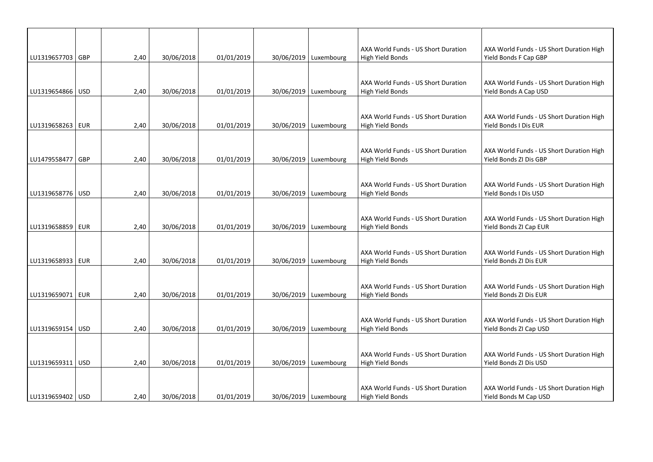|                    |      |            |            |                         | AXA World Funds - US Short Duration                     | AXA World Funds - US Short Duration High                           |
|--------------------|------|------------|------------|-------------------------|---------------------------------------------------------|--------------------------------------------------------------------|
| LU1319657703 GBP   | 2,40 | 30/06/2018 | 01/01/2019 | 30/06/2019   Luxembourg | High Yield Bonds                                        | Yield Bonds F Cap GBP                                              |
| LU1319654866   USD | 2,40 | 30/06/2018 | 01/01/2019 | 30/06/2019   Luxembourg | AXA World Funds - US Short Duration<br>High Yield Bonds | AXA World Funds - US Short Duration High<br>Yield Bonds A Cap USD  |
| LU1319658263   EUR | 2,40 | 30/06/2018 | 01/01/2019 | 30/06/2019   Luxembourg | AXA World Funds - US Short Duration<br>High Yield Bonds | AXA World Funds - US Short Duration High<br>Yield Bonds I Dis EUR  |
| LU1479558477 GBP   | 2,40 | 30/06/2018 | 01/01/2019 | 30/06/2019   Luxembourg | AXA World Funds - US Short Duration<br>High Yield Bonds | AXA World Funds - US Short Duration High<br>Yield Bonds ZI Dis GBP |
| LU1319658776 USD   | 2,40 | 30/06/2018 | 01/01/2019 | 30/06/2019   Luxembourg | AXA World Funds - US Short Duration<br>High Yield Bonds | AXA World Funds - US Short Duration High<br>Yield Bonds I Dis USD  |
| LU1319658859 EUR   | 2,40 | 30/06/2018 | 01/01/2019 | 30/06/2019   Luxembourg | AXA World Funds - US Short Duration<br>High Yield Bonds | AXA World Funds - US Short Duration High<br>Yield Bonds ZI Cap EUR |
| LU1319658933 EUR   | 2,40 | 30/06/2018 | 01/01/2019 | 30/06/2019   Luxembourg | AXA World Funds - US Short Duration<br>High Yield Bonds | AXA World Funds - US Short Duration High<br>Yield Bonds ZI Dis EUR |
| LU1319659071   EUR | 2,40 | 30/06/2018 | 01/01/2019 | 30/06/2019   Luxembourg | AXA World Funds - US Short Duration<br>High Yield Bonds | AXA World Funds - US Short Duration High<br>Yield Bonds ZI Dis EUR |
| LU1319659154   USD | 2,40 | 30/06/2018 | 01/01/2019 | 30/06/2019 Luxembourg   | AXA World Funds - US Short Duration<br>High Yield Bonds | AXA World Funds - US Short Duration High<br>Yield Bonds ZI Cap USD |
| LU1319659311   USD | 2,40 | 30/06/2018 | 01/01/2019 | 30/06/2019   Luxembourg | AXA World Funds - US Short Duration<br>High Yield Bonds | AXA World Funds - US Short Duration High<br>Yield Bonds ZI Dis USD |
| LU1319659402   USD | 2.40 | 30/06/2018 | 01/01/2019 | 30/06/2019   Luxembourg | AXA World Funds - US Short Duration<br>High Yield Bonds | AXA World Funds - US Short Duration High<br>Yield Bonds M Cap USD  |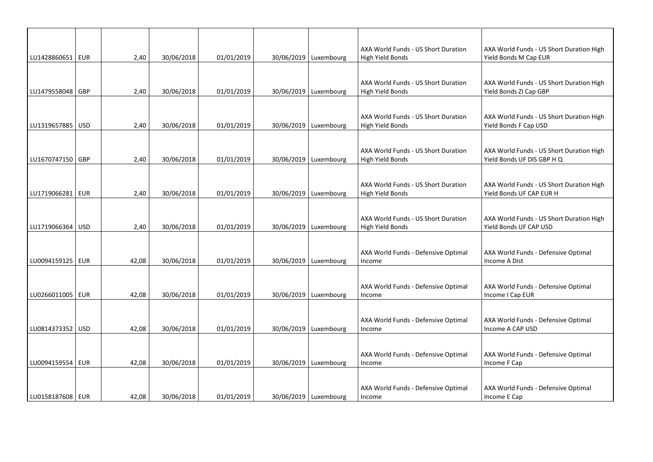|                    |       |            |            |                         | AXA World Funds - US Short Duration                     | AXA World Funds - US Short Duration High                               |
|--------------------|-------|------------|------------|-------------------------|---------------------------------------------------------|------------------------------------------------------------------------|
| LU1428860651   EUR | 2,40  | 30/06/2018 | 01/01/2019 | 30/06/2019   Luxembourg | High Yield Bonds                                        | Yield Bonds M Cap EUR                                                  |
| LU1479558048   GBP | 2,40  | 30/06/2018 | 01/01/2019 | 30/06/2019   Luxembourg | AXA World Funds - US Short Duration<br>High Yield Bonds | AXA World Funds - US Short Duration High<br>Yield Bonds ZI Cap GBP     |
|                    |       |            |            |                         |                                                         |                                                                        |
| LU1319657885   USD | 2,40  | 30/06/2018 | 01/01/2019 | 30/06/2019   Luxembourg | AXA World Funds - US Short Duration<br>High Yield Bonds | AXA World Funds - US Short Duration High<br>Yield Bonds F Cap USD      |
|                    |       |            |            |                         |                                                         |                                                                        |
| LU1670747150 GBP   | 2,40  | 30/06/2018 | 01/01/2019 | 30/06/2019   Luxembourg | AXA World Funds - US Short Duration<br>High Yield Bonds | AXA World Funds - US Short Duration High<br>Yield Bonds UF DIS GBP H Q |
|                    |       |            |            |                         |                                                         |                                                                        |
| LU1719066281   EUR | 2,40  | 30/06/2018 | 01/01/2019 | 30/06/2019   Luxembourg | AXA World Funds - US Short Duration<br>High Yield Bonds | AXA World Funds - US Short Duration High<br>Yield Bonds UF CAP EUR H   |
|                    |       |            |            |                         |                                                         |                                                                        |
| LU1719066364   USD | 2,40  | 30/06/2018 | 01/01/2019 | 30/06/2019   Luxembourg | AXA World Funds - US Short Duration<br>High Yield Bonds | AXA World Funds - US Short Duration High<br>Yield Bonds UF CAP USD     |
|                    |       |            |            |                         |                                                         |                                                                        |
| LU0094159125   EUR | 42,08 | 30/06/2018 | 01/01/2019 | 30/06/2019   Luxembourg | AXA World Funds - Defensive Optimal<br>Income           | AXA World Funds - Defensive Optimal<br>Income A Dist                   |
|                    |       |            |            |                         |                                                         |                                                                        |
| LU0266011005   EUR | 42,08 | 30/06/2018 | 01/01/2019 | 30/06/2019   Luxembourg | AXA World Funds - Defensive Optimal<br>Income           | AXA World Funds - Defensive Optimal<br>Income I Cap EUR                |
|                    |       |            |            |                         |                                                         |                                                                        |
| LU0814373352 USD   | 42,08 | 30/06/2018 | 01/01/2019 | 30/06/2019   Luxembourg | AXA World Funds - Defensive Optimal<br>Income           | AXA World Funds - Defensive Optimal<br>Income A CAP USD                |
|                    |       |            |            |                         |                                                         |                                                                        |
| LU0094159554   EUR | 42,08 | 30/06/2018 | 01/01/2019 | 30/06/2019   Luxembourg | AXA World Funds - Defensive Optimal<br>Income           | AXA World Funds - Defensive Optimal<br>Income F Cap                    |
|                    |       |            |            |                         |                                                         |                                                                        |
| LU0158187608   EUR | 42,08 | 30/06/2018 | 01/01/2019 | 30/06/2019   Luxembourg | AXA World Funds - Defensive Optimal<br>Income           | AXA World Funds - Defensive Optimal<br>Income E Cap                    |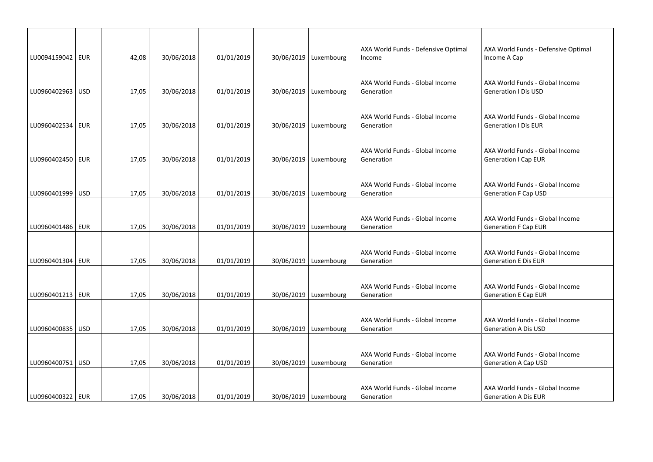| AXA World Funds - Defensive Optimal<br>AXA World Funds - Defensive Optimal<br>LU0094159042   EUR<br>42,08<br>30/06/2018<br>01/01/2019<br>30/06/2019   Luxembourg<br>Income A Cap<br>Income<br>AXA World Funds - Global Income<br>AXA World Funds - Global Income<br>LU0960402963 USD<br>30/06/2018<br>01/01/2019<br>30/06/2019   Luxembourg<br>17,05<br>Generation<br><b>Generation I Dis USD</b><br>AXA World Funds - Global Income<br>AXA World Funds - Global Income<br>LU0960402534   EUR<br>17,05<br>30/06/2018<br>01/01/2019<br>30/06/2019   Luxembourg<br>Generation<br><b>Generation I Dis EUR</b><br>AXA World Funds - Global Income<br>AXA World Funds - Global Income<br>LU0960402450   EUR<br>17,05<br>30/06/2018<br>01/01/2019<br>30/06/2019   Luxembourg<br>Generation<br><b>Generation I Cap EUR</b><br>AXA World Funds - Global Income<br>AXA World Funds - Global Income<br>LU0960401999 USD<br>30/06/2019   Luxembourg<br>17,05<br>30/06/2018<br>01/01/2019<br>Generation<br><b>Generation F Cap USD</b><br>AXA World Funds - Global Income<br>AXA World Funds - Global Income<br>LU0960401486   EUR<br>17,05<br>30/06/2018<br>01/01/2019<br>30/06/2019   Luxembourg<br>Generation<br><b>Generation F Cap EUR</b><br>AXA World Funds - Global Income<br>AXA World Funds - Global Income<br>LU0960401304 EUR<br>30/06/2018<br>01/01/2019<br>30/06/2019   Luxembourg<br><b>Generation E Dis EUR</b><br>17,05<br>Generation<br>AXA World Funds - Global Income<br>AXA World Funds - Global Income<br>LU0960401213   EUR<br>30/06/2019   Luxembourg<br>17,05<br>30/06/2018<br>01/01/2019<br>Generation<br><b>Generation E Cap EUR</b><br>AXA World Funds - Global Income<br>AXA World Funds - Global Income<br>LU0960400835   USD<br>30/06/2019   Luxembourg<br>17,05<br>30/06/2018<br>01/01/2019<br><b>Generation A Dis USD</b><br>Generation<br>AXA World Funds - Global Income<br>AXA World Funds - Global Income<br>30/06/2019   Luxembourg<br>LU0960400751   USD<br>17,05<br>30/06/2018<br>01/01/2019<br>Generation<br><b>Generation A Cap USD</b><br>AXA World Funds - Global Income<br>AXA World Funds - Global Income<br>LU0960400322   EUR<br>30/06/2019   Luxembourg |  |       |            |            |  |            |                             |
|----------------------------------------------------------------------------------------------------------------------------------------------------------------------------------------------------------------------------------------------------------------------------------------------------------------------------------------------------------------------------------------------------------------------------------------------------------------------------------------------------------------------------------------------------------------------------------------------------------------------------------------------------------------------------------------------------------------------------------------------------------------------------------------------------------------------------------------------------------------------------------------------------------------------------------------------------------------------------------------------------------------------------------------------------------------------------------------------------------------------------------------------------------------------------------------------------------------------------------------------------------------------------------------------------------------------------------------------------------------------------------------------------------------------------------------------------------------------------------------------------------------------------------------------------------------------------------------------------------------------------------------------------------------------------------------------------------------------------------------------------------------------------------------------------------------------------------------------------------------------------------------------------------------------------------------------------------------------------------------------------------------------------------------------------------------------------------------------------------------------------------------------------------------------------------------------|--|-------|------------|------------|--|------------|-----------------------------|
|                                                                                                                                                                                                                                                                                                                                                                                                                                                                                                                                                                                                                                                                                                                                                                                                                                                                                                                                                                                                                                                                                                                                                                                                                                                                                                                                                                                                                                                                                                                                                                                                                                                                                                                                                                                                                                                                                                                                                                                                                                                                                                                                                                                              |  |       |            |            |  |            |                             |
|                                                                                                                                                                                                                                                                                                                                                                                                                                                                                                                                                                                                                                                                                                                                                                                                                                                                                                                                                                                                                                                                                                                                                                                                                                                                                                                                                                                                                                                                                                                                                                                                                                                                                                                                                                                                                                                                                                                                                                                                                                                                                                                                                                                              |  |       |            |            |  |            |                             |
|                                                                                                                                                                                                                                                                                                                                                                                                                                                                                                                                                                                                                                                                                                                                                                                                                                                                                                                                                                                                                                                                                                                                                                                                                                                                                                                                                                                                                                                                                                                                                                                                                                                                                                                                                                                                                                                                                                                                                                                                                                                                                                                                                                                              |  |       |            |            |  |            |                             |
|                                                                                                                                                                                                                                                                                                                                                                                                                                                                                                                                                                                                                                                                                                                                                                                                                                                                                                                                                                                                                                                                                                                                                                                                                                                                                                                                                                                                                                                                                                                                                                                                                                                                                                                                                                                                                                                                                                                                                                                                                                                                                                                                                                                              |  |       |            |            |  |            |                             |
|                                                                                                                                                                                                                                                                                                                                                                                                                                                                                                                                                                                                                                                                                                                                                                                                                                                                                                                                                                                                                                                                                                                                                                                                                                                                                                                                                                                                                                                                                                                                                                                                                                                                                                                                                                                                                                                                                                                                                                                                                                                                                                                                                                                              |  |       |            |            |  |            |                             |
|                                                                                                                                                                                                                                                                                                                                                                                                                                                                                                                                                                                                                                                                                                                                                                                                                                                                                                                                                                                                                                                                                                                                                                                                                                                                                                                                                                                                                                                                                                                                                                                                                                                                                                                                                                                                                                                                                                                                                                                                                                                                                                                                                                                              |  |       |            |            |  |            |                             |
|                                                                                                                                                                                                                                                                                                                                                                                                                                                                                                                                                                                                                                                                                                                                                                                                                                                                                                                                                                                                                                                                                                                                                                                                                                                                                                                                                                                                                                                                                                                                                                                                                                                                                                                                                                                                                                                                                                                                                                                                                                                                                                                                                                                              |  |       |            |            |  |            |                             |
|                                                                                                                                                                                                                                                                                                                                                                                                                                                                                                                                                                                                                                                                                                                                                                                                                                                                                                                                                                                                                                                                                                                                                                                                                                                                                                                                                                                                                                                                                                                                                                                                                                                                                                                                                                                                                                                                                                                                                                                                                                                                                                                                                                                              |  |       |            |            |  |            |                             |
|                                                                                                                                                                                                                                                                                                                                                                                                                                                                                                                                                                                                                                                                                                                                                                                                                                                                                                                                                                                                                                                                                                                                                                                                                                                                                                                                                                                                                                                                                                                                                                                                                                                                                                                                                                                                                                                                                                                                                                                                                                                                                                                                                                                              |  |       |            |            |  |            |                             |
|                                                                                                                                                                                                                                                                                                                                                                                                                                                                                                                                                                                                                                                                                                                                                                                                                                                                                                                                                                                                                                                                                                                                                                                                                                                                                                                                                                                                                                                                                                                                                                                                                                                                                                                                                                                                                                                                                                                                                                                                                                                                                                                                                                                              |  |       |            |            |  |            |                             |
|                                                                                                                                                                                                                                                                                                                                                                                                                                                                                                                                                                                                                                                                                                                                                                                                                                                                                                                                                                                                                                                                                                                                                                                                                                                                                                                                                                                                                                                                                                                                                                                                                                                                                                                                                                                                                                                                                                                                                                                                                                                                                                                                                                                              |  |       |            |            |  |            |                             |
|                                                                                                                                                                                                                                                                                                                                                                                                                                                                                                                                                                                                                                                                                                                                                                                                                                                                                                                                                                                                                                                                                                                                                                                                                                                                                                                                                                                                                                                                                                                                                                                                                                                                                                                                                                                                                                                                                                                                                                                                                                                                                                                                                                                              |  |       |            |            |  |            |                             |
|                                                                                                                                                                                                                                                                                                                                                                                                                                                                                                                                                                                                                                                                                                                                                                                                                                                                                                                                                                                                                                                                                                                                                                                                                                                                                                                                                                                                                                                                                                                                                                                                                                                                                                                                                                                                                                                                                                                                                                                                                                                                                                                                                                                              |  |       |            |            |  |            |                             |
|                                                                                                                                                                                                                                                                                                                                                                                                                                                                                                                                                                                                                                                                                                                                                                                                                                                                                                                                                                                                                                                                                                                                                                                                                                                                                                                                                                                                                                                                                                                                                                                                                                                                                                                                                                                                                                                                                                                                                                                                                                                                                                                                                                                              |  |       |            |            |  |            |                             |
|                                                                                                                                                                                                                                                                                                                                                                                                                                                                                                                                                                                                                                                                                                                                                                                                                                                                                                                                                                                                                                                                                                                                                                                                                                                                                                                                                                                                                                                                                                                                                                                                                                                                                                                                                                                                                                                                                                                                                                                                                                                                                                                                                                                              |  |       |            |            |  |            |                             |
|                                                                                                                                                                                                                                                                                                                                                                                                                                                                                                                                                                                                                                                                                                                                                                                                                                                                                                                                                                                                                                                                                                                                                                                                                                                                                                                                                                                                                                                                                                                                                                                                                                                                                                                                                                                                                                                                                                                                                                                                                                                                                                                                                                                              |  |       |            |            |  |            |                             |
|                                                                                                                                                                                                                                                                                                                                                                                                                                                                                                                                                                                                                                                                                                                                                                                                                                                                                                                                                                                                                                                                                                                                                                                                                                                                                                                                                                                                                                                                                                                                                                                                                                                                                                                                                                                                                                                                                                                                                                                                                                                                                                                                                                                              |  |       |            |            |  |            |                             |
|                                                                                                                                                                                                                                                                                                                                                                                                                                                                                                                                                                                                                                                                                                                                                                                                                                                                                                                                                                                                                                                                                                                                                                                                                                                                                                                                                                                                                                                                                                                                                                                                                                                                                                                                                                                                                                                                                                                                                                                                                                                                                                                                                                                              |  |       |            |            |  |            |                             |
|                                                                                                                                                                                                                                                                                                                                                                                                                                                                                                                                                                                                                                                                                                                                                                                                                                                                                                                                                                                                                                                                                                                                                                                                                                                                                                                                                                                                                                                                                                                                                                                                                                                                                                                                                                                                                                                                                                                                                                                                                                                                                                                                                                                              |  |       |            |            |  |            |                             |
|                                                                                                                                                                                                                                                                                                                                                                                                                                                                                                                                                                                                                                                                                                                                                                                                                                                                                                                                                                                                                                                                                                                                                                                                                                                                                                                                                                                                                                                                                                                                                                                                                                                                                                                                                                                                                                                                                                                                                                                                                                                                                                                                                                                              |  |       |            |            |  |            |                             |
|                                                                                                                                                                                                                                                                                                                                                                                                                                                                                                                                                                                                                                                                                                                                                                                                                                                                                                                                                                                                                                                                                                                                                                                                                                                                                                                                                                                                                                                                                                                                                                                                                                                                                                                                                                                                                                                                                                                                                                                                                                                                                                                                                                                              |  |       |            |            |  |            |                             |
|                                                                                                                                                                                                                                                                                                                                                                                                                                                                                                                                                                                                                                                                                                                                                                                                                                                                                                                                                                                                                                                                                                                                                                                                                                                                                                                                                                                                                                                                                                                                                                                                                                                                                                                                                                                                                                                                                                                                                                                                                                                                                                                                                                                              |  |       |            |            |  |            |                             |
|                                                                                                                                                                                                                                                                                                                                                                                                                                                                                                                                                                                                                                                                                                                                                                                                                                                                                                                                                                                                                                                                                                                                                                                                                                                                                                                                                                                                                                                                                                                                                                                                                                                                                                                                                                                                                                                                                                                                                                                                                                                                                                                                                                                              |  |       |            |            |  |            |                             |
|                                                                                                                                                                                                                                                                                                                                                                                                                                                                                                                                                                                                                                                                                                                                                                                                                                                                                                                                                                                                                                                                                                                                                                                                                                                                                                                                                                                                                                                                                                                                                                                                                                                                                                                                                                                                                                                                                                                                                                                                                                                                                                                                                                                              |  |       |            |            |  |            |                             |
|                                                                                                                                                                                                                                                                                                                                                                                                                                                                                                                                                                                                                                                                                                                                                                                                                                                                                                                                                                                                                                                                                                                                                                                                                                                                                                                                                                                                                                                                                                                                                                                                                                                                                                                                                                                                                                                                                                                                                                                                                                                                                                                                                                                              |  |       |            |            |  |            |                             |
|                                                                                                                                                                                                                                                                                                                                                                                                                                                                                                                                                                                                                                                                                                                                                                                                                                                                                                                                                                                                                                                                                                                                                                                                                                                                                                                                                                                                                                                                                                                                                                                                                                                                                                                                                                                                                                                                                                                                                                                                                                                                                                                                                                                              |  |       |            |            |  |            |                             |
|                                                                                                                                                                                                                                                                                                                                                                                                                                                                                                                                                                                                                                                                                                                                                                                                                                                                                                                                                                                                                                                                                                                                                                                                                                                                                                                                                                                                                                                                                                                                                                                                                                                                                                                                                                                                                                                                                                                                                                                                                                                                                                                                                                                              |  |       |            |            |  |            |                             |
|                                                                                                                                                                                                                                                                                                                                                                                                                                                                                                                                                                                                                                                                                                                                                                                                                                                                                                                                                                                                                                                                                                                                                                                                                                                                                                                                                                                                                                                                                                                                                                                                                                                                                                                                                                                                                                                                                                                                                                                                                                                                                                                                                                                              |  |       |            |            |  |            |                             |
|                                                                                                                                                                                                                                                                                                                                                                                                                                                                                                                                                                                                                                                                                                                                                                                                                                                                                                                                                                                                                                                                                                                                                                                                                                                                                                                                                                                                                                                                                                                                                                                                                                                                                                                                                                                                                                                                                                                                                                                                                                                                                                                                                                                              |  |       |            |            |  |            |                             |
|                                                                                                                                                                                                                                                                                                                                                                                                                                                                                                                                                                                                                                                                                                                                                                                                                                                                                                                                                                                                                                                                                                                                                                                                                                                                                                                                                                                                                                                                                                                                                                                                                                                                                                                                                                                                                                                                                                                                                                                                                                                                                                                                                                                              |  |       |            |            |  |            |                             |
|                                                                                                                                                                                                                                                                                                                                                                                                                                                                                                                                                                                                                                                                                                                                                                                                                                                                                                                                                                                                                                                                                                                                                                                                                                                                                                                                                                                                                                                                                                                                                                                                                                                                                                                                                                                                                                                                                                                                                                                                                                                                                                                                                                                              |  |       |            |            |  |            |                             |
|                                                                                                                                                                                                                                                                                                                                                                                                                                                                                                                                                                                                                                                                                                                                                                                                                                                                                                                                                                                                                                                                                                                                                                                                                                                                                                                                                                                                                                                                                                                                                                                                                                                                                                                                                                                                                                                                                                                                                                                                                                                                                                                                                                                              |  |       |            |            |  |            |                             |
|                                                                                                                                                                                                                                                                                                                                                                                                                                                                                                                                                                                                                                                                                                                                                                                                                                                                                                                                                                                                                                                                                                                                                                                                                                                                                                                                                                                                                                                                                                                                                                                                                                                                                                                                                                                                                                                                                                                                                                                                                                                                                                                                                                                              |  |       |            |            |  |            |                             |
|                                                                                                                                                                                                                                                                                                                                                                                                                                                                                                                                                                                                                                                                                                                                                                                                                                                                                                                                                                                                                                                                                                                                                                                                                                                                                                                                                                                                                                                                                                                                                                                                                                                                                                                                                                                                                                                                                                                                                                                                                                                                                                                                                                                              |  | 17.05 | 30/06/2018 | 01/01/2019 |  | Generation | <b>Generation A Dis EUR</b> |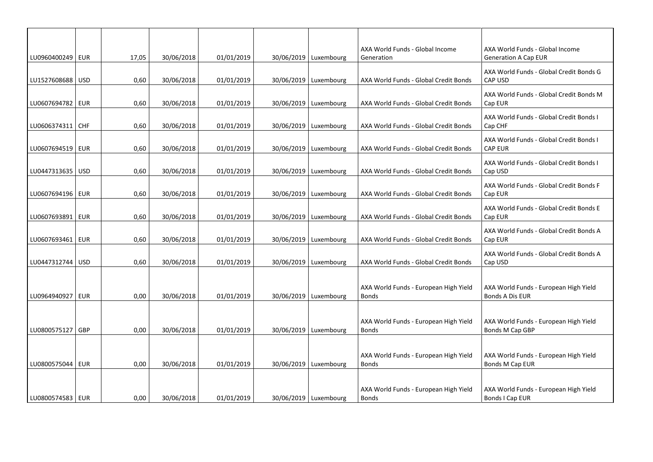| LU0960400249   EUR |            | 17,05 | 30/06/2018 | 01/01/2019 | 30/06/2019   Luxembourg | AXA World Funds - Global Income<br>Generation         | AXA World Funds - Global Income<br><b>Generation A Cap EUR</b> |
|--------------------|------------|-------|------------|------------|-------------------------|-------------------------------------------------------|----------------------------------------------------------------|
| LU1527608688 USD   |            | 0,60  | 30/06/2018 | 01/01/2019 | 30/06/2019 Luxembourg   | AXA World Funds - Global Credit Bonds                 | AXA World Funds - Global Credit Bonds G<br><b>CAP USD</b>      |
|                    |            |       |            |            |                         |                                                       | AXA World Funds - Global Credit Bonds M                        |
| LU0607694782   EUR |            | 0,60  | 30/06/2018 | 01/01/2019 | 30/06/2019   Luxembourg | AXA World Funds - Global Credit Bonds                 | Cap EUR                                                        |
| LU0606374311   CHF |            | 0,60  | 30/06/2018 | 01/01/2019 | 30/06/2019   Luxembourg | AXA World Funds - Global Credit Bonds                 | AXA World Funds - Global Credit Bonds I<br>Cap CHF             |
| LU0607694519   EUR |            | 0,60  | 30/06/2018 | 01/01/2019 | 30/06/2019   Luxembourg | AXA World Funds - Global Credit Bonds                 | AXA World Funds - Global Credit Bonds I<br>CAP EUR             |
| LU0447313635   USD |            | 0,60  | 30/06/2018 | 01/01/2019 | 30/06/2019   Luxembourg | AXA World Funds - Global Credit Bonds                 | AXA World Funds - Global Credit Bonds I<br>Cap USD             |
| LU0607694196   EUR |            | 0,60  | 30/06/2018 | 01/01/2019 | 30/06/2019   Luxembourg | AXA World Funds - Global Credit Bonds                 | AXA World Funds - Global Credit Bonds F<br>Cap EUR             |
| LU0607693891   EUR |            | 0,60  | 30/06/2018 | 01/01/2019 | 30/06/2019   Luxembourg | AXA World Funds - Global Credit Bonds                 | AXA World Funds - Global Credit Bonds E<br>Cap EUR             |
| LU0607693461       | EUR        | 0,60  | 30/06/2018 | 01/01/2019 | 30/06/2019   Luxembourg | AXA World Funds - Global Credit Bonds                 | AXA World Funds - Global Credit Bonds A<br>Cap EUR             |
| LU0447312744       | <b>USD</b> | 0,60  | 30/06/2018 | 01/01/2019 | 30/06/2019   Luxembourg | AXA World Funds - Global Credit Bonds                 | AXA World Funds - Global Credit Bonds A<br>Cap USD             |
|                    |            |       |            |            |                         | AXA World Funds - European High Yield                 | AXA World Funds - European High Yield                          |
| LU0964940927   EUR |            | 0,00  | 30/06/2018 | 01/01/2019 | 30/06/2019   Luxembourg | <b>Bonds</b>                                          | <b>Bonds A Dis EUR</b>                                         |
|                    |            |       |            |            |                         |                                                       |                                                                |
| LU0800575127 GBP   |            | 0,00  | 30/06/2018 | 01/01/2019 | 30/06/2019   Luxembourg | AXA World Funds - European High Yield<br><b>Bonds</b> | AXA World Funds - European High Yield<br>Bonds M Cap GBP       |
|                    |            |       |            |            |                         |                                                       |                                                                |
| LU0800575044   EUR |            | 0,00  | 30/06/2018 | 01/01/2019 | 30/06/2019   Luxembourg | AXA World Funds - European High Yield<br><b>Bonds</b> | AXA World Funds - European High Yield<br>Bonds M Cap EUR       |
|                    |            |       |            |            |                         |                                                       |                                                                |
| LU0800574583   EUR |            | 0,00  | 30/06/2018 | 01/01/2019 | 30/06/2019   Luxembourg | AXA World Funds - European High Yield<br><b>Bonds</b> | AXA World Funds - European High Yield<br>Bonds I Cap EUR       |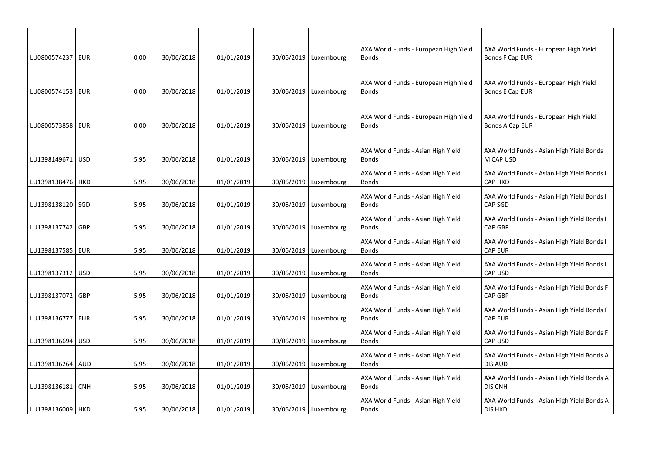| LU0800574237   EUR | 0,00 | 30/06/2018 | 01/01/2019 | 30/06/2019   Luxembourg | AXA World Funds - European High Yield<br><b>Bonds</b> | AXA World Funds - European High Yield<br>Bonds F Cap EUR     |
|--------------------|------|------------|------------|-------------------------|-------------------------------------------------------|--------------------------------------------------------------|
|                    |      |            |            |                         |                                                       |                                                              |
| LU0800574153   EUR | 0,00 | 30/06/2018 | 01/01/2019 | 30/06/2019   Luxembourg | AXA World Funds - European High Yield<br><b>Bonds</b> | AXA World Funds - European High Yield<br>Bonds E Cap EUR     |
|                    |      |            |            |                         |                                                       |                                                              |
| LU0800573858   EUR | 0,00 | 30/06/2018 | 01/01/2019 | 30/06/2019   Luxembourg | AXA World Funds - European High Yield<br><b>Bonds</b> | AXA World Funds - European High Yield<br>Bonds A Cap EUR     |
|                    |      |            |            |                         |                                                       |                                                              |
| LU1398149671   USD | 5,95 | 30/06/2018 | 01/01/2019 | 30/06/2019   Luxembourg | AXA World Funds - Asian High Yield<br><b>Bonds</b>    | AXA World Funds - Asian High Yield Bonds<br>M CAP USD        |
| LU1398138476   HKD | 5,95 | 30/06/2018 | 01/01/2019 | 30/06/2019   Luxembourg | AXA World Funds - Asian High Yield<br><b>Bonds</b>    | AXA World Funds - Asian High Yield Bonds I<br><b>CAP HKD</b> |
|                    |      |            |            |                         | AXA World Funds - Asian High Yield                    | AXA World Funds - Asian High Yield Bonds I                   |
| LU1398138120 SGD   | 5,95 | 30/06/2018 | 01/01/2019 | 30/06/2019   Luxembourg | <b>Bonds</b>                                          | CAP SGD                                                      |
| LU1398137742   GBP | 5,95 | 30/06/2018 | 01/01/2019 | 30/06/2019   Luxembourg | AXA World Funds - Asian High Yield<br><b>Bonds</b>    | AXA World Funds - Asian High Yield Bonds I<br><b>CAP GBP</b> |
| LU1398137585   EUR | 5,95 | 30/06/2018 | 01/01/2019 | 30/06/2019   Luxembourg | AXA World Funds - Asian High Yield<br><b>Bonds</b>    | AXA World Funds - Asian High Yield Bonds I<br><b>CAP EUR</b> |
|                    |      |            |            |                         | AXA World Funds - Asian High Yield                    | AXA World Funds - Asian High Yield Bonds I                   |
| LU1398137312 USD   | 5,95 | 30/06/2018 | 01/01/2019 | 30/06/2019   Luxembourg | <b>Bonds</b>                                          | <b>CAP USD</b>                                               |
| LU1398137072   GBP | 5,95 | 30/06/2018 | 01/01/2019 | 30/06/2019   Luxembourg | AXA World Funds - Asian High Yield<br><b>Bonds</b>    | AXA World Funds - Asian High Yield Bonds F<br><b>CAP GBP</b> |
| LU1398136777   EUR | 5,95 | 30/06/2018 | 01/01/2019 | 30/06/2019   Luxembourg | AXA World Funds - Asian High Yield<br><b>Bonds</b>    | AXA World Funds - Asian High Yield Bonds F<br><b>CAP EUR</b> |
|                    |      |            |            |                         | AXA World Funds - Asian High Yield                    | AXA World Funds - Asian High Yield Bonds F                   |
| LU1398136694   USD | 5,95 | 30/06/2018 | 01/01/2019 | 30/06/2019   Luxembourg | <b>Bonds</b>                                          | <b>CAP USD</b>                                               |
| LU1398136264   AUD | 5,95 | 30/06/2018 | 01/01/2019 | 30/06/2019   Luxembourg | AXA World Funds - Asian High Yield<br><b>Bonds</b>    | AXA World Funds - Asian High Yield Bonds A<br><b>DIS AUD</b> |
| LU1398136181 CNH   | 5,95 | 30/06/2018 | 01/01/2019 | 30/06/2019   Luxembourg | AXA World Funds - Asian High Yield<br><b>Bonds</b>    | AXA World Funds - Asian High Yield Bonds A<br><b>DIS CNH</b> |
| LU1398136009   HKD | 5,95 | 30/06/2018 | 01/01/2019 | 30/06/2019   Luxembourg | AXA World Funds - Asian High Yield<br><b>Bonds</b>    | AXA World Funds - Asian High Yield Bonds A<br><b>DIS HKD</b> |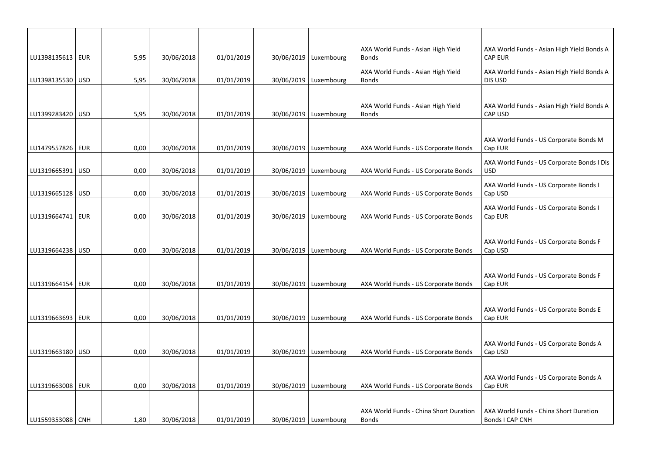| LU1398135613   EUR | 5,95 | 30/06/2018 | 01/01/2019 | 30/06/2019   Luxembourg | AXA World Funds - Asian High Yield<br><b>Bonds</b>     | AXA World Funds - Asian High Yield Bonds A<br><b>CAP EUR</b> |
|--------------------|------|------------|------------|-------------------------|--------------------------------------------------------|--------------------------------------------------------------|
| LU1398135530   USD | 5,95 | 30/06/2018 | 01/01/2019 | 30/06/2019   Luxembourg | AXA World Funds - Asian High Yield<br><b>Bonds</b>     | AXA World Funds - Asian High Yield Bonds A<br>DIS USD        |
|                    |      |            |            |                         |                                                        |                                                              |
| LU1399283420   USD | 5,95 | 30/06/2018 | 01/01/2019 | 30/06/2019   Luxembourg | AXA World Funds - Asian High Yield<br><b>Bonds</b>     | AXA World Funds - Asian High Yield Bonds A<br><b>CAP USD</b> |
|                    |      |            |            |                         |                                                        |                                                              |
| LU1479557826   EUR | 0,00 | 30/06/2018 | 01/01/2019 | 30/06/2019   Luxembourg | AXA World Funds - US Corporate Bonds                   | AXA World Funds - US Corporate Bonds M<br>Cap EUR            |
| LU1319665391   USD | 0,00 | 30/06/2018 | 01/01/2019 | 30/06/2019   Luxembourg | AXA World Funds - US Corporate Bonds                   | AXA World Funds - US Corporate Bonds I Dis<br>USD            |
| LU1319665128   USD | 0,00 | 30/06/2018 | 01/01/2019 | 30/06/2019   Luxembourg | AXA World Funds - US Corporate Bonds                   | AXA World Funds - US Corporate Bonds I<br>Cap USD            |
|                    |      |            |            |                         |                                                        | AXA World Funds - US Corporate Bonds I                       |
| LU1319664741   EUR | 0,00 | 30/06/2018 | 01/01/2019 | 30/06/2019 Luxembourg   | AXA World Funds - US Corporate Bonds                   | Cap EUR                                                      |
| LU1319664238 USD   | 0,00 | 30/06/2018 | 01/01/2019 | 30/06/2019 Luxembourg   | AXA World Funds - US Corporate Bonds                   | AXA World Funds - US Corporate Bonds F<br>Cap USD            |
|                    |      |            |            |                         |                                                        |                                                              |
| LU1319664154   EUR | 0,00 | 30/06/2018 | 01/01/2019 | 30/06/2019   Luxembourg | AXA World Funds - US Corporate Bonds                   | AXA World Funds - US Corporate Bonds F<br>Cap EUR            |
|                    |      |            |            |                         |                                                        |                                                              |
| LU1319663693   EUR | 0,00 | 30/06/2018 | 01/01/2019 | 30/06/2019   Luxembourg | AXA World Funds - US Corporate Bonds                   | AXA World Funds - US Corporate Bonds E<br>Cap EUR            |
|                    |      |            |            |                         |                                                        |                                                              |
| LU1319663180   USD | 0,00 | 30/06/2018 | 01/01/2019 | 30/06/2019 Luxembourg   | AXA World Funds - US Corporate Bonds                   | AXA World Funds - US Corporate Bonds A<br>Cap USD            |
|                    |      |            |            |                         |                                                        |                                                              |
| LU1319663008   EUR | 0,00 | 30/06/2018 | 01/01/2019 | 30/06/2019   Luxembourg | AXA World Funds - US Corporate Bonds                   | AXA World Funds - US Corporate Bonds A<br>Cap EUR            |
|                    |      |            |            |                         |                                                        |                                                              |
| LU1559353088   CNH | 1,80 | 30/06/2018 | 01/01/2019 | 30/06/2019   Luxembourg | AXA World Funds - China Short Duration<br><b>Bonds</b> | AXA World Funds - China Short Duration<br>Bonds I CAP CNH    |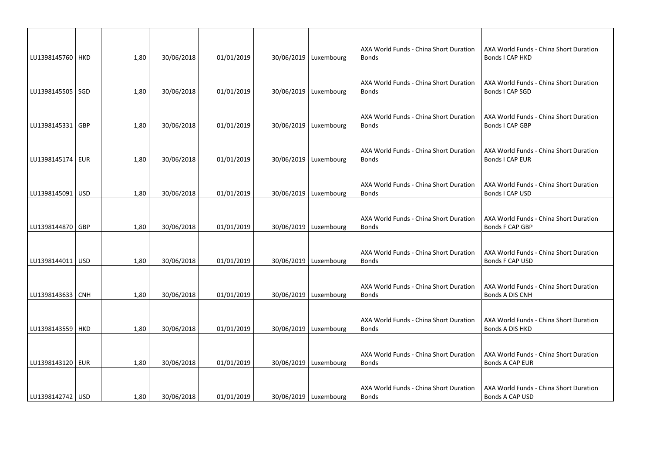| LU1398145760   HKD |     | 1,80 | 30/06/2018 | 01/01/2019 | 30/06/2019   Luxembourg | AXA World Funds - China Short Duration<br><b>Bonds</b> | AXA World Funds - China Short Duration<br>Bonds I CAP HKD        |
|--------------------|-----|------|------------|------------|-------------------------|--------------------------------------------------------|------------------------------------------------------------------|
|                    |     |      |            |            |                         |                                                        |                                                                  |
| LU1398145505   SGD |     | 1,80 | 30/06/2018 | 01/01/2019 | 30/06/2019   Luxembourg | AXA World Funds - China Short Duration<br><b>Bonds</b> | AXA World Funds - China Short Duration<br>Bonds I CAP SGD        |
|                    |     |      |            |            |                         |                                                        |                                                                  |
| LU1398145331   GBP |     | 1,80 | 30/06/2018 | 01/01/2019 | 30/06/2019   Luxembourg | AXA World Funds - China Short Duration<br><b>Bonds</b> | AXA World Funds - China Short Duration<br>Bonds I CAP GBP        |
|                    |     |      |            |            |                         |                                                        |                                                                  |
| LU1398145174   EUR |     | 1,80 | 30/06/2018 | 01/01/2019 | 30/06/2019   Luxembourg | AXA World Funds - China Short Duration<br><b>Bonds</b> | AXA World Funds - China Short Duration<br>Bonds I CAP EUR        |
|                    |     |      |            |            |                         |                                                        |                                                                  |
| LU1398145091       | USD | 1,80 | 30/06/2018 | 01/01/2019 | 30/06/2019   Luxembourg | AXA World Funds - China Short Duration<br><b>Bonds</b> | AXA World Funds - China Short Duration<br>Bonds I CAP USD        |
|                    |     |      |            |            |                         |                                                        |                                                                  |
| LU1398144870   GBP |     | 1,80 | 30/06/2018 | 01/01/2019 | 30/06/2019   Luxembourg | AXA World Funds - China Short Duration<br><b>Bonds</b> | AXA World Funds - China Short Duration<br>Bonds F CAP GBP        |
|                    |     |      |            |            |                         |                                                        |                                                                  |
| LU1398144011   USD |     | 1,80 | 30/06/2018 | 01/01/2019 | 30/06/2019   Luxembourg | AXA World Funds - China Short Duration<br><b>Bonds</b> | AXA World Funds - China Short Duration<br>Bonds F CAP USD        |
|                    |     |      |            |            |                         |                                                        |                                                                  |
| LU1398143633   CNH |     | 1,80 | 30/06/2018 | 01/01/2019 | 30/06/2019   Luxembourg | AXA World Funds - China Short Duration<br><b>Bonds</b> | AXA World Funds - China Short Duration<br>Bonds A DIS CNH        |
|                    |     |      |            |            |                         |                                                        |                                                                  |
| LU1398143559 HKD   |     | 1,80 | 30/06/2018 | 01/01/2019 | 30/06/2019 Luxembourg   | AXA World Funds - China Short Duration<br><b>Bonds</b> | AXA World Funds - China Short Duration<br>Bonds A DIS HKD        |
|                    |     |      |            |            |                         |                                                        |                                                                  |
| LU1398143120   EUR |     | 1,80 | 30/06/2018 | 01/01/2019 | 30/06/2019   Luxembourg | AXA World Funds - China Short Duration<br><b>Bonds</b> | AXA World Funds - China Short Duration<br><b>Bonds A CAP EUR</b> |
|                    |     |      |            |            |                         |                                                        |                                                                  |
| LU1398142742   USD |     | 1,80 | 30/06/2018 | 01/01/2019 | 30/06/2019 Luxembourg   | AXA World Funds - China Short Duration<br><b>Bonds</b> | AXA World Funds - China Short Duration<br>Bonds A CAP USD        |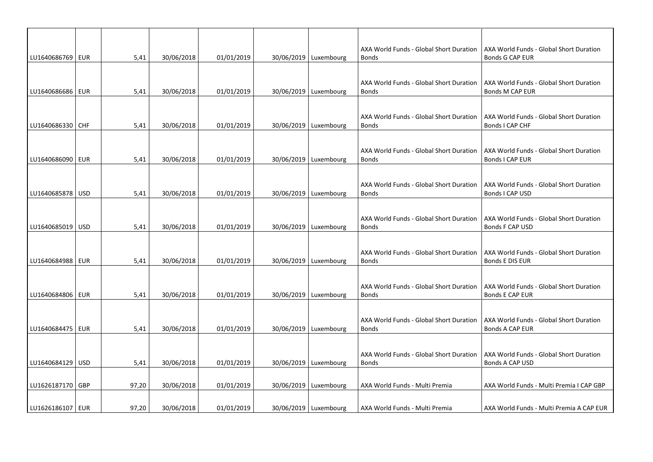| LU1640686769   EUR |            | 5,41  | 30/06/2018 | 01/01/2019 | 30/06/2019   Luxembourg | AXA World Funds - Global Short Duration<br><b>Bonds</b> | AXA World Funds - Global Short Duration<br><b>Bonds G CAP EUR</b> |
|--------------------|------------|-------|------------|------------|-------------------------|---------------------------------------------------------|-------------------------------------------------------------------|
|                    |            |       |            |            |                         |                                                         |                                                                   |
| LU1640686686   EUR |            | 5,41  | 30/06/2018 | 01/01/2019 | 30/06/2019   Luxembourg | AXA World Funds - Global Short Duration<br><b>Bonds</b> | AXA World Funds - Global Short Duration<br>Bonds M CAP EUR        |
|                    |            |       |            |            |                         |                                                         |                                                                   |
| LU1640686330   CHF |            | 5,41  | 30/06/2018 | 01/01/2019 | 30/06/2019   Luxembourg | AXA World Funds - Global Short Duration<br><b>Bonds</b> | AXA World Funds - Global Short Duration<br>Bonds I CAP CHF        |
|                    |            |       |            |            |                         |                                                         |                                                                   |
| LU1640686090   EUR |            | 5,41  | 30/06/2018 | 01/01/2019 | 30/06/2019   Luxembourg | AXA World Funds - Global Short Duration<br><b>Bonds</b> | AXA World Funds - Global Short Duration<br>Bonds I CAP EUR        |
|                    |            |       |            |            |                         |                                                         |                                                                   |
| LU1640685878   USD |            | 5,41  | 30/06/2018 | 01/01/2019 | 30/06/2019   Luxembourg | AXA World Funds - Global Short Duration<br><b>Bonds</b> | AXA World Funds - Global Short Duration<br>Bonds I CAP USD        |
|                    |            |       |            |            |                         |                                                         |                                                                   |
| LU1640685019   USD |            | 5,41  | 30/06/2018 | 01/01/2019 | 30/06/2019   Luxembourg | AXA World Funds - Global Short Duration<br><b>Bonds</b> | AXA World Funds - Global Short Duration<br>Bonds F CAP USD        |
|                    |            |       |            |            |                         |                                                         |                                                                   |
| LU1640684988   EUR |            | 5,41  | 30/06/2018 | 01/01/2019 | 30/06/2019   Luxembourg | AXA World Funds - Global Short Duration<br><b>Bonds</b> | AXA World Funds - Global Short Duration<br>Bonds E DIS EUR        |
|                    |            |       |            |            |                         |                                                         |                                                                   |
| LU1640684806 EUR   |            | 5,41  | 30/06/2018 | 01/01/2019 | 30/06/2019   Luxembourg | AXA World Funds - Global Short Duration<br><b>Bonds</b> | AXA World Funds - Global Short Duration<br>Bonds E CAP EUR        |
|                    |            |       |            |            |                         |                                                         |                                                                   |
|                    |            |       |            |            |                         | AXA World Funds - Global Short Duration                 | AXA World Funds - Global Short Duration                           |
| LU1640684475       | <b>EUR</b> | 5,41  | 30/06/2018 | 01/01/2019 | 30/06/2019   Luxembourg | <b>Bonds</b>                                            | <b>Bonds A CAP EUR</b>                                            |
|                    |            |       |            |            |                         | AXA World Funds - Global Short Duration                 | AXA World Funds - Global Short Duration                           |
| LU1640684129       | <b>USD</b> | 5,41  | 30/06/2018 | 01/01/2019 | 30/06/2019   Luxembourg | <b>Bonds</b>                                            | Bonds A CAP USD                                                   |
|                    |            |       |            |            |                         |                                                         |                                                                   |
| LU1626187170   GBP |            | 97,20 | 30/06/2018 | 01/01/2019 | 30/06/2019   Luxembourg | AXA World Funds - Multi Premia                          | AXA World Funds - Multi Premia I CAP GBP                          |
| LU1626186107   EUR |            | 97,20 | 30/06/2018 | 01/01/2019 | 30/06/2019   Luxembourg | AXA World Funds - Multi Premia                          | AXA World Funds - Multi Premia A CAP EUR                          |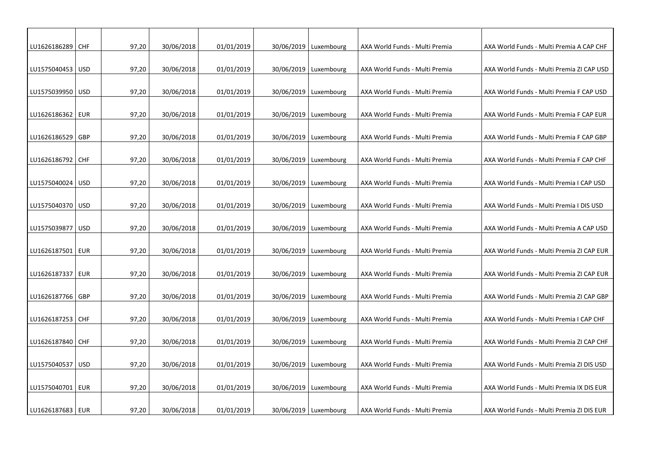| LU1626186289   CHF |            | 97,20 | 30/06/2018 | 01/01/2019 | 30/06/2019   Luxembourg | AXA World Funds - Multi Premia | AXA World Funds - Multi Premia A CAP CHF  |
|--------------------|------------|-------|------------|------------|-------------------------|--------------------------------|-------------------------------------------|
|                    |            |       |            |            |                         |                                |                                           |
| LU1575040453 USD   |            | 97,20 | 30/06/2018 | 01/01/2019 | 30/06/2019 Luxembourg   | AXA World Funds - Multi Premia | AXA World Funds - Multi Premia ZI CAP USD |
|                    |            |       |            |            |                         |                                |                                           |
| LU1575039950   USD |            | 97,20 | 30/06/2018 | 01/01/2019 | 30/06/2019   Luxembourg | AXA World Funds - Multi Premia | AXA World Funds - Multi Premia F CAP USD  |
|                    |            |       |            |            |                         |                                |                                           |
| LU1626186362   EUR |            | 97,20 | 30/06/2018 | 01/01/2019 | 30/06/2019 Luxembourg   | AXA World Funds - Multi Premia | AXA World Funds - Multi Premia F CAP EUR  |
|                    |            |       |            |            |                         |                                |                                           |
| LU1626186529       | GBP        | 97,20 | 30/06/2018 | 01/01/2019 | 30/06/2019 Luxembourg   | AXA World Funds - Multi Premia | AXA World Funds - Multi Premia F CAP GBP  |
|                    |            |       |            |            |                         |                                |                                           |
| LU1626186792   CHF |            | 97,20 | 30/06/2018 | 01/01/2019 | 30/06/2019   Luxembourg | AXA World Funds - Multi Premia | AXA World Funds - Multi Premia F CAP CHF  |
| LU1575040024 USD   |            | 97,20 | 30/06/2018 | 01/01/2019 | 30/06/2019 Luxembourg   | AXA World Funds - Multi Premia | AXA World Funds - Multi Premia I CAP USD  |
|                    |            |       |            |            |                         |                                |                                           |
| LU1575040370 USD   |            | 97,20 | 30/06/2018 | 01/01/2019 | 30/06/2019   Luxembourg | AXA World Funds - Multi Premia | AXA World Funds - Multi Premia I DIS USD  |
|                    |            |       |            |            |                         |                                |                                           |
| LU1575039877       | <b>USD</b> | 97,20 | 30/06/2018 | 01/01/2019 | 30/06/2019 Luxembourg   | AXA World Funds - Multi Premia | AXA World Funds - Multi Premia A CAP USD  |
|                    |            |       |            |            |                         |                                |                                           |
| LU1626187501       | EUR        | 97,20 | 30/06/2018 | 01/01/2019 | 30/06/2019 Luxembourg   | AXA World Funds - Multi Premia | AXA World Funds - Multi Premia ZI CAP EUR |
|                    |            |       |            |            |                         |                                |                                           |
| LU1626187337   EUR |            | 97,20 | 30/06/2018 | 01/01/2019 | 30/06/2019   Luxembourg | AXA World Funds - Multi Premia | AXA World Funds - Multi Premia ZI CAP EUR |
|                    |            |       |            |            |                         |                                |                                           |
| LU1626187766       | GBP        | 97,20 | 30/06/2018 | 01/01/2019 | 30/06/2019   Luxembourg | AXA World Funds - Multi Premia | AXA World Funds - Multi Premia ZI CAP GBP |
| LU1626187253 CHF   |            | 97,20 | 30/06/2018 | 01/01/2019 | 30/06/2019   Luxembourg | AXA World Funds - Multi Premia | AXA World Funds - Multi Premia I CAP CHF  |
|                    |            |       |            |            |                         |                                |                                           |
| LU1626187840 CHF   |            | 97,20 | 30/06/2018 | 01/01/2019 | 30/06/2019 Luxembourg   | AXA World Funds - Multi Premia | AXA World Funds - Multi Premia ZI CAP CHF |
|                    |            |       |            |            |                         |                                |                                           |
| LU1575040537   USD |            | 97,20 | 30/06/2018 | 01/01/2019 | 30/06/2019 Luxembourg   | AXA World Funds - Multi Premia | AXA World Funds - Multi Premia ZI DIS USD |
|                    |            |       |            |            |                         |                                |                                           |
| LU1575040701   EUR |            | 97,20 | 30/06/2018 | 01/01/2019 | 30/06/2019 Luxembourg   | AXA World Funds - Multi Premia | AXA World Funds - Multi Premia IX DIS EUR |
|                    |            |       |            |            |                         |                                |                                           |
| LU1626187683   EUR |            | 97,20 | 30/06/2018 | 01/01/2019 | 30/06/2019 Luxembourg   | AXA World Funds - Multi Premia | AXA World Funds - Multi Premia ZI DIS EUR |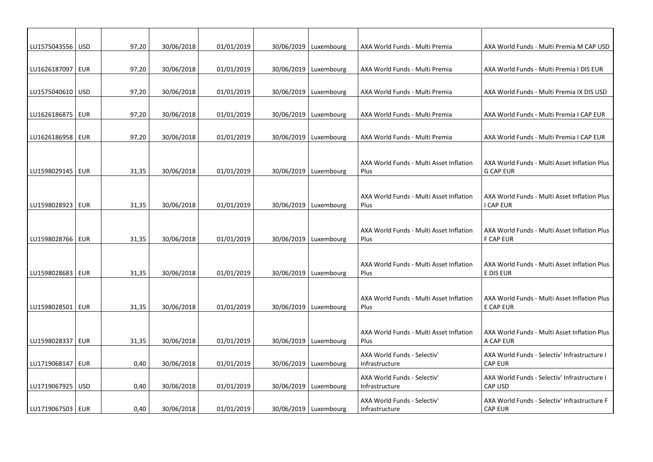| LU1575043556   USD |     | 97,20 | 30/06/2018 | 01/01/2019 | 30/06/2019   Luxembourg | AXA World Funds - Multi Premia                  | AXA World Funds - Multi Premia M CAP USD                       |
|--------------------|-----|-------|------------|------------|-------------------------|-------------------------------------------------|----------------------------------------------------------------|
|                    |     |       |            |            |                         |                                                 |                                                                |
| LU1626187097   EUR |     | 97,20 | 30/06/2018 | 01/01/2019 | 30/06/2019   Luxembourg | AXA World Funds - Multi Premia                  | AXA World Funds - Multi Premia I DIS EUR                       |
|                    |     |       |            |            |                         |                                                 |                                                                |
| LU1575040610   USD |     | 97,20 | 30/06/2018 | 01/01/2019 | 30/06/2019   Luxembourg | AXA World Funds - Multi Premia                  | AXA World Funds - Multi Premia IX DIS USD                      |
|                    |     |       |            |            |                         |                                                 |                                                                |
| LU1626186875   EUR |     | 97,20 | 30/06/2018 | 01/01/2019 | 30/06/2019   Luxembourg | AXA World Funds - Multi Premia                  | AXA World Funds - Multi Premia I CAP EUR                       |
|                    |     |       |            |            |                         |                                                 |                                                                |
| LU1626186958   EUR |     | 97,20 | 30/06/2018 | 01/01/2019 | 30/06/2019   Luxembourg | AXA World Funds - Multi Premia                  | AXA World Funds - Multi Premia I CAP EUR                       |
|                    |     |       |            |            |                         |                                                 |                                                                |
|                    |     |       |            |            |                         | AXA World Funds - Multi Asset Inflation         | AXA World Funds - Multi Asset Inflation Plus                   |
| LU1598029145   EUR |     | 31,35 | 30/06/2018 | 01/01/2019 | 30/06/2019   Luxembourg | Plus                                            | <b>G CAP EUR</b>                                               |
|                    |     |       |            |            |                         |                                                 |                                                                |
|                    |     |       |            |            |                         |                                                 |                                                                |
| LU1598028923   EUR |     | 31,35 | 30/06/2018 | 01/01/2019 | 30/06/2019   Luxembourg | AXA World Funds - Multi Asset Inflation<br>Plus | AXA World Funds - Multi Asset Inflation Plus<br>I CAP EUR      |
|                    |     |       |            |            |                         |                                                 |                                                                |
|                    |     |       |            |            |                         |                                                 |                                                                |
|                    |     |       |            |            |                         | AXA World Funds - Multi Asset Inflation         | AXA World Funds - Multi Asset Inflation Plus                   |
| LU1598028766   EUR |     | 31,35 | 30/06/2018 | 01/01/2019 | 30/06/2019   Luxembourg | Plus                                            | <b>F CAP EUR</b>                                               |
|                    |     |       |            |            |                         |                                                 |                                                                |
|                    |     |       |            |            |                         | AXA World Funds - Multi Asset Inflation         | AXA World Funds - Multi Asset Inflation Plus                   |
| LU1598028683   EUR |     | 31,35 | 30/06/2018 | 01/01/2019 | 30/06/2019   Luxembourg | Plus                                            | E DIS EUR                                                      |
|                    |     |       |            |            |                         |                                                 |                                                                |
|                    |     |       |            |            |                         | AXA World Funds - Multi Asset Inflation         | AXA World Funds - Multi Asset Inflation Plus                   |
| LU1598028501       | EUR | 31,35 | 30/06/2018 | 01/01/2019 | 30/06/2019   Luxembourg | Plus                                            | E CAP EUR                                                      |
|                    |     |       |            |            |                         |                                                 |                                                                |
|                    |     |       |            |            |                         | AXA World Funds - Multi Asset Inflation         | AXA World Funds - Multi Asset Inflation Plus                   |
| LU1598028337   EUR |     | 31,35 | 30/06/2018 | 01/01/2019 | 30/06/2019   Luxembourg | Plus                                            | A CAP EUR                                                      |
|                    |     |       |            |            |                         | AXA World Funds - Selectiv'                     | AXA World Funds - Selectiv' Infrastructure I                   |
| LU1719068147 EUR   |     | 0.40  | 30/06/2018 | 01/01/2019 | 30/06/2019   Luxembourg | Infrastructure                                  | <b>CAP EUR</b>                                                 |
|                    |     |       |            |            |                         |                                                 |                                                                |
| LU1719067925   USD |     | 0,40  | 30/06/2018 | 01/01/2019 | 30/06/2019   Luxembourg | AXA World Funds - Selectiv'<br>Infrastructure   | AXA World Funds - Selectiv' Infrastructure I<br><b>CAP USD</b> |
|                    |     |       |            |            |                         |                                                 |                                                                |
|                    |     |       | 30/06/2018 | 01/01/2019 | 30/06/2019   Luxembourg | AXA World Funds - Selectiv'                     | AXA World Funds - Selectiv' Infrastructure F<br><b>CAP EUR</b> |
| LU1719067503   EUR |     | 0,40  |            |            |                         | Infrastructure                                  |                                                                |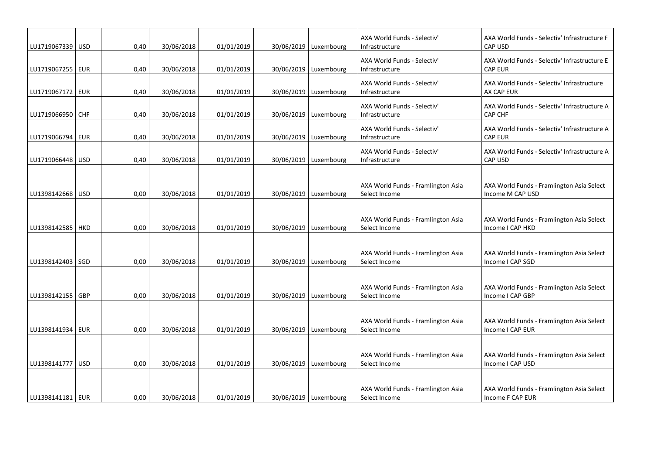| LU1719067339 USD   |            | 0,40 | 30/06/2018 | 01/01/2019 | 30/06/2019   Luxembourg | AXA World Funds - Selectiv'<br>Infrastructure       | AXA World Funds - Selectiv' Infrastructure F<br><b>CAP USD</b> |
|--------------------|------------|------|------------|------------|-------------------------|-----------------------------------------------------|----------------------------------------------------------------|
| LU1719067255   EUR |            | 0,40 | 30/06/2018 | 01/01/2019 | 30/06/2019   Luxembourg | AXA World Funds - Selectiv'<br>Infrastructure       | AXA World Funds - Selectiv' Infrastructure E<br><b>CAP EUR</b> |
| LU1719067172   EUR |            | 0,40 | 30/06/2018 | 01/01/2019 | 30/06/2019   Luxembourg | AXA World Funds - Selectiv'<br>Infrastructure       | AXA World Funds - Selectiv' Infrastructure<br>AX CAP EUR       |
| LU1719066950   CHF |            | 0,40 | 30/06/2018 | 01/01/2019 | 30/06/2019   Luxembourg | AXA World Funds - Selectiv'<br>Infrastructure       | AXA World Funds - Selectiv' Infrastructure A<br>CAP CHF        |
| LU1719066794   EUR |            | 0,40 | 30/06/2018 | 01/01/2019 | 30/06/2019   Luxembourg | AXA World Funds - Selectiv'<br>Infrastructure       | AXA World Funds - Selectiv' Infrastructure A<br><b>CAP EUR</b> |
| LU1719066448       | <b>USD</b> | 0,40 | 30/06/2018 | 01/01/2019 | 30/06/2019   Luxembourg | AXA World Funds - Selectiv'<br>Infrastructure       | AXA World Funds - Selectiv' Infrastructure A<br><b>CAP USD</b> |
| LU1398142668   USD |            | 0,00 | 30/06/2018 | 01/01/2019 | 30/06/2019 Luxembourg   | AXA World Funds - Framlington Asia<br>Select Income | AXA World Funds - Framlington Asia Select<br>Income M CAP USD  |
| LU1398142585   HKD |            | 0,00 | 30/06/2018 | 01/01/2019 | 30/06/2019   Luxembourg | AXA World Funds - Framlington Asia<br>Select Income | AXA World Funds - Framlington Asia Select<br>Income I CAP HKD  |
| LU1398142403   SGD |            | 0,00 | 30/06/2018 | 01/01/2019 | 30/06/2019   Luxembourg | AXA World Funds - Framlington Asia<br>Select Income | AXA World Funds - Framlington Asia Select<br>Income I CAP SGD  |
| LU1398142155   GBP |            | 0,00 | 30/06/2018 | 01/01/2019 | 30/06/2019   Luxembourg | AXA World Funds - Framlington Asia<br>Select Income | AXA World Funds - Framlington Asia Select<br>Income I CAP GBP  |
| LU1398141934   EUR |            | 0,00 | 30/06/2018 | 01/01/2019 | 30/06/2019   Luxembourg | AXA World Funds - Framlington Asia<br>Select Income | AXA World Funds - Framlington Asia Select<br>Income I CAP EUR  |
| LU1398141777   USD |            | 0,00 | 30/06/2018 | 01/01/2019 | 30/06/2019   Luxembourg | AXA World Funds - Framlington Asia<br>Select Income | AXA World Funds - Framlington Asia Select<br>Income I CAP USD  |
| LU1398141181   EUR |            | 0,00 | 30/06/2018 | 01/01/2019 | 30/06/2019   Luxembourg | AXA World Funds - Framlington Asia<br>Select Income | AXA World Funds - Framlington Asia Select<br>Income F CAP EUR  |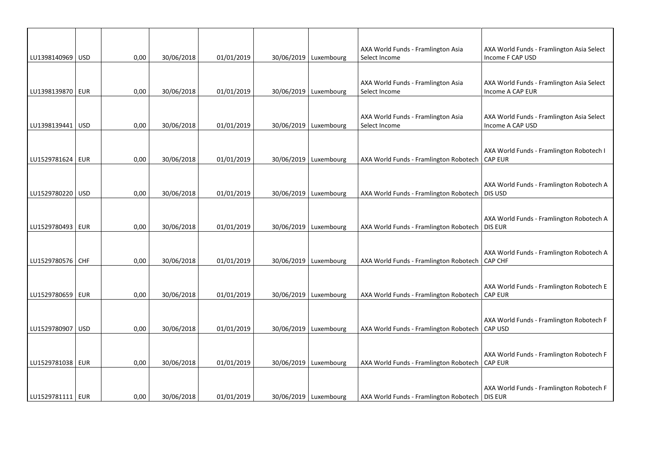| LU1398140969 USD   |      |            |            |                         | AXA World Funds - Framlington Asia                  | AXA World Funds - Framlington Asia Select                     |
|--------------------|------|------------|------------|-------------------------|-----------------------------------------------------|---------------------------------------------------------------|
|                    | 0,00 | 30/06/2018 | 01/01/2019 | 30/06/2019   Luxembourg | Select Income                                       | Income F CAP USD                                              |
| LU1398139870   EUR | 0,00 | 30/06/2018 | 01/01/2019 | 30/06/2019   Luxembourg | AXA World Funds - Framlington Asia<br>Select Income | AXA World Funds - Framlington Asia Select<br>Income A CAP EUR |
|                    |      |            |            |                         |                                                     |                                                               |
| LU1398139441 USD   | 0,00 | 30/06/2018 | 01/01/2019 | 30/06/2019   Luxembourg | AXA World Funds - Framlington Asia<br>Select Income | AXA World Funds - Framlington Asia Select<br>Income A CAP USD |
|                    |      |            |            |                         |                                                     |                                                               |
| LU1529781624   EUR | 0,00 | 30/06/2018 | 01/01/2019 | 30/06/2019   Luxembourg | AXA World Funds - Framlington Robotech              | AXA World Funds - Framlington Robotech I<br><b>CAP EUR</b>    |
|                    |      |            |            |                         |                                                     |                                                               |
| LU1529780220 USD   | 0,00 | 30/06/2018 | 01/01/2019 | 30/06/2019   Luxembourg | AXA World Funds - Framlington Robotech              | AXA World Funds - Framlington Robotech A<br>DIS USD           |
|                    |      |            |            |                         |                                                     |                                                               |
| LU1529780493   EUR | 0,00 | 30/06/2018 | 01/01/2019 | 30/06/2019   Luxembourg | AXA World Funds - Framlington Robotech              | AXA World Funds - Framlington Robotech A<br><b>DIS EUR</b>    |
|                    |      |            |            |                         |                                                     |                                                               |
| LU1529780576 CHF   | 0,00 | 30/06/2018 | 01/01/2019 | 30/06/2019 Luxembourg   | AXA World Funds - Framlington Robotech              | AXA World Funds - Framlington Robotech A<br>CAP CHF           |
|                    |      |            |            |                         |                                                     |                                                               |
| LU1529780659   EUR | 0,00 | 30/06/2018 | 01/01/2019 | 30/06/2019   Luxembourg | AXA World Funds - Framlington Robotech              | AXA World Funds - Framlington Robotech E<br><b>CAP EUR</b>    |
|                    |      |            |            |                         |                                                     |                                                               |
| LU1529780907   USD | 0,00 | 30/06/2018 | 01/01/2019 | 30/06/2019   Luxembourg | AXA World Funds - Framlington Robotech              | AXA World Funds - Framlington Robotech F<br><b>CAP USD</b>    |
|                    |      |            |            |                         |                                                     |                                                               |
| LU1529781038 EUR   | 0,00 | 30/06/2018 | 01/01/2019 | 30/06/2019 Luxembourg   | AXA World Funds - Framlington Robotech              | AXA World Funds - Framlington Robotech F<br><b>CAP EUR</b>    |
|                    |      |            |            |                         |                                                     |                                                               |
| LU1529781111   EUR | 0,00 | 30/06/2018 | 01/01/2019 | 30/06/2019   Luxembourg | AXA World Funds - Framlington Robotech   DIS EUR    | AXA World Funds - Framlington Robotech F                      |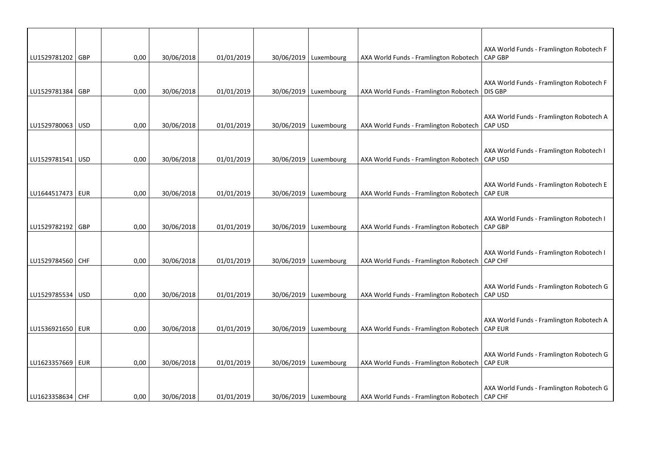| LU1529781202 GBP   | 0,00 | 30/06/2018 | 01/01/2019 | 30/06/2019   Luxembourg | AXA World Funds - Framlington Robotech           | AXA World Funds - Framlington Robotech F<br>CAP GBP        |
|--------------------|------|------------|------------|-------------------------|--------------------------------------------------|------------------------------------------------------------|
|                    |      |            |            |                         |                                                  |                                                            |
| LU1529781384 GBP   | 0,00 | 30/06/2018 | 01/01/2019 | 30/06/2019   Luxembourg | AXA World Funds - Framlington Robotech   DIS GBP | AXA World Funds - Framlington Robotech F                   |
|                    |      |            |            |                         |                                                  |                                                            |
| LU1529780063   USD | 0,00 | 30/06/2018 | 01/01/2019 | 30/06/2019   Luxembourg | AXA World Funds - Framlington Robotech           | AXA World Funds - Framlington Robotech A<br><b>CAP USD</b> |
|                    |      |            |            |                         |                                                  |                                                            |
| LU1529781541 USD   | 0,00 | 30/06/2018 | 01/01/2019 | 30/06/2019   Luxembourg | AXA World Funds - Framlington Robotech           | AXA World Funds - Framlington Robotech I<br>CAP USD        |
|                    |      |            |            |                         |                                                  |                                                            |
| LU1644517473   EUR | 0,00 | 30/06/2018 | 01/01/2019 | 30/06/2019   Luxembourg | AXA World Funds - Framlington Robotech           | AXA World Funds - Framlington Robotech E<br><b>CAP EUR</b> |
|                    |      |            |            |                         |                                                  |                                                            |
| LU1529782192 GBP   | 0,00 | 30/06/2018 | 01/01/2019 | 30/06/2019   Luxembourg | AXA World Funds - Framlington Robotech           | AXA World Funds - Framlington Robotech I<br>CAP GBP        |
|                    |      |            |            |                         |                                                  |                                                            |
| LU1529784560 CHF   | 0,00 | 30/06/2018 | 01/01/2019 | 30/06/2019   Luxembourg | AXA World Funds - Framlington Robotech           | AXA World Funds - Framlington Robotech I<br><b>CAP CHF</b> |
|                    |      |            |            |                         |                                                  |                                                            |
| LU1529785534 USD   | 0,00 | 30/06/2018 | 01/01/2019 | 30/06/2019   Luxembourg | AXA World Funds - Framlington Robotech           | AXA World Funds - Framlington Robotech G<br>CAP USD        |
|                    |      |            |            |                         |                                                  |                                                            |
| LU1536921650   EUR | 0,00 | 30/06/2018 | 01/01/2019 | 30/06/2019   Luxembourg | AXA World Funds - Framlington Robotech           | AXA World Funds - Framlington Robotech A<br><b>CAP EUR</b> |
|                    |      |            |            |                         |                                                  |                                                            |
| LU1623357669 EUR   | 0,00 | 30/06/2018 | 01/01/2019 | 30/06/2019   Luxembourg | AXA World Funds - Framlington Robotech           | AXA World Funds - Framlington Robotech G<br><b>CAP EUR</b> |
|                    |      |            |            |                         |                                                  |                                                            |
| LU1623358634 CHF   | 0,00 | 30/06/2018 | 01/01/2019 | 30/06/2019   Luxembourg | AXA World Funds - Framlington Robotech   CAP CHF | AXA World Funds - Framlington Robotech G                   |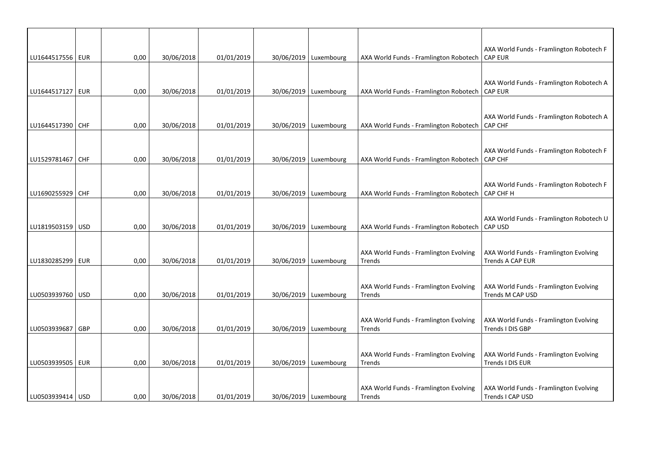| LU1644517556 EUR   | 0,00 | 30/06/2018 | 01/01/2019 | 30/06/2019   Luxembourg | AXA World Funds - Framlington Robotech           | AXA World Funds - Framlington Robotech F<br><b>CAP EUR</b> |
|--------------------|------|------------|------------|-------------------------|--------------------------------------------------|------------------------------------------------------------|
|                    |      |            |            |                         |                                                  |                                                            |
| LU1644517127   EUR | 0,00 | 30/06/2018 | 01/01/2019 | 30/06/2019   Luxembourg | AXA World Funds - Framlington Robotech           | AXA World Funds - Framlington Robotech A<br><b>CAP EUR</b> |
|                    |      |            |            |                         |                                                  |                                                            |
|                    |      |            |            |                         |                                                  | AXA World Funds - Framlington Robotech A                   |
| LU1644517390   CHF | 0,00 | 30/06/2018 | 01/01/2019 | 30/06/2019   Luxembourg | AXA World Funds - Framlington Robotech           | <b>CAP CHF</b>                                             |
|                    |      |            |            |                         |                                                  | AXA World Funds - Framlington Robotech F                   |
| LU1529781467 CHF   | 0,00 | 30/06/2018 | 01/01/2019 | 30/06/2019   Luxembourg | AXA World Funds - Framlington Robotech           | <b>CAP CHF</b>                                             |
|                    |      |            |            |                         |                                                  |                                                            |
| LU1690255929 CHF   | 0,00 | 30/06/2018 | 01/01/2019 | 30/06/2019   Luxembourg | AXA World Funds - Framlington Robotech           | AXA World Funds - Framlington Robotech F<br>CAP CHF H      |
|                    |      |            |            |                         |                                                  |                                                            |
|                    |      |            |            |                         |                                                  | AXA World Funds - Framlington Robotech U                   |
| LU1819503159 USD   | 0,00 | 30/06/2018 | 01/01/2019 | 30/06/2019   Luxembourg | AXA World Funds - Framlington Robotech           | CAP USD                                                    |
|                    |      |            |            |                         | AXA World Funds - Framlington Evolving           | AXA World Funds - Framlington Evolving                     |
| LU1830285299   EUR | 0,00 | 30/06/2018 | 01/01/2019 | 30/06/2019   Luxembourg | <b>Trends</b>                                    | Trends A CAP EUR                                           |
|                    |      |            |            |                         |                                                  |                                                            |
| LU0503939760   USD | 0,00 | 30/06/2018 | 01/01/2019 | 30/06/2019   Luxembourg | AXA World Funds - Framlington Evolving<br>Trends | AXA World Funds - Framlington Evolving<br>Trends M CAP USD |
|                    |      |            |            |                         |                                                  |                                                            |
|                    |      |            |            |                         | AXA World Funds - Framlington Evolving           | AXA World Funds - Framlington Evolving                     |
| LU0503939687 GBP   | 0,00 | 30/06/2018 | 01/01/2019 | 30/06/2019   Luxembourg | Trends                                           | Trends I DIS GBP                                           |
|                    |      |            |            |                         |                                                  |                                                            |
| LU0503939505   EUR | 0,00 | 30/06/2018 | 01/01/2019 | 30/06/2019   Luxembourg | AXA World Funds - Framlington Evolving<br>Trends | AXA World Funds - Framlington Evolving<br>Trends I DIS EUR |
|                    |      |            |            |                         |                                                  |                                                            |
| LU0503939414   USD | 0,00 | 30/06/2018 | 01/01/2019 | 30/06/2019 Luxembourg   | AXA World Funds - Framlington Evolving<br>Trends | AXA World Funds - Framlington Evolving<br>Trends I CAP USD |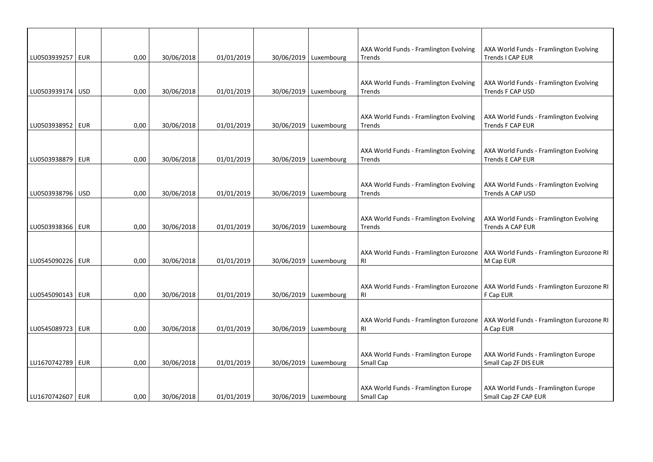| LU0503939257 EUR   | 0,00 | 30/06/2018 | 01/01/2019 | 30/06/2019   Luxembourg | AXA World Funds - Framlington Evolving<br>Trends    | AXA World Funds - Framlington Evolving<br>Trends I CAP EUR        |
|--------------------|------|------------|------------|-------------------------|-----------------------------------------------------|-------------------------------------------------------------------|
|                    |      |            |            |                         |                                                     |                                                                   |
| LU0503939174   USD | 0,00 | 30/06/2018 | 01/01/2019 | 30/06/2019   Luxembourg | AXA World Funds - Framlington Evolving<br>Trends    | AXA World Funds - Framlington Evolving<br>Trends F CAP USD        |
|                    |      |            |            |                         |                                                     |                                                                   |
| LU0503938952   EUR | 0,00 | 30/06/2018 | 01/01/2019 | 30/06/2019   Luxembourg | AXA World Funds - Framlington Evolving<br>Trends    | AXA World Funds - Framlington Evolving<br>Trends F CAP EUR        |
|                    |      |            |            |                         |                                                     |                                                                   |
| LU0503938879   EUR | 0,00 | 30/06/2018 | 01/01/2019 | 30/06/2019   Luxembourg | AXA World Funds - Framlington Evolving<br>Trends    | AXA World Funds - Framlington Evolving<br><b>Trends E CAP EUR</b> |
|                    |      |            |            |                         |                                                     |                                                                   |
| LU0503938796 USD   | 0,00 | 30/06/2018 | 01/01/2019 | 30/06/2019   Luxembourg | AXA World Funds - Framlington Evolving<br>Trends    | AXA World Funds - Framlington Evolving<br>Trends A CAP USD        |
|                    |      |            |            |                         |                                                     |                                                                   |
| LU0503938366 EUR   | 0,00 | 30/06/2018 | 01/01/2019 | 30/06/2019 Luxembourg   | AXA World Funds - Framlington Evolving<br>Trends    | AXA World Funds - Framlington Evolving<br>Trends A CAP EUR        |
|                    |      |            |            |                         |                                                     |                                                                   |
| LU0545090226   EUR | 0,00 | 30/06/2018 | 01/01/2019 | 30/06/2019   Luxembourg | AXA World Funds - Framlington Eurozone<br><b>RI</b> | AXA World Funds - Framlington Eurozone RI<br>M Cap EUR            |
|                    |      |            |            |                         |                                                     |                                                                   |
| LU0545090143   EUR | 0,00 | 30/06/2018 | 01/01/2019 | 30/06/2019   Luxembourg | AXA World Funds - Framlington Eurozone<br><b>RI</b> | AXA World Funds - Framlington Eurozone RI<br>F Cap EUR            |
|                    |      |            |            |                         |                                                     |                                                                   |
| LU0545089723 EUR   | 0,00 | 30/06/2018 | 01/01/2019 | 30/06/2019   Luxembourg | AXA World Funds - Framlington Eurozone<br><b>RI</b> | AXA World Funds - Framlington Eurozone RI<br>A Cap EUR            |
|                    |      |            |            |                         |                                                     |                                                                   |
| LU1670742789   EUR | 0,00 | 30/06/2018 | 01/01/2019 | 30/06/2019   Luxembourg | AXA World Funds - Framlington Europe<br>Small Cap   | AXA World Funds - Framlington Europe<br>Small Cap ZF DIS EUR      |
|                    |      |            |            |                         |                                                     |                                                                   |
| LU1670742607   EUR | 0,00 | 30/06/2018 | 01/01/2019 | 30/06/2019   Luxembourg | AXA World Funds - Framlington Europe<br>Small Cap   | AXA World Funds - Framlington Europe<br>Small Cap ZF CAP EUR      |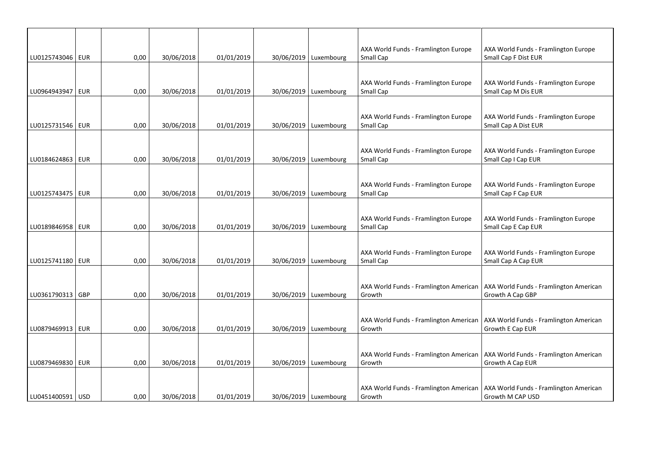| LU0125743046   EUR | 0,00 | 30/06/2018 | 01/01/2019 | 30/06/2019   Luxembourg | AXA World Funds - Framlington Europe<br>Small Cap | AXA World Funds - Framlington Europe<br>Small Cap F Dist EUR |
|--------------------|------|------------|------------|-------------------------|---------------------------------------------------|--------------------------------------------------------------|
| LU0964943947   EUR | 0,00 | 30/06/2018 | 01/01/2019 | 30/06/2019   Luxembourg | AXA World Funds - Framlington Europe<br>Small Cap | AXA World Funds - Framlington Europe<br>Small Cap M Dis EUR  |
| LU0125731546   EUR | 0,00 | 30/06/2018 | 01/01/2019 | 30/06/2019   Luxembourg | AXA World Funds - Framlington Europe<br>Small Cap | AXA World Funds - Framlington Europe<br>Small Cap A Dist EUR |
| LU0184624863 EUR   | 0,00 | 30/06/2018 | 01/01/2019 | 30/06/2019   Luxembourg | AXA World Funds - Framlington Europe<br>Small Cap | AXA World Funds - Framlington Europe<br>Small Cap I Cap EUR  |
| LU0125743475   EUR | 0,00 | 30/06/2018 | 01/01/2019 | 30/06/2019   Luxembourg | AXA World Funds - Framlington Europe<br>Small Cap | AXA World Funds - Framlington Europe<br>Small Cap F Cap EUR  |
| LU0189846958   EUR | 0,00 | 30/06/2018 | 01/01/2019 | 30/06/2019   Luxembourg | AXA World Funds - Framlington Europe<br>Small Cap | AXA World Funds - Framlington Europe<br>Small Cap E Cap EUR  |
| LU0125741180   EUR | 0,00 | 30/06/2018 | 01/01/2019 | 30/06/2019   Luxembourg | AXA World Funds - Framlington Europe<br>Small Cap | AXA World Funds - Framlington Europe<br>Small Cap A Cap EUR  |
| LU0361790313   GBP | 0,00 | 30/06/2018 | 01/01/2019 | 30/06/2019   Luxembourg | AXA World Funds - Framlington American<br>Growth  | AXA World Funds - Framlington American<br>Growth A Cap GBP   |
| LU0879469913   EUR | 0,00 | 30/06/2018 | 01/01/2019 | 30/06/2019   Luxembourg | AXA World Funds - Framlington American<br>Growth  | AXA World Funds - Framlington American<br>Growth E Cap EUR   |
| LU0879469830   EUR | 0,00 | 30/06/2018 | 01/01/2019 | 30/06/2019   Luxembourg | AXA World Funds - Framlington American<br>Growth  | AXA World Funds - Framlington American<br>Growth A Cap EUR   |
| LU0451400591   USD | 0,00 | 30/06/2018 | 01/01/2019 | 30/06/2019   Luxembourg | AXA World Funds - Framlington American<br>Growth  | AXA World Funds - Framlington American<br>Growth M CAP USD   |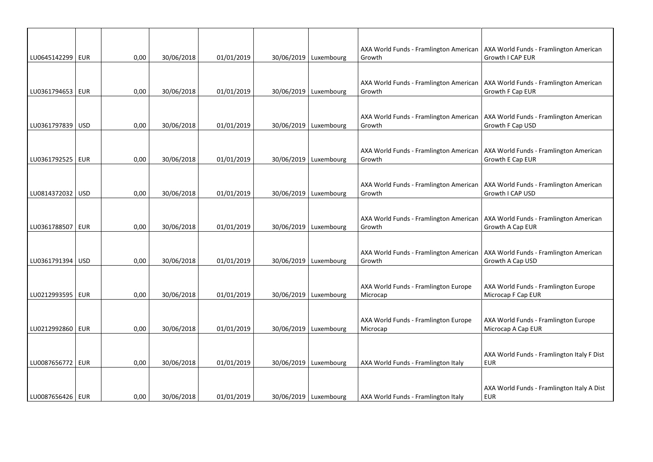| LU0645142299   EUR |            | 0,00 | 30/06/2018 | 01/01/2019 | 30/06/2019   Luxembourg | AXA World Funds - Framlington American<br>Growth | AXA World Funds - Framlington American<br>Growth I CAP EUR |
|--------------------|------------|------|------------|------------|-------------------------|--------------------------------------------------|------------------------------------------------------------|
|                    |            |      |            |            |                         |                                                  |                                                            |
| LU0361794653   EUR |            | 0,00 | 30/06/2018 | 01/01/2019 | 30/06/2019   Luxembourg | AXA World Funds - Framlington American<br>Growth | AXA World Funds - Framlington American<br>Growth F Cap EUR |
|                    |            |      |            |            |                         |                                                  |                                                            |
|                    |            |      |            |            |                         | AXA World Funds - Framlington American           | AXA World Funds - Framlington American                     |
| LU0361797839   USD |            | 0,00 | 30/06/2018 | 01/01/2019 | 30/06/2019   Luxembourg | Growth                                           | Growth F Cap USD                                           |
| LU0361792525   EUR |            | 0,00 | 30/06/2018 | 01/01/2019 | 30/06/2019   Luxembourg | AXA World Funds - Framlington American<br>Growth | AXA World Funds - Framlington American<br>Growth E Cap EUR |
|                    |            |      |            |            |                         |                                                  |                                                            |
| LU0814372032   USD |            | 0,00 | 30/06/2018 | 01/01/2019 | 30/06/2019   Luxembourg | AXA World Funds - Framlington American<br>Growth | AXA World Funds - Framlington American<br>Growth I CAP USD |
|                    |            |      |            |            |                         |                                                  |                                                            |
| LU0361788507       | <b>EUR</b> | 0,00 | 30/06/2018 | 01/01/2019 | 30/06/2019   Luxembourg | AXA World Funds - Framlington American<br>Growth | AXA World Funds - Framlington American<br>Growth A Cap EUR |
|                    |            |      |            |            |                         |                                                  |                                                            |
| LU0361791394   USD |            | 0,00 | 30/06/2018 | 01/01/2019 | 30/06/2019   Luxembourg | AXA World Funds - Framlington American<br>Growth | AXA World Funds - Framlington American<br>Growth A Cap USD |
|                    |            |      |            |            |                         |                                                  |                                                            |
| LU0212993595   EUR |            | 0,00 | 30/06/2018 | 01/01/2019 | 30/06/2019   Luxembourg | AXA World Funds - Framlington Europe<br>Microcap | AXA World Funds - Framlington Europe<br>Microcap F Cap EUR |
|                    |            |      |            |            |                         |                                                  |                                                            |
| LU0212992860   EUR |            |      |            |            |                         | AXA World Funds - Framlington Europe             | AXA World Funds - Framlington Europe                       |
|                    |            | 0,00 | 30/06/2018 | 01/01/2019 | 30/06/2019   Luxembourg | Microcap                                         | Microcap A Cap EUR                                         |
|                    |            |      |            |            |                         |                                                  | AXA World Funds - Framlington Italy F Dist                 |
| LU0087656772       | EUR        | 0,00 | 30/06/2018 | 01/01/2019 | 30/06/2019 Luxembourg   | AXA World Funds - Framlington Italy              | <b>EUR</b>                                                 |
|                    |            |      |            |            |                         |                                                  |                                                            |
| LU0087656426   EUR |            | 0,00 | 30/06/2018 | 01/01/2019 | 30/06/2019   Luxembourg | AXA World Funds - Framlington Italy              | AXA World Funds - Framlington Italy A Dist<br>EUR          |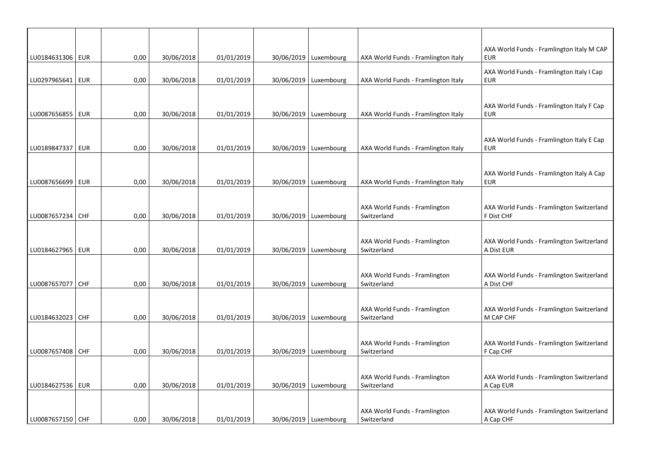| 01/01/2019<br>LU0184631306   EUR<br>0,00<br>30/06/2018<br>30/06/2019   Luxembourg<br>AXA World Funds - Framlington Italy<br><b>EUR</b><br>AXA World Funds - Framlington Italy I Cap<br>LU0297965641   EUR<br>0,00<br>30/06/2018<br>01/01/2019<br>30/06/2019   Luxembourg<br><b>EUR</b><br>AXA World Funds - Framlington Italy<br>AXA World Funds - Framlington Italy F Cap<br>LU0087656855   EUR<br>0,00<br>30/06/2018<br>01/01/2019<br>30/06/2019   Luxembourg<br><b>EUR</b><br>AXA World Funds - Framlington Italy<br>AXA World Funds - Framlington Italy E Cap<br>LU0189847337   EUR<br>0,00<br>30/06/2018<br>01/01/2019<br>30/06/2019 Luxembourg<br>AXA World Funds - Framlington Italy<br><b>EUR</b><br>30/06/2018<br>01/01/2019<br>30/06/2019 Luxembourg<br>LU0087656699   EUR<br>0,00<br>AXA World Funds - Framlington Italy<br><b>EUR</b> |  |  |  |  |                                           |
|---------------------------------------------------------------------------------------------------------------------------------------------------------------------------------------------------------------------------------------------------------------------------------------------------------------------------------------------------------------------------------------------------------------------------------------------------------------------------------------------------------------------------------------------------------------------------------------------------------------------------------------------------------------------------------------------------------------------------------------------------------------------------------------------------------------------------------------------------|--|--|--|--|-------------------------------------------|
|                                                                                                                                                                                                                                                                                                                                                                                                                                                                                                                                                                                                                                                                                                                                                                                                                                                   |  |  |  |  | AXA World Funds - Framlington Italy M CAP |
|                                                                                                                                                                                                                                                                                                                                                                                                                                                                                                                                                                                                                                                                                                                                                                                                                                                   |  |  |  |  |                                           |
|                                                                                                                                                                                                                                                                                                                                                                                                                                                                                                                                                                                                                                                                                                                                                                                                                                                   |  |  |  |  |                                           |
|                                                                                                                                                                                                                                                                                                                                                                                                                                                                                                                                                                                                                                                                                                                                                                                                                                                   |  |  |  |  |                                           |
|                                                                                                                                                                                                                                                                                                                                                                                                                                                                                                                                                                                                                                                                                                                                                                                                                                                   |  |  |  |  |                                           |
|                                                                                                                                                                                                                                                                                                                                                                                                                                                                                                                                                                                                                                                                                                                                                                                                                                                   |  |  |  |  |                                           |
|                                                                                                                                                                                                                                                                                                                                                                                                                                                                                                                                                                                                                                                                                                                                                                                                                                                   |  |  |  |  |                                           |
|                                                                                                                                                                                                                                                                                                                                                                                                                                                                                                                                                                                                                                                                                                                                                                                                                                                   |  |  |  |  |                                           |
|                                                                                                                                                                                                                                                                                                                                                                                                                                                                                                                                                                                                                                                                                                                                                                                                                                                   |  |  |  |  |                                           |
|                                                                                                                                                                                                                                                                                                                                                                                                                                                                                                                                                                                                                                                                                                                                                                                                                                                   |  |  |  |  | AXA World Funds - Framlington Italy A Cap |
|                                                                                                                                                                                                                                                                                                                                                                                                                                                                                                                                                                                                                                                                                                                                                                                                                                                   |  |  |  |  |                                           |
|                                                                                                                                                                                                                                                                                                                                                                                                                                                                                                                                                                                                                                                                                                                                                                                                                                                   |  |  |  |  |                                           |
| AXA World Funds - Framlington<br>LU0087657234 CHF<br>01/01/2019<br>30/06/2019   Luxembourg<br>Switzerland<br>F Dist CHF<br>0,00<br>30/06/2018                                                                                                                                                                                                                                                                                                                                                                                                                                                                                                                                                                                                                                                                                                     |  |  |  |  | AXA World Funds - Framlington Switzerland |
|                                                                                                                                                                                                                                                                                                                                                                                                                                                                                                                                                                                                                                                                                                                                                                                                                                                   |  |  |  |  |                                           |
| AXA World Funds - Framlington                                                                                                                                                                                                                                                                                                                                                                                                                                                                                                                                                                                                                                                                                                                                                                                                                     |  |  |  |  | AXA World Funds - Framlington Switzerland |
| LU0184627965   EUR<br>0,00<br>30/06/2018<br>01/01/2019<br>30/06/2019   Luxembourg<br>Switzerland<br>A Dist EUR                                                                                                                                                                                                                                                                                                                                                                                                                                                                                                                                                                                                                                                                                                                                    |  |  |  |  |                                           |
|                                                                                                                                                                                                                                                                                                                                                                                                                                                                                                                                                                                                                                                                                                                                                                                                                                                   |  |  |  |  |                                           |
| AXA World Funds - Framlington<br>LU0087657077 CHF<br>0,00<br>30/06/2018<br>01/01/2019<br>30/06/2019   Luxembourg<br>Switzerland<br>A Dist CHF                                                                                                                                                                                                                                                                                                                                                                                                                                                                                                                                                                                                                                                                                                     |  |  |  |  | AXA World Funds - Framlington Switzerland |
|                                                                                                                                                                                                                                                                                                                                                                                                                                                                                                                                                                                                                                                                                                                                                                                                                                                   |  |  |  |  |                                           |
| AXA World Funds - Framlington                                                                                                                                                                                                                                                                                                                                                                                                                                                                                                                                                                                                                                                                                                                                                                                                                     |  |  |  |  | AXA World Funds - Framlington Switzerland |
| LU0184632023 CHF<br>0,00<br>30/06/2018<br>01/01/2019<br>30/06/2019   Luxembourg<br>M CAP CHF<br>Switzerland                                                                                                                                                                                                                                                                                                                                                                                                                                                                                                                                                                                                                                                                                                                                       |  |  |  |  |                                           |
|                                                                                                                                                                                                                                                                                                                                                                                                                                                                                                                                                                                                                                                                                                                                                                                                                                                   |  |  |  |  |                                           |
| AXA World Funds - Framlington<br>LU0087657408 CHF<br>0,00<br>30/06/2018<br>01/01/2019<br>30/06/2019   Luxembourg<br>Switzerland<br>F Cap CHF                                                                                                                                                                                                                                                                                                                                                                                                                                                                                                                                                                                                                                                                                                      |  |  |  |  | AXA World Funds - Framlington Switzerland |
|                                                                                                                                                                                                                                                                                                                                                                                                                                                                                                                                                                                                                                                                                                                                                                                                                                                   |  |  |  |  |                                           |
| AXA World Funds - Framlington                                                                                                                                                                                                                                                                                                                                                                                                                                                                                                                                                                                                                                                                                                                                                                                                                     |  |  |  |  | AXA World Funds - Framlington Switzerland |
| LU0184627536   EUR<br>0,00<br>30/06/2018<br>01/01/2019<br>30/06/2019   Luxembourg<br>Switzerland<br>A Cap EUR                                                                                                                                                                                                                                                                                                                                                                                                                                                                                                                                                                                                                                                                                                                                     |  |  |  |  |                                           |
|                                                                                                                                                                                                                                                                                                                                                                                                                                                                                                                                                                                                                                                                                                                                                                                                                                                   |  |  |  |  |                                           |
| AXA World Funds - Framlington<br>01/01/2019<br>LU0087657150 CHF<br>0,00<br>30/06/2018<br>30/06/2019   Luxembourg<br>A Cap CHF<br>Switzerland                                                                                                                                                                                                                                                                                                                                                                                                                                                                                                                                                                                                                                                                                                      |  |  |  |  | AXA World Funds - Framlington Switzerland |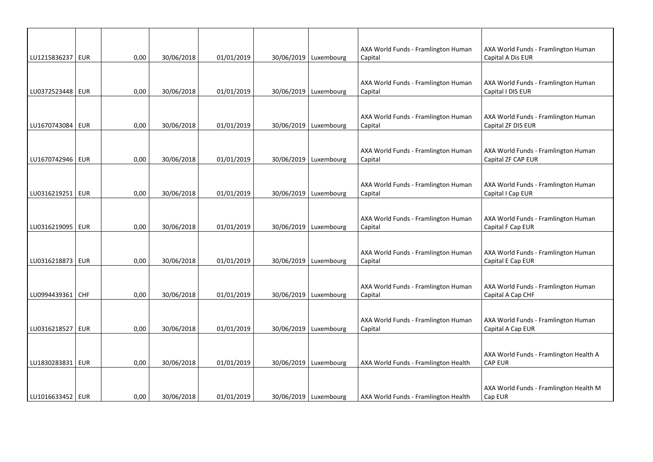| LU1215836237   EUR | 0,00 | 30/06/2018 | 01/01/2019 | 30/06/2019   Luxembourg | AXA World Funds - Framlington Human<br>Capital | AXA World Funds - Framlington Human<br>Capital A Dis EUR  |
|--------------------|------|------------|------------|-------------------------|------------------------------------------------|-----------------------------------------------------------|
|                    |      |            |            |                         |                                                |                                                           |
| LU0372523448 EUR   | 0,00 | 30/06/2018 | 01/01/2019 | 30/06/2019   Luxembourg | AXA World Funds - Framlington Human<br>Capital | AXA World Funds - Framlington Human<br>Capital I DIS EUR  |
|                    |      |            |            |                         |                                                |                                                           |
| LU1670743084   EUR | 0,00 | 30/06/2018 | 01/01/2019 | 30/06/2019   Luxembourg | AXA World Funds - Framlington Human<br>Capital | AXA World Funds - Framlington Human<br>Capital ZF DIS EUR |
|                    |      |            |            |                         |                                                |                                                           |
| LU1670742946   EUR | 0,00 | 30/06/2018 | 01/01/2019 | 30/06/2019   Luxembourg | AXA World Funds - Framlington Human<br>Capital | AXA World Funds - Framlington Human<br>Capital ZF CAP EUR |
|                    |      |            |            |                         |                                                |                                                           |
| LU0316219251   EUR | 0,00 | 30/06/2018 | 01/01/2019 | 30/06/2019   Luxembourg | AXA World Funds - Framlington Human<br>Capital | AXA World Funds - Framlington Human<br>Capital I Cap EUR  |
|                    |      |            |            |                         |                                                |                                                           |
| LU0316219095   EUR | 0,00 | 30/06/2018 | 01/01/2019 | 30/06/2019   Luxembourg | AXA World Funds - Framlington Human<br>Capital | AXA World Funds - Framlington Human<br>Capital F Cap EUR  |
|                    |      |            |            |                         |                                                |                                                           |
| LU0316218873   EUR | 0,00 | 30/06/2018 | 01/01/2019 | 30/06/2019   Luxembourg | AXA World Funds - Framlington Human<br>Capital | AXA World Funds - Framlington Human<br>Capital E Cap EUR  |
|                    |      |            |            |                         |                                                |                                                           |
| LU0994439361   CHF | 0,00 | 30/06/2018 | 01/01/2019 | 30/06/2019   Luxembourg | AXA World Funds - Framlington Human<br>Capital | AXA World Funds - Framlington Human<br>Capital A Cap CHF  |
|                    |      |            |            |                         |                                                |                                                           |
| LU0316218527   EUR | 0,00 | 30/06/2018 | 01/01/2019 | 30/06/2019 Luxembourg   | AXA World Funds - Framlington Human<br>Capital | AXA World Funds - Framlington Human<br>Capital A Cap EUR  |
|                    |      |            |            |                         |                                                |                                                           |
| LU1830283831   EUR | 0,00 | 30/06/2018 | 01/01/2019 | 30/06/2019   Luxembourg | AXA World Funds - Framlington Health           | AXA World Funds - Framlington Health A<br><b>CAP EUR</b>  |
|                    |      |            |            |                         |                                                |                                                           |
| LU1016633452   EUR | 0.00 | 30/06/2018 | 01/01/2019 | 30/06/2019   Luxembourg | AXA World Funds - Framlington Health           | AXA World Funds - Framlington Health M<br>Cap EUR         |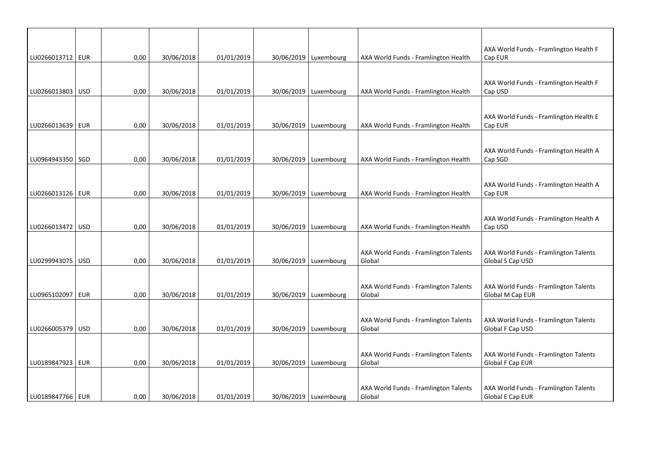| LU0266013712   EUR |            | 0,00 | 30/06/2018 | 01/01/2019 | 30/06/2019   Luxembourg | AXA World Funds - Framlington Health            | AXA World Funds - Framlington Health F<br>Cap EUR         |
|--------------------|------------|------|------------|------------|-------------------------|-------------------------------------------------|-----------------------------------------------------------|
|                    |            |      |            |            |                         |                                                 |                                                           |
|                    |            |      |            |            |                         |                                                 | AXA World Funds - Framlington Health F                    |
| LU0266013803   USD |            | 0,00 | 30/06/2018 | 01/01/2019 | 30/06/2019   Luxembourg | AXA World Funds - Framlington Health            | Cap USD                                                   |
|                    |            |      |            |            |                         |                                                 |                                                           |
| LU0266013639   EUR |            | 0,00 | 30/06/2018 | 01/01/2019 | 30/06/2019 Luxembourg   | AXA World Funds - Framlington Health            | AXA World Funds - Framlington Health E<br>Cap EUR         |
|                    |            |      |            |            |                         |                                                 |                                                           |
|                    |            |      |            |            |                         |                                                 | AXA World Funds - Framlington Health A                    |
| LU0964943350   SGD |            | 0,00 | 30/06/2018 | 01/01/2019 | 30/06/2019   Luxembourg | AXA World Funds - Framlington Health            | Cap SGD                                                   |
|                    |            |      |            |            |                         |                                                 |                                                           |
| LU0266013126   EUR |            | 0,00 | 30/06/2018 | 01/01/2019 | 30/06/2019   Luxembourg | AXA World Funds - Framlington Health            | AXA World Funds - Framlington Health A<br>Cap EUR         |
|                    |            |      |            |            |                         |                                                 |                                                           |
|                    |            |      |            |            |                         |                                                 | AXA World Funds - Framlington Health A                    |
| LU0266013472 USD   |            | 0,00 | 30/06/2018 | 01/01/2019 | 30/06/2019   Luxembourg | AXA World Funds - Framlington Health            | Cap USD                                                   |
|                    |            |      |            |            |                         |                                                 |                                                           |
| LU0299943075   USD |            | 0,00 | 30/06/2018 | 01/01/2019 | 30/06/2019   Luxembourg | AXA World Funds - Framlington Talents<br>Global | AXA World Funds - Framlington Talents<br>Global S Cap USD |
|                    |            |      |            |            |                         |                                                 |                                                           |
|                    |            |      |            |            |                         | AXA World Funds - Framlington Talents           | AXA World Funds - Framlington Talents                     |
| LU0965102097   EUR |            | 0,00 | 30/06/2018 | 01/01/2019 | 30/06/2019   Luxembourg | Global                                          | Global M Cap EUR                                          |
|                    |            |      |            |            |                         |                                                 |                                                           |
|                    |            |      |            |            |                         | AXA World Funds - Framlington Talents           | AXA World Funds - Framlington Talents                     |
| LU0266005379       | <b>USD</b> | 0,00 | 30/06/2018 | 01/01/2019 | 30/06/2019   Luxembourg | Global                                          | Global F Cap USD                                          |
|                    |            |      |            |            |                         |                                                 |                                                           |
| LU0189847923   EUR |            | 0,00 | 30/06/2018 | 01/01/2019 | 30/06/2019   Luxembourg | AXA World Funds - Framlington Talents<br>Global | AXA World Funds - Framlington Talents<br>Global F Cap EUR |
|                    |            |      |            |            |                         |                                                 |                                                           |
|                    |            |      |            |            |                         | AXA World Funds - Framlington Talents           | AXA World Funds - Framlington Talents                     |
| LU0189847766   EUR |            | 0,00 | 30/06/2018 | 01/01/2019 | 30/06/2019   Luxembourg | Global                                          | Global E Cap EUR                                          |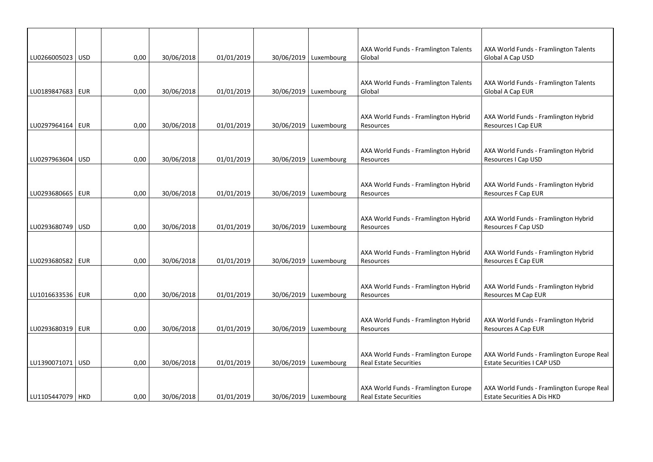| LU0266005023   USD | 0,00 | 30/06/2018 | 01/01/2019 | 30/06/2019   Luxembourg | AXA World Funds - Framlington Talents<br>Global                       | AXA World Funds - Framlington Talents<br>Global A Cap USD                       |
|--------------------|------|------------|------------|-------------------------|-----------------------------------------------------------------------|---------------------------------------------------------------------------------|
|                    |      |            |            |                         |                                                                       |                                                                                 |
|                    |      |            |            |                         | AXA World Funds - Framlington Talents                                 | AXA World Funds - Framlington Talents                                           |
| LU0189847683   EUR | 0,00 | 30/06/2018 | 01/01/2019 | 30/06/2019   Luxembourg | Global                                                                | Global A Cap EUR                                                                |
|                    |      |            |            |                         |                                                                       |                                                                                 |
| LU0297964164   EUR | 0,00 | 30/06/2018 | 01/01/2019 | 30/06/2019   Luxembourg | AXA World Funds - Framlington Hybrid<br>Resources                     | AXA World Funds - Framlington Hybrid<br>Resources I Cap EUR                     |
|                    |      |            |            |                         |                                                                       |                                                                                 |
|                    |      |            |            |                         | AXA World Funds - Framlington Hybrid                                  | AXA World Funds - Framlington Hybrid                                            |
| LU0297963604   USD | 0,00 | 30/06/2018 | 01/01/2019 | 30/06/2019   Luxembourg | Resources                                                             | Resources I Cap USD                                                             |
|                    |      |            |            |                         |                                                                       |                                                                                 |
| LU0293680665   EUR | 0,00 | 30/06/2018 | 01/01/2019 | 30/06/2019   Luxembourg | AXA World Funds - Framlington Hybrid<br>Resources                     | AXA World Funds - Framlington Hybrid<br>Resources F Cap EUR                     |
|                    |      |            |            |                         |                                                                       |                                                                                 |
|                    |      |            |            |                         | AXA World Funds - Framlington Hybrid                                  | AXA World Funds - Framlington Hybrid                                            |
| LU0293680749   USD | 0,00 | 30/06/2018 | 01/01/2019 | 30/06/2019   Luxembourg | Resources                                                             | Resources F Cap USD                                                             |
|                    |      |            |            |                         |                                                                       |                                                                                 |
|                    |      |            |            |                         | AXA World Funds - Framlington Hybrid                                  | AXA World Funds - Framlington Hybrid                                            |
| LU0293680582   EUR | 0,00 | 30/06/2018 | 01/01/2019 | 30/06/2019   Luxembourg | Resources                                                             | Resources E Cap EUR                                                             |
|                    |      |            |            |                         |                                                                       |                                                                                 |
| LU1016633536   EUR | 0,00 | 30/06/2018 | 01/01/2019 | 30/06/2019   Luxembourg | AXA World Funds - Framlington Hybrid<br>Resources                     | AXA World Funds - Framlington Hybrid<br>Resources M Cap EUR                     |
|                    |      |            |            |                         |                                                                       |                                                                                 |
|                    |      |            |            |                         | AXA World Funds - Framlington Hybrid                                  | AXA World Funds - Framlington Hybrid                                            |
| LU0293680319   EUR | 0,00 | 30/06/2018 | 01/01/2019 | 30/06/2019   Luxembourg | Resources                                                             | Resources A Cap EUR                                                             |
|                    |      |            |            |                         |                                                                       |                                                                                 |
| LU1390071071   USD | 0,00 | 30/06/2018 | 01/01/2019 | 30/06/2019 Luxembourg   | AXA World Funds - Framlington Europe<br><b>Real Estate Securities</b> | AXA World Funds - Framlington Europe Real<br><b>Estate Securities I CAP USD</b> |
|                    |      |            |            |                         |                                                                       |                                                                                 |
|                    |      |            |            |                         | AXA World Funds - Framlington Europe                                  | AXA World Funds - Framlington Europe Real                                       |
| LU1105447079 HKD   | 0,00 | 30/06/2018 | 01/01/2019 | 30/06/2019   Luxembourg | <b>Real Estate Securities</b>                                         | <b>Estate Securities A Dis HKD</b>                                              |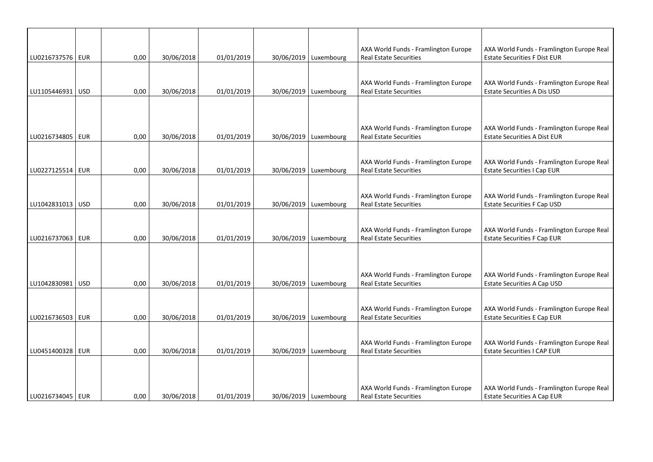| LU0216737576   EUR | 0,00 | 30/06/2018 | 01/01/2019 | 30/06/2019   Luxembourg | AXA World Funds - Framlington Europe<br><b>Real Estate Securities</b> | AXA World Funds - Framlington Europe Real<br><b>Estate Securities F Dist EUR</b> |
|--------------------|------|------------|------------|-------------------------|-----------------------------------------------------------------------|----------------------------------------------------------------------------------|
|                    |      |            |            |                         |                                                                       |                                                                                  |
|                    |      |            |            |                         | AXA World Funds - Framlington Europe                                  | AXA World Funds - Framlington Europe Real                                        |
| LU1105446931   USD | 0,00 | 30/06/2018 | 01/01/2019 | 30/06/2019   Luxembourg | <b>Real Estate Securities</b>                                         | <b>Estate Securities A Dis USD</b>                                               |
|                    |      |            |            |                         |                                                                       |                                                                                  |
|                    |      |            |            |                         | AXA World Funds - Framlington Europe                                  | AXA World Funds - Framlington Europe Real                                        |
| LU0216734805   EUR | 0,00 | 30/06/2018 | 01/01/2019 | 30/06/2019   Luxembourg | <b>Real Estate Securities</b>                                         | <b>Estate Securities A Dist EUR</b>                                              |
|                    |      |            |            |                         |                                                                       |                                                                                  |
|                    |      |            |            |                         | AXA World Funds - Framlington Europe                                  | AXA World Funds - Framlington Europe Real                                        |
| LU0227125514   EUR | 0,00 | 30/06/2018 | 01/01/2019 | 30/06/2019   Luxembourg | <b>Real Estate Securities</b>                                         | <b>Estate Securities I Cap EUR</b>                                               |
|                    |      |            |            |                         |                                                                       |                                                                                  |
|                    |      |            |            |                         | AXA World Funds - Framlington Europe                                  | AXA World Funds - Framlington Europe Real                                        |
| LU1042831013   USD | 0,00 | 30/06/2018 | 01/01/2019 | 30/06/2019   Luxembourg | <b>Real Estate Securities</b>                                         | <b>Estate Securities F Cap USD</b>                                               |
|                    |      |            |            |                         |                                                                       |                                                                                  |
|                    |      |            |            |                         | AXA World Funds - Framlington Europe                                  | AXA World Funds - Framlington Europe Real                                        |
| LU0216737063   EUR | 0,00 | 30/06/2018 | 01/01/2019 | 30/06/2019   Luxembourg | <b>Real Estate Securities</b>                                         | <b>Estate Securities F Cap EUR</b>                                               |
|                    |      |            |            |                         |                                                                       |                                                                                  |
|                    |      |            |            |                         |                                                                       |                                                                                  |
|                    |      |            |            |                         | AXA World Funds - Framlington Europe                                  | AXA World Funds - Framlington Europe Real                                        |
| LU1042830981   USD | 0,00 | 30/06/2018 | 01/01/2019 | 30/06/2019   Luxembourg | <b>Real Estate Securities</b>                                         | Estate Securities A Cap USD                                                      |
|                    |      |            |            |                         |                                                                       |                                                                                  |
|                    |      |            |            |                         | AXA World Funds - Framlington Europe                                  | AXA World Funds - Framlington Europe Real                                        |
| LU0216736503 EUR   | 0,00 | 30/06/2018 | 01/01/2019 | 30/06/2019 Luxembourg   | <b>Real Estate Securities</b>                                         | <b>Estate Securities E Cap EUR</b>                                               |
|                    |      |            |            |                         |                                                                       |                                                                                  |
|                    |      |            |            |                         | AXA World Funds - Framlington Europe                                  | AXA World Funds - Framlington Europe Real                                        |
| LU0451400328   EUR | 0,00 | 30/06/2018 | 01/01/2019 | 30/06/2019   Luxembourg | <b>Real Estate Securities</b>                                         | <b>Estate Securities I CAP EUR</b>                                               |
|                    |      |            |            |                         |                                                                       |                                                                                  |
|                    |      |            |            |                         |                                                                       |                                                                                  |
|                    |      |            |            |                         | AXA World Funds - Framlington Europe                                  | AXA World Funds - Framlington Europe Real                                        |
| LU0216734045   EUR | 0,00 | 30/06/2018 | 01/01/2019 | 30/06/2019   Luxembourg | <b>Real Estate Securities</b>                                         | <b>Estate Securities A Cap EUR</b>                                               |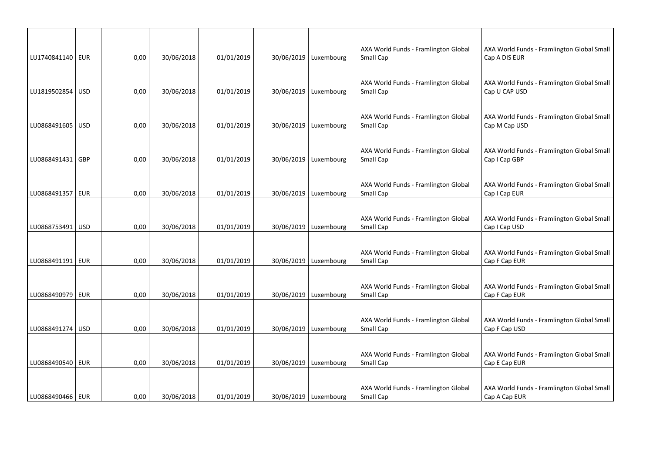|                    |     |      |            |            |                         | AXA World Funds - Framlington Global                     | AXA World Funds - Framlington Global Small                  |
|--------------------|-----|------|------------|------------|-------------------------|----------------------------------------------------------|-------------------------------------------------------------|
| LU1740841140   EUR |     | 0,00 | 30/06/2018 | 01/01/2019 | 30/06/2019   Luxembourg | Small Cap                                                | Cap A DIS EUR                                               |
| LU1819502854   USD |     | 0,00 | 30/06/2018 | 01/01/2019 | 30/06/2019   Luxembourg | AXA World Funds - Framlington Global<br>Small Cap        | AXA World Funds - Framlington Global Small<br>Cap U CAP USD |
|                    |     |      |            |            |                         |                                                          |                                                             |
| LU0868491605   USD |     | 0,00 | 30/06/2018 | 01/01/2019 | 30/06/2019 Luxembourg   | AXA World Funds - Framlington Global<br>Small Cap        | AXA World Funds - Framlington Global Small<br>Cap M Cap USD |
| LU0868491431 GBP   |     | 0,00 | 30/06/2018 | 01/01/2019 | 30/06/2019   Luxembourg | AXA World Funds - Framlington Global<br>Small Cap        | AXA World Funds - Framlington Global Small<br>Cap I Cap GBP |
| LU0868491357   EUR |     | 0,00 | 30/06/2018 | 01/01/2019 | 30/06/2019   Luxembourg | AXA World Funds - Framlington Global<br>Small Cap        | AXA World Funds - Framlington Global Small<br>Cap I Cap EUR |
| LU0868753491       | USD | 0,00 | 30/06/2018 | 01/01/2019 | 30/06/2019   Luxembourg | AXA World Funds - Framlington Global<br>Small Cap        | AXA World Funds - Framlington Global Small<br>Cap I Cap USD |
| LU0868491191   EUR |     | 0,00 | 30/06/2018 | 01/01/2019 | 30/06/2019   Luxembourg | AXA World Funds - Framlington Global<br>Small Cap        | AXA World Funds - Framlington Global Small<br>Cap F Cap EUR |
| LU0868490979   EUR |     | 0,00 | 30/06/2018 | 01/01/2019 | 30/06/2019 Luxembourg   | AXA World Funds - Framlington Global<br><b>Small Cap</b> | AXA World Funds - Framlington Global Small<br>Cap F Cap EUR |
| LU0868491274 USD   |     | 0,00 | 30/06/2018 | 01/01/2019 | 30/06/2019 Luxembourg   | AXA World Funds - Framlington Global<br>Small Cap        | AXA World Funds - Framlington Global Small<br>Cap F Cap USD |
| LU0868490540   EUR |     | 0,00 | 30/06/2018 | 01/01/2019 | 30/06/2019   Luxembourg | AXA World Funds - Framlington Global<br>Small Cap        | AXA World Funds - Framlington Global Small<br>Cap E Cap EUR |
| LU0868490466   EUR |     | 0,00 | 30/06/2018 | 01/01/2019 | 30/06/2019   Luxembourg | AXA World Funds - Framlington Global<br>Small Cap        | AXA World Funds - Framlington Global Small<br>Cap A Cap EUR |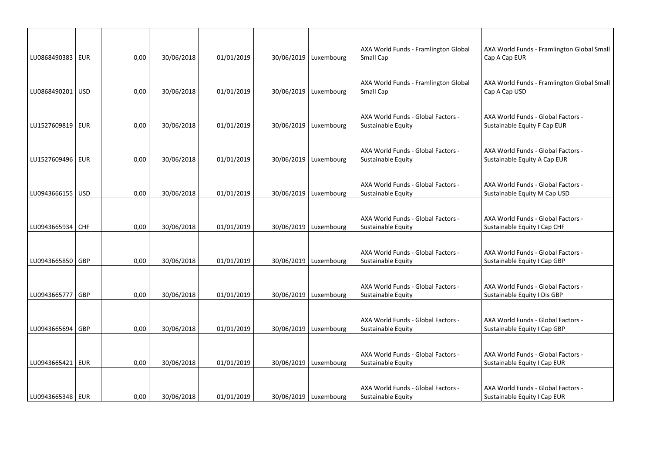|                    |            |      |            |            |                         | AXA World Funds - Framlington Global                     | AXA World Funds - Framlington Global Small                         |
|--------------------|------------|------|------------|------------|-------------------------|----------------------------------------------------------|--------------------------------------------------------------------|
| LU0868490383 EUR   |            | 0,00 | 30/06/2018 | 01/01/2019 | 30/06/2019   Luxembourg | Small Cap                                                | Cap A Cap EUR                                                      |
| LU0868490201 USD   |            | 0,00 | 30/06/2018 | 01/01/2019 | 30/06/2019   Luxembourg | AXA World Funds - Framlington Global<br>Small Cap        | AXA World Funds - Framlington Global Small<br>Cap A Cap USD        |
|                    |            |      |            |            |                         |                                                          |                                                                    |
| LU1527609819   EUR |            | 0,00 | 30/06/2018 | 01/01/2019 | 30/06/2019   Luxembourg | AXA World Funds - Global Factors -<br>Sustainable Equity | AXA World Funds - Global Factors -<br>Sustainable Equity F Cap EUR |
| LU1527609496   EUR |            | 0,00 | 30/06/2018 | 01/01/2019 | 30/06/2019   Luxembourg | AXA World Funds - Global Factors -<br>Sustainable Equity | AXA World Funds - Global Factors -<br>Sustainable Equity A Cap EUR |
| LU0943666155 USD   |            | 0,00 | 30/06/2018 | 01/01/2019 | 30/06/2019   Luxembourg | AXA World Funds - Global Factors -<br>Sustainable Equity | AXA World Funds - Global Factors -<br>Sustainable Equity M Cap USD |
|                    |            |      |            |            |                         |                                                          |                                                                    |
| LU0943665934 CHF   |            | 0,00 | 30/06/2018 | 01/01/2019 | 30/06/2019   Luxembourg | AXA World Funds - Global Factors -<br>Sustainable Equity | AXA World Funds - Global Factors -<br>Sustainable Equity I Cap CHF |
| LU0943665850 GBP   |            | 0,00 | 30/06/2018 | 01/01/2019 | 30/06/2019   Luxembourg | AXA World Funds - Global Factors -<br>Sustainable Equity | AXA World Funds - Global Factors -<br>Sustainable Equity I Cap GBP |
| LU0943665777       | <b>GBP</b> | 0,00 | 30/06/2018 | 01/01/2019 | 30/06/2019   Luxembourg | AXA World Funds - Global Factors -<br>Sustainable Equity | AXA World Funds - Global Factors -<br>Sustainable Equity I Dis GBP |
| LU0943665694       | <b>GBP</b> | 0,00 | 30/06/2018 | 01/01/2019 | 30/06/2019   Luxembourg | AXA World Funds - Global Factors -<br>Sustainable Equity | AXA World Funds - Global Factors -<br>Sustainable Equity I Cap GBP |
| LU0943665421   EUR |            | 0,00 | 30/06/2018 | 01/01/2019 | 30/06/2019 Luxembourg   | AXA World Funds - Global Factors -<br>Sustainable Equity | AXA World Funds - Global Factors -<br>Sustainable Equity I Cap EUR |
| LU0943665348   EUR |            | 0,00 | 30/06/2018 | 01/01/2019 | 30/06/2019   Luxembourg | AXA World Funds - Global Factors -<br>Sustainable Equity | AXA World Funds - Global Factors -<br>Sustainable Equity I Cap EUR |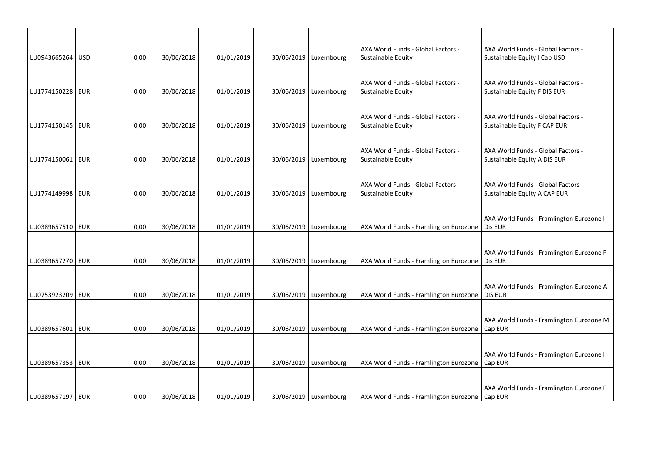| LU0943665264 USD   | 0,00 | 30/06/2018 | 01/01/2019 | 30/06/2019   Luxembourg | AXA World Funds - Global Factors -<br>Sustainable Equity | AXA World Funds - Global Factors -<br>Sustainable Equity I Cap USD |
|--------------------|------|------------|------------|-------------------------|----------------------------------------------------------|--------------------------------------------------------------------|
|                    |      |            |            |                         |                                                          |                                                                    |
| LU1774150228 EUR   | 0,00 | 30/06/2018 | 01/01/2019 | 30/06/2019   Luxembourg | AXA World Funds - Global Factors -<br>Sustainable Equity | AXA World Funds - Global Factors -<br>Sustainable Equity F DIS EUR |
|                    |      |            |            |                         |                                                          |                                                                    |
| LU1774150145   EUR | 0,00 | 30/06/2018 | 01/01/2019 | 30/06/2019   Luxembourg | AXA World Funds - Global Factors -<br>Sustainable Equity | AXA World Funds - Global Factors -<br>Sustainable Equity F CAP EUR |
|                    |      |            |            |                         |                                                          |                                                                    |
| LU1774150061   EUR | 0,00 | 30/06/2018 | 01/01/2019 | 30/06/2019   Luxembourg | AXA World Funds - Global Factors -<br>Sustainable Equity | AXA World Funds - Global Factors -<br>Sustainable Equity A DIS EUR |
|                    |      |            |            |                         |                                                          |                                                                    |
| LU1774149998   EUR | 0,00 | 30/06/2018 | 01/01/2019 | 30/06/2019   Luxembourg | AXA World Funds - Global Factors -<br>Sustainable Equity | AXA World Funds - Global Factors -<br>Sustainable Equity A CAP EUR |
|                    |      |            |            |                         |                                                          |                                                                    |
| LU0389657510   EUR | 0,00 | 30/06/2018 | 01/01/2019 | 30/06/2019   Luxembourg | AXA World Funds - Framlington Eurozone                   | AXA World Funds - Framlington Eurozone I<br>Dis EUR                |
|                    |      |            |            |                         |                                                          |                                                                    |
| LU0389657270 EUR   | 0,00 | 30/06/2018 | 01/01/2019 | 30/06/2019   Luxembourg | AXA World Funds - Framlington Eurozone                   | AXA World Funds - Framlington Eurozone F<br>Dis EUR                |
|                    |      |            |            |                         |                                                          |                                                                    |
| LU0753923209 EUR   | 0,00 | 30/06/2018 | 01/01/2019 | 30/06/2019   Luxembourg | AXA World Funds - Framlington Eurozone                   | AXA World Funds - Framlington Eurozone A<br><b>DIS EUR</b>         |
|                    |      |            |            |                         |                                                          |                                                                    |
| LU0389657601   EUR | 0,00 | 30/06/2018 | 01/01/2019 | 30/06/2019   Luxembourg | AXA World Funds - Framlington Eurozone                   | AXA World Funds - Framlington Eurozone M<br>Cap EUR                |
|                    |      |            |            |                         |                                                          |                                                                    |
| LU0389657353   EUR | 0,00 | 30/06/2018 | 01/01/2019 | 30/06/2019 Luxembourg   | AXA World Funds - Framlington Eurozone                   | AXA World Funds - Framlington Eurozone I<br>Cap EUR                |
|                    |      |            |            |                         |                                                          |                                                                    |
| LU0389657197   EUR | 0,00 | 30/06/2018 | 01/01/2019 | 30/06/2019   Luxembourg | AXA World Funds - Framlington Eurozone   Cap EUR         | AXA World Funds - Framlington Eurozone F                           |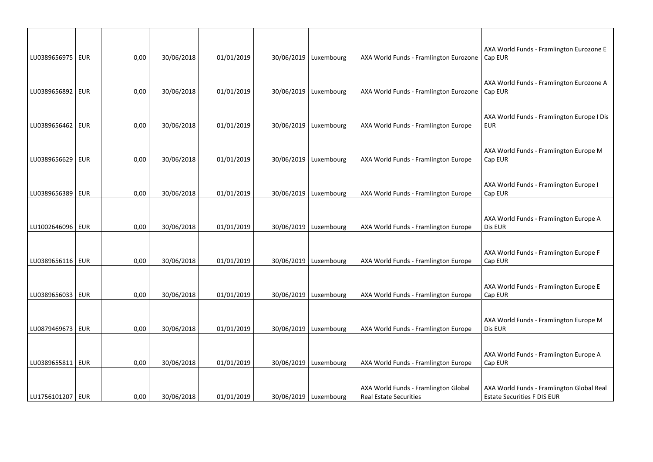| LU0389656975   EUR | 0,00 | 30/06/2018 | 01/01/2019 | 30/06/2019   Luxembourg | AXA World Funds - Framlington Eurozone                                | AXA World Funds - Framlington Eurozone E<br>Cap EUR                             |
|--------------------|------|------------|------------|-------------------------|-----------------------------------------------------------------------|---------------------------------------------------------------------------------|
|                    |      |            |            |                         |                                                                       |                                                                                 |
| LU0389656892   EUR | 0,00 | 30/06/2018 | 01/01/2019 | 30/06/2019   Luxembourg | AXA World Funds - Framlington Eurozone                                | AXA World Funds - Framlington Eurozone A<br>Cap EUR                             |
|                    |      |            |            |                         |                                                                       |                                                                                 |
| LU0389656462   EUR | 0,00 | 30/06/2018 | 01/01/2019 | 30/06/2019   Luxembourg | AXA World Funds - Framlington Europe                                  | AXA World Funds - Framlington Europe I Dis<br><b>EUR</b>                        |
|                    |      |            |            |                         |                                                                       |                                                                                 |
| LU0389656629   EUR | 0,00 | 30/06/2018 | 01/01/2019 | 30/06/2019   Luxembourg | AXA World Funds - Framlington Europe                                  | AXA World Funds - Framlington Europe M<br>Cap EUR                               |
|                    |      |            |            |                         |                                                                       |                                                                                 |
| LU0389656389 EUR   | 0,00 | 30/06/2018 | 01/01/2019 | 30/06/2019   Luxembourg | AXA World Funds - Framlington Europe                                  | AXA World Funds - Framlington Europe I<br>Cap EUR                               |
|                    |      |            |            |                         |                                                                       |                                                                                 |
| LU1002646096 EUR   | 0,00 | 30/06/2018 | 01/01/2019 | 30/06/2019 Luxembourg   | AXA World Funds - Framlington Europe                                  | AXA World Funds - Framlington Europe A<br>Dis EUR                               |
|                    |      |            |            |                         |                                                                       |                                                                                 |
| LU0389656116   EUR | 0,00 | 30/06/2018 | 01/01/2019 | 30/06/2019   Luxembourg | AXA World Funds - Framlington Europe                                  | AXA World Funds - Framlington Europe F<br>Cap EUR                               |
|                    |      |            |            |                         |                                                                       |                                                                                 |
| LU0389656033   EUR | 0,00 | 30/06/2018 | 01/01/2019 | 30/06/2019   Luxembourg | AXA World Funds - Framlington Europe                                  | AXA World Funds - Framlington Europe E<br>Cap EUR                               |
|                    |      |            |            |                         |                                                                       |                                                                                 |
| LU0879469673 EUR   | 0,00 | 30/06/2018 | 01/01/2019 | 30/06/2019   Luxembourg | AXA World Funds - Framlington Europe                                  | AXA World Funds - Framlington Europe M<br>Dis EUR                               |
|                    |      |            |            |                         |                                                                       |                                                                                 |
| LU0389655811   EUR | 0,00 | 30/06/2018 | 01/01/2019 | 30/06/2019   Luxembourg | AXA World Funds - Framlington Europe                                  | AXA World Funds - Framlington Europe A<br>Cap EUR                               |
|                    |      |            |            |                         |                                                                       |                                                                                 |
| LU1756101207   EUR | 0,00 | 30/06/2018 | 01/01/2019 | 30/06/2019 Luxembourg   | AXA World Funds - Framlington Global<br><b>Real Estate Securities</b> | AXA World Funds - Framlington Global Real<br><b>Estate Securities F DIS EUR</b> |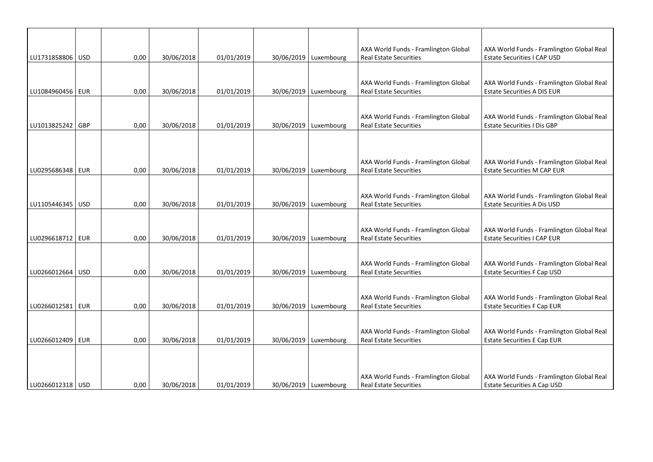|                    |      |            |            |                         | AXA World Funds - Framlington Global                                  | AXA World Funds - Framlington Global Real                                       |
|--------------------|------|------------|------------|-------------------------|-----------------------------------------------------------------------|---------------------------------------------------------------------------------|
| LU1731858806   USD | 0,00 | 30/06/2018 | 01/01/2019 | 30/06/2019   Luxembourg | <b>Real Estate Securities</b>                                         | Estate Securities I CAP USD                                                     |
| LU1084960456   EUR | 0,00 | 30/06/2018 | 01/01/2019 | 30/06/2019 Luxembourg   | AXA World Funds - Framlington Global<br><b>Real Estate Securities</b> | AXA World Funds - Framlington Global Real<br><b>Estate Securities A DIS EUR</b> |
| LU1013825242   GBP | 0,00 | 30/06/2018 | 01/01/2019 | 30/06/2019   Luxembourg | AXA World Funds - Framlington Global<br><b>Real Estate Securities</b> | AXA World Funds - Framlington Global Real<br><b>Estate Securities I Dis GBP</b> |
| LU0295686348   EUR | 0,00 | 30/06/2018 | 01/01/2019 | 30/06/2019   Luxembourg | AXA World Funds - Framlington Global<br><b>Real Estate Securities</b> | AXA World Funds - Framlington Global Real<br><b>Estate Securities M CAP EUR</b> |
| LU1105446345   USD | 0,00 | 30/06/2018 | 01/01/2019 | 30/06/2019   Luxembourg | AXA World Funds - Framlington Global<br><b>Real Estate Securities</b> | AXA World Funds - Framlington Global Real<br>Estate Securities A Dis USD        |
| LU0296618712   EUR | 0,00 | 30/06/2018 | 01/01/2019 | 30/06/2019   Luxembourg | AXA World Funds - Framlington Global<br><b>Real Estate Securities</b> | AXA World Funds - Framlington Global Real<br><b>Estate Securities I CAP EUR</b> |
| LU0266012664   USD | 0,00 | 30/06/2018 | 01/01/2019 | 30/06/2019   Luxembourg | AXA World Funds - Framlington Global<br><b>Real Estate Securities</b> | AXA World Funds - Framlington Global Real<br><b>Estate Securities F Cap USD</b> |
| LU0266012581   EUR | 0,00 | 30/06/2018 | 01/01/2019 | 30/06/2019 Luxembourg   | AXA World Funds - Framlington Global<br><b>Real Estate Securities</b> | AXA World Funds - Framlington Global Real<br><b>Estate Securities F Cap EUR</b> |
| LU0266012409   EUR | 0,00 | 30/06/2018 | 01/01/2019 | 30/06/2019   Luxembourg | AXA World Funds - Framlington Global<br><b>Real Estate Securities</b> | AXA World Funds - Framlington Global Real<br><b>Estate Securities E Cap EUR</b> |
| LU0266012318   USD | 0,00 | 30/06/2018 | 01/01/2019 | 30/06/2019 Luxembourg   | AXA World Funds - Framlington Global<br><b>Real Estate Securities</b> | AXA World Funds - Framlington Global Real<br><b>Estate Securities A Cap USD</b> |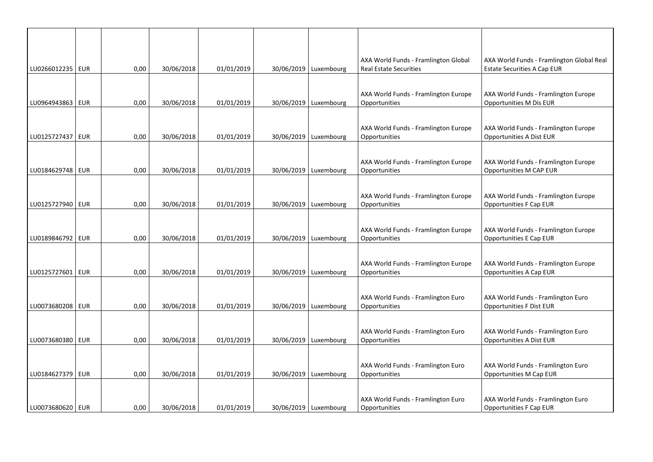| LU0266012235   EUR |            | 0,00 | 30/06/2018 | 01/01/2019 | 30/06/2019   Luxembourg | AXA World Funds - Framlington Global<br><b>Real Estate Securities</b> | AXA World Funds - Framlington Global Real<br><b>Estate Securities A Cap EUR</b> |
|--------------------|------------|------|------------|------------|-------------------------|-----------------------------------------------------------------------|---------------------------------------------------------------------------------|
|                    |            |      |            |            |                         | AXA World Funds - Framlington Europe                                  | AXA World Funds - Framlington Europe                                            |
| LU0964943863   EUR |            | 0,00 | 30/06/2018 | 01/01/2019 | 30/06/2019   Luxembourg | Opportunities                                                         | Opportunities M Dis EUR                                                         |
| LU0125727437   EUR |            | 0,00 | 30/06/2018 | 01/01/2019 | 30/06/2019   Luxembourg | AXA World Funds - Framlington Europe<br>Opportunities                 | AXA World Funds - Framlington Europe<br>Opportunities A Dist EUR                |
|                    |            |      |            |            |                         |                                                                       |                                                                                 |
| LU0184629748   EUR |            | 0,00 | 30/06/2018 | 01/01/2019 | 30/06/2019   Luxembourg | AXA World Funds - Framlington Europe<br>Opportunities                 | AXA World Funds - Framlington Europe<br>Opportunities M CAP EUR                 |
| LU0125727940   EUR |            | 0,00 | 30/06/2018 | 01/01/2019 | 30/06/2019   Luxembourg | AXA World Funds - Framlington Europe<br>Opportunities                 | AXA World Funds - Framlington Europe<br>Opportunities F Cap EUR                 |
| LU0189846792 EUR   |            | 0,00 | 30/06/2018 | 01/01/2019 | 30/06/2019 Luxembourg   | AXA World Funds - Framlington Europe<br>Opportunities                 | AXA World Funds - Framlington Europe<br><b>Opportunities E Cap EUR</b>          |
| LU0125727601   EUR |            | 0,00 | 30/06/2018 | 01/01/2019 | 30/06/2019   Luxembourg | AXA World Funds - Framlington Europe<br>Opportunities                 | AXA World Funds - Framlington Europe<br>Opportunities A Cap EUR                 |
| LU0073680208       | <b>EUR</b> | 0,00 | 30/06/2018 | 01/01/2019 | 30/06/2019   Luxembourg | AXA World Funds - Framlington Euro<br>Opportunities                   | AXA World Funds - Framlington Euro<br><b>Opportunities F Dist EUR</b>           |
| LU0073680380   EUR |            | 0,00 | 30/06/2018 | 01/01/2019 | 30/06/2019   Luxembourg | AXA World Funds - Framlington Euro<br>Opportunities                   | AXA World Funds - Framlington Euro<br>Opportunities A Dist EUR                  |
| LU0184627379   EUR |            | 0,00 | 30/06/2018 | 01/01/2019 | 30/06/2019 Luxembourg   | AXA World Funds - Framlington Euro<br>Opportunities                   | AXA World Funds - Framlington Euro<br>Opportunities M Cap EUR                   |
| LU0073680620   EUR |            | 0,00 | 30/06/2018 | 01/01/2019 | 30/06/2019 Luxembourg   | AXA World Funds - Framlington Euro<br>Opportunities                   | AXA World Funds - Framlington Euro<br><b>Opportunities F Cap EUR</b>            |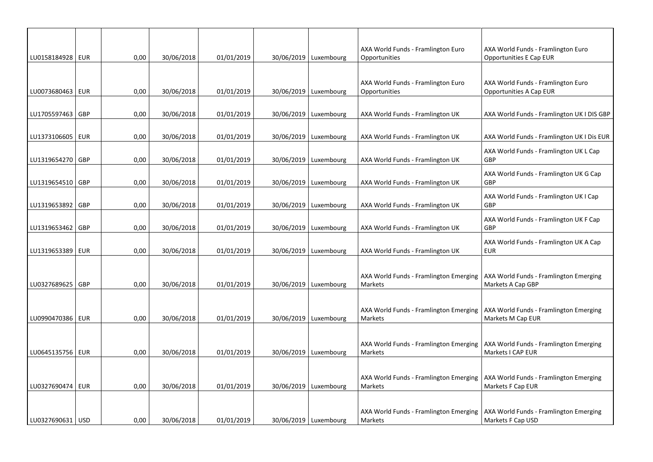|                    |            |      |            |            |                         | AXA World Funds - Framlington Euro                | AXA World Funds - Framlington Euro                          |
|--------------------|------------|------|------------|------------|-------------------------|---------------------------------------------------|-------------------------------------------------------------|
| LU0158184928   EUR |            | 0,00 | 30/06/2018 | 01/01/2019 | 30/06/2019   Luxembourg | Opportunities                                     | Opportunities E Cap EUR                                     |
|                    |            |      |            |            |                         |                                                   |                                                             |
|                    |            |      |            |            |                         | AXA World Funds - Framlington Euro                | AXA World Funds - Framlington Euro                          |
| LU0073680463   EUR |            | 0,00 | 30/06/2018 | 01/01/2019 | 30/06/2019   Luxembourg | Opportunities                                     | Opportunities A Cap EUR                                     |
| LU1705597463       | <b>GBP</b> | 0,00 | 30/06/2018 | 01/01/2019 | 30/06/2019   Luxembourg | AXA World Funds - Framlington UK                  | AXA World Funds - Framlington UK I DIS GBP                  |
|                    |            |      |            |            |                         |                                                   |                                                             |
| LU1373106605   EUR |            | 0,00 | 30/06/2018 | 01/01/2019 | 30/06/2019   Luxembourg | AXA World Funds - Framlington UK                  | AXA World Funds - Framlington UK I Dis EUR                  |
| LU1319654270 GBP   |            | 0,00 | 30/06/2018 | 01/01/2019 | 30/06/2019   Luxembourg | AXA World Funds - Framlington UK                  | AXA World Funds - Framlington UK L Cap<br>GBP               |
|                    |            |      |            |            |                         |                                                   | AXA World Funds - Framlington UK G Cap                      |
| LU1319654510   GBP |            | 0,00 | 30/06/2018 | 01/01/2019 | 30/06/2019   Luxembourg | AXA World Funds - Framlington UK                  | <b>GBP</b>                                                  |
|                    |            |      |            |            |                         |                                                   | AXA World Funds - Framlington UK I Cap                      |
| LU1319653892       | <b>GBP</b> | 0,00 | 30/06/2018 | 01/01/2019 | 30/06/2019   Luxembourg | AXA World Funds - Framlington UK                  | GBP                                                         |
| LU1319653462   GBP |            | 0,00 | 30/06/2018 | 01/01/2019 | 30/06/2019 Luxembourg   | AXA World Funds - Framlington UK                  | AXA World Funds - Framlington UK F Cap<br>GBP               |
|                    |            |      |            |            |                         |                                                   | AXA World Funds - Framlington UK A Cap                      |
| LU1319653389   EUR |            | 0,00 | 30/06/2018 | 01/01/2019 | 30/06/2019   Luxembourg | AXA World Funds - Framlington UK                  | <b>EUR</b>                                                  |
|                    |            |      |            |            |                         |                                                   |                                                             |
| LU0327689625       | GBP        | 0,00 | 30/06/2018 | 01/01/2019 | 30/06/2019   Luxembourg | AXA World Funds - Framlington Emerging<br>Markets | AXA World Funds - Framlington Emerging<br>Markets A Cap GBP |
|                    |            |      |            |            |                         |                                                   |                                                             |
|                    |            |      |            |            |                         | AXA World Funds - Framlington Emerging            | AXA World Funds - Framlington Emerging                      |
| LU0990470386   EUR |            | 0,00 | 30/06/2018 | 01/01/2019 | 30/06/2019   Luxembourg | Markets                                           | Markets M Cap EUR                                           |
|                    |            |      |            |            |                         |                                                   |                                                             |
|                    |            |      |            |            |                         | AXA World Funds - Framlington Emerging            | AXA World Funds - Framlington Emerging                      |
| LU0645135756   EUR |            | 0,00 | 30/06/2018 | 01/01/2019 | 30/06/2019   Luxembourg | Markets                                           | Markets I CAP EUR                                           |
|                    |            |      |            |            |                         |                                                   |                                                             |
| LU0327690474   EUR |            | 0,00 | 30/06/2018 | 01/01/2019 | 30/06/2019   Luxembourg | AXA World Funds - Framlington Emerging<br>Markets | AXA World Funds - Framlington Emerging<br>Markets F Cap EUR |
|                    |            |      |            |            |                         |                                                   |                                                             |
|                    |            |      |            |            |                         | AXA World Funds - Framlington Emerging            | AXA World Funds - Framlington Emerging                      |
| LU0327690631   USD |            | 0,00 | 30/06/2018 | 01/01/2019 | 30/06/2019   Luxembourg | Markets                                           | Markets F Cap USD                                           |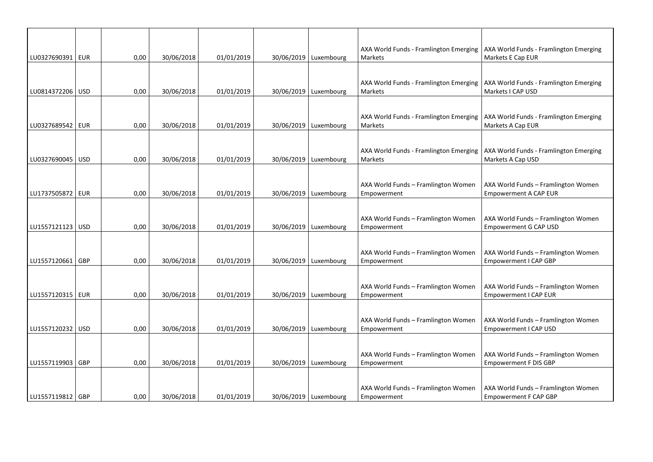|                    |      |            |            |                         | AXA World Funds - Framlington Emerging                   | AXA World Funds - Framlington Emerging                       |
|--------------------|------|------------|------------|-------------------------|----------------------------------------------------------|--------------------------------------------------------------|
| LU0327690391   EUR | 0,00 | 30/06/2018 | 01/01/2019 | 30/06/2019   Luxembourg | Markets                                                  | Markets E Cap EUR                                            |
|                    |      |            |            |                         |                                                          |                                                              |
| LU0814372206 USD   | 0,00 | 30/06/2018 | 01/01/2019 | 30/06/2019   Luxembourg | AXA World Funds - Framlington Emerging<br><b>Markets</b> | AXA World Funds - Framlington Emerging<br>Markets I CAP USD  |
|                    |      |            |            |                         |                                                          |                                                              |
|                    |      |            |            |                         | AXA World Funds - Framlington Emerging                   | AXA World Funds - Framlington Emerging                       |
| LU0327689542   EUR | 0,00 | 30/06/2018 | 01/01/2019 | 30/06/2019   Luxembourg | Markets                                                  | Markets A Cap EUR                                            |
|                    |      |            |            |                         |                                                          |                                                              |
|                    |      |            |            |                         | AXA World Funds - Framlington Emerging                   | AXA World Funds - Framlington Emerging                       |
| LU0327690045   USD | 0,00 | 30/06/2018 | 01/01/2019 | 30/06/2019   Luxembourg | Markets                                                  | Markets A Cap USD                                            |
|                    |      |            |            |                         |                                                          |                                                              |
|                    |      |            |            |                         | AXA World Funds - Framlington Women                      | AXA World Funds - Framlington Women                          |
| LU1737505872   EUR | 0,00 | 30/06/2018 | 01/01/2019 | 30/06/2019   Luxembourg | Empowerment                                              | <b>Empowerment A CAP EUR</b>                                 |
|                    |      |            |            |                         |                                                          |                                                              |
|                    |      |            |            |                         | AXA World Funds - Framlington Women                      | AXA World Funds - Framlington Women                          |
| LU1557121123 USD   | 0,00 | 30/06/2018 | 01/01/2019 | 30/06/2019   Luxembourg | Empowerment                                              | <b>Empowerment G CAP USD</b>                                 |
|                    |      |            |            |                         |                                                          |                                                              |
|                    |      |            |            |                         | AXA World Funds - Framlington Women                      | AXA World Funds - Framlington Women                          |
| LU1557120661   GBP | 0,00 | 30/06/2018 | 01/01/2019 | 30/06/2019   Luxembourg | Empowerment                                              | Empowerment I CAP GBP                                        |
|                    |      |            |            |                         |                                                          |                                                              |
| LU1557120315   EUR | 0,00 | 30/06/2018 | 01/01/2019 | 30/06/2019   Luxembourg | AXA World Funds - Framlington Women<br>Empowerment       | AXA World Funds - Framlington Women<br>Empowerment I CAP EUR |
|                    |      |            |            |                         |                                                          |                                                              |
|                    |      |            |            |                         | AXA World Funds - Framlington Women                      | AXA World Funds - Framlington Women                          |
| LU1557120232   USD | 0,00 | 30/06/2018 | 01/01/2019 | 30/06/2019   Luxembourg | Empowerment                                              | Empowerment I CAP USD                                        |
|                    |      |            |            |                         |                                                          |                                                              |
|                    |      |            |            |                         | AXA World Funds - Framlington Women                      | AXA World Funds - Framlington Women                          |
| LU1557119903   GBP | 0,00 | 30/06/2018 | 01/01/2019 | 30/06/2019 Luxembourg   | Empowerment                                              | <b>Empowerment F DIS GBP</b>                                 |
|                    |      |            |            |                         |                                                          |                                                              |
|                    |      |            |            |                         | AXA World Funds - Framlington Women                      | AXA World Funds - Framlington Women                          |
| LU1557119812 GBP   | 0.00 | 30/06/2018 | 01/01/2019 | 30/06/2019   Luxembourg | Empowerment                                              | Empowerment F CAP GBP                                        |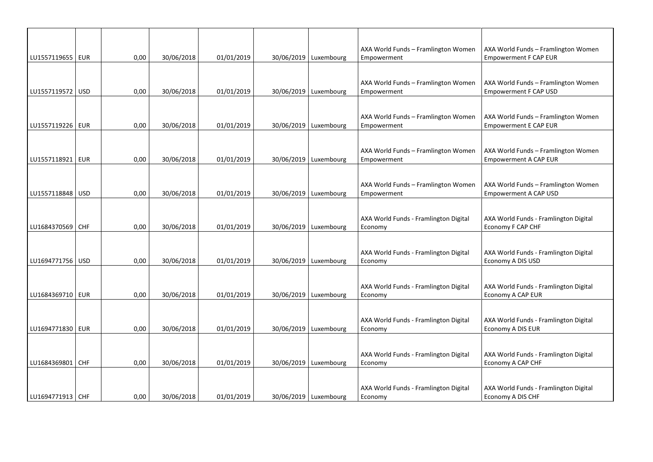| LU1557119655   EUR | 0,00 | 30/06/2018 | 01/01/2019 | 30/06/2019   Luxembourg | AXA World Funds - Framlington Women<br>Empowerment | AXA World Funds - Framlington Women<br><b>Empowerment F CAP EUR</b> |
|--------------------|------|------------|------------|-------------------------|----------------------------------------------------|---------------------------------------------------------------------|
| LU1557119572   USD | 0,00 | 30/06/2018 | 01/01/2019 | 30/06/2019   Luxembourg | AXA World Funds - Framlington Women<br>Empowerment | AXA World Funds - Framlington Women<br><b>Empowerment F CAP USD</b> |
| LU1557119226   EUR | 0,00 | 30/06/2018 | 01/01/2019 | 30/06/2019   Luxembourg | AXA World Funds - Framlington Women<br>Empowerment | AXA World Funds - Framlington Women<br><b>Empowerment E CAP EUR</b> |
| LU1557118921   EUR | 0,00 | 30/06/2018 | 01/01/2019 | 30/06/2019   Luxembourg | AXA World Funds - Framlington Women<br>Empowerment | AXA World Funds - Framlington Women<br><b>Empowerment A CAP EUR</b> |
| LU1557118848   USD | 0,00 | 30/06/2018 | 01/01/2019 | 30/06/2019   Luxembourg | AXA World Funds - Framlington Women<br>Empowerment | AXA World Funds - Framlington Women<br>Empowerment A CAP USD        |
| LU1684370569 CHF   | 0,00 | 30/06/2018 | 01/01/2019 | 30/06/2019   Luxembourg | AXA World Funds - Framlington Digital<br>Economy   | AXA World Funds - Framlington Digital<br>Economy F CAP CHF          |
| LU1694771756   USD | 0,00 | 30/06/2018 | 01/01/2019 | 30/06/2019   Luxembourg | AXA World Funds - Framlington Digital<br>Economy   | AXA World Funds - Framlington Digital<br>Economy A DIS USD          |
| LU1684369710   EUR | 0,00 | 30/06/2018 | 01/01/2019 | 30/06/2019   Luxembourg | AXA World Funds - Framlington Digital<br>Economy   | AXA World Funds - Framlington Digital<br>Economy A CAP EUR          |
| LU1694771830   EUR | 0,00 | 30/06/2018 | 01/01/2019 | 30/06/2019   Luxembourg | AXA World Funds - Framlington Digital<br>Economy   | AXA World Funds - Framlington Digital<br>Economy A DIS EUR          |
| LU1684369801 CHF   | 0,00 | 30/06/2018 | 01/01/2019 | 30/06/2019   Luxembourg | AXA World Funds - Framlington Digital<br>Economy   | AXA World Funds - Framlington Digital<br>Economy A CAP CHF          |
| LU1694771913   CHF | 0,00 | 30/06/2018 | 01/01/2019 | 30/06/2019   Luxembourg | AXA World Funds - Framlington Digital<br>Economy   | AXA World Funds - Framlington Digital<br>Economy A DIS CHF          |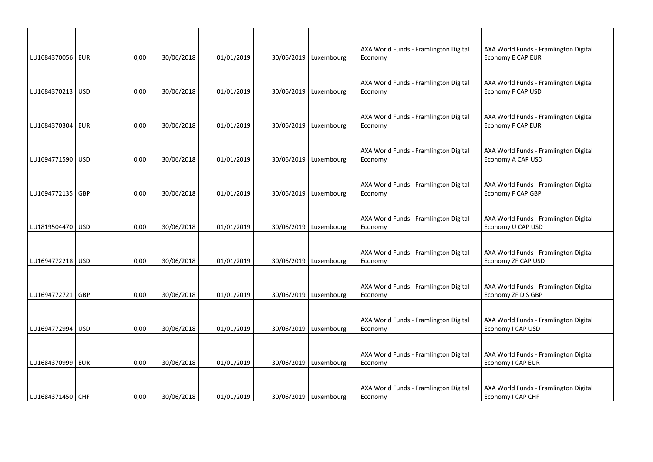| LU1684370056 EUR   | 0,00 | 30/06/2018 | 01/01/2019 | 30/06/2019   Luxembourg | AXA World Funds - Framlington Digital<br>Economy | AXA World Funds - Framlington Digital<br>Economy E CAP EUR  |
|--------------------|------|------------|------------|-------------------------|--------------------------------------------------|-------------------------------------------------------------|
| LU1684370213   USD | 0,00 | 30/06/2018 | 01/01/2019 | 30/06/2019   Luxembourg | AXA World Funds - Framlington Digital<br>Economy | AXA World Funds - Framlington Digital<br>Economy F CAP USD  |
| LU1684370304   EUR | 0,00 | 30/06/2018 | 01/01/2019 | 30/06/2019   Luxembourg | AXA World Funds - Framlington Digital<br>Economy | AXA World Funds - Framlington Digital<br>Economy F CAP EUR  |
| LU1694771590 USD   | 0,00 | 30/06/2018 | 01/01/2019 | 30/06/2019   Luxembourg | AXA World Funds - Framlington Digital<br>Economy | AXA World Funds - Framlington Digital<br>Economy A CAP USD  |
| LU1694772135   GBP | 0,00 | 30/06/2018 | 01/01/2019 | 30/06/2019   Luxembourg | AXA World Funds - Framlington Digital<br>Economy | AXA World Funds - Framlington Digital<br>Economy F CAP GBP  |
| LU1819504470 USD   | 0,00 | 30/06/2018 | 01/01/2019 | 30/06/2019   Luxembourg | AXA World Funds - Framlington Digital<br>Economy | AXA World Funds - Framlington Digital<br>Economy U CAP USD  |
| LU1694772218   USD | 0,00 | 30/06/2018 | 01/01/2019 | 30/06/2019   Luxembourg | AXA World Funds - Framlington Digital<br>Economy | AXA World Funds - Framlington Digital<br>Economy ZF CAP USD |
| LU1694772721 GBP   | 0,00 | 30/06/2018 | 01/01/2019 | 30/06/2019   Luxembourg | AXA World Funds - Framlington Digital<br>Economy | AXA World Funds - Framlington Digital<br>Economy ZF DIS GBP |
| LU1694772994 USD   | 0,00 | 30/06/2018 | 01/01/2019 | 30/06/2019   Luxembourg | AXA World Funds - Framlington Digital<br>Economy | AXA World Funds - Framlington Digital<br>Economy I CAP USD  |
| LU1684370999   EUR | 0,00 | 30/06/2018 | 01/01/2019 | 30/06/2019 Luxembourg   | AXA World Funds - Framlington Digital<br>Economy | AXA World Funds - Framlington Digital<br>Economy I CAP EUR  |
| LU1684371450 CHF   | 0,00 | 30/06/2018 | 01/01/2019 | 30/06/2019   Luxembourg | AXA World Funds - Framlington Digital<br>Economy | AXA World Funds - Framlington Digital<br>Economy I CAP CHF  |